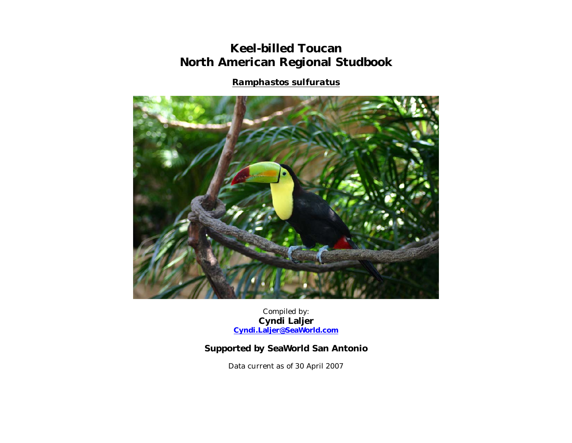## **Keel-billed Toucan North American Regional Studbook**

*Ramphastos sulfuratus*



Compiled by: **Cyndi Laljer Cyndi.Laljer@SeaWorld.com**

## **Supported by SeaWorld San Antonio**

Data current as of 30 April 2007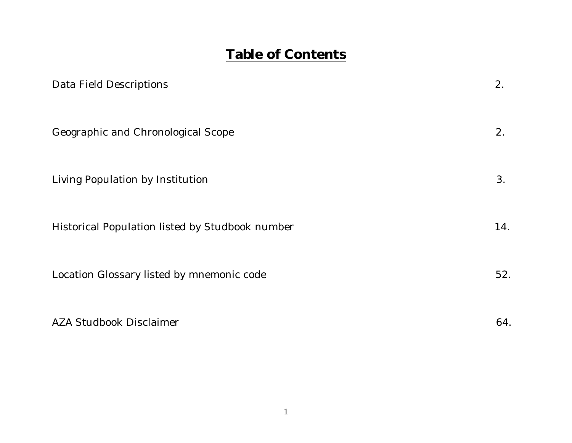## **Table of Contents**

| Data Field Descriptions                         | 2.  |
|-------------------------------------------------|-----|
| Geographic and Chronological Scope              | 2.  |
| Living Population by Institution                | 3.  |
| Historical Population listed by Studbook number | 14. |
| Location Glossary listed by mnemonic code       | 52. |
| <b>AZA Studbook Disclaimer</b>                  | 64. |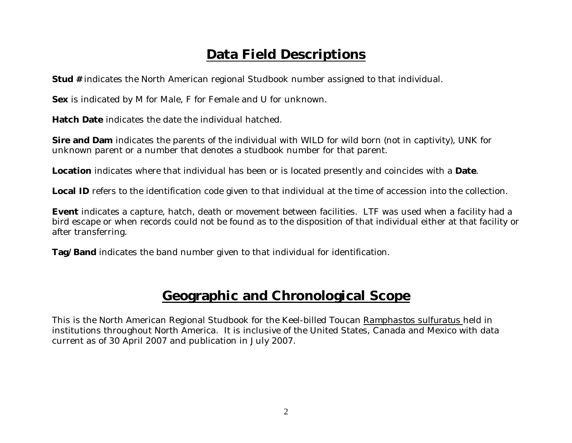# **Data Field Descriptions**

**Stud #** indicates the North American regional Studbook number assigned to that individual.

**Sex** is indicated by M for Male, F for Female and U for unknown.

**Hatch Date** indicates the date the individual hatched.

**Sire and Dam** indicates the parents of the individual with WILD for wild born (not in captivity), UNK for unknown parent or a number that denotes a studbook number for that parent.

**Location** indicates where that individual has been or is located presently and coincides with a **Date**.

**Local ID** refers to the identification code given to that individual at the time of accession into the collection.

**Event** indicates a capture, hatch, death or movement between facilities. LTF was used when a facility had a bird escape or when records could not be found as to the disposition of that individual either at that facility or after transferring.

**Tag/Band** indicates the band number given to that individual for identification.

## **Geographic and Chronological Scope**

This is the North American Regional Studbook for the Keel-billed Toucan *Ramphastos sulfuratus* held in institutions throughout North America. It is inclusive of the United States, Canada and Mexico with data current as of 30 April 2007 and publication in July 2007.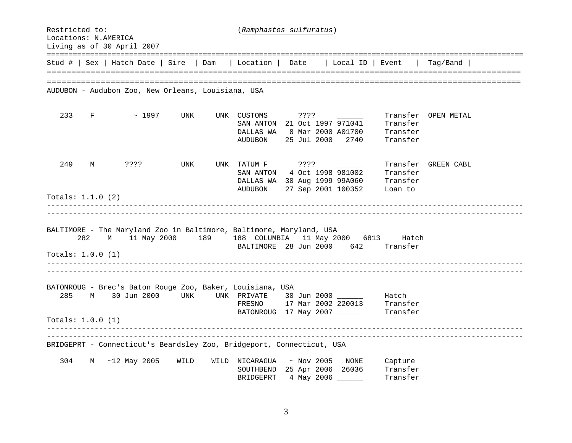Restricted to: (*Ramphastos sulfuratus*) Locations: N.AMERICA Living as of 30 April 2007 ==============================================================================================================Stud # | Sex | Hatch Date | Sire | Dam | Location | Date | Local ID | Event | Tag/Band | ================================================================================================================================================================================================== AUDUBON - Audubon Zoo, New Orleans, Louisiana, USA 233 F ~ 1997 UNK UNK CUSTOMS ???? Transfer OPEN METAL SAN ANTON 21 Oct 1997 971041 Transfer DALLAS WA 8 Mar 2000 A01700 Transfer AUDUBON 25 Jul 2000 2740 Transfer 249 M ???? UNK UNK TATUM F ???? Transfer GREEN CABL SAN ANTON 4 Oct 1998 981002 Transfer DALLAS WA 30 Aug 1999 99A060 Transfer AUDUBON 27 Sep 2001 100352 Loan to Totals: 1.1.0 (2) ---------------------------------------------------------------------------------------------------------------------------------------------------------------------------------------------------------------------------- BALTIMORE - The Maryland Zoo in Baltimore, Baltimore, Maryland, USA 282 M 11 May 2000 189 188 COLUMBIA 11 May 2000 6813 Hatch BALTIMORE 28 Jun 2000 642 Transfer Totals: 1.0.0 (1) ---------------------------------------------------------------------------------------------------------------------------------------------------------------------------------------------------------------------------- BATONROUG - Brec's Baton Rouge Zoo, Baker, Louisiana, USA 285 M 30 Jun 2000 UNK UNK PRIVATE 30 Jun 2000 Batch FRESNO 17 Mar 2002 220013 Transfer BATONROUG 17 May 2007 \_\_\_\_\_\_\_ Transfer Totals: 1.0.0 (1) ---------------------------------------------------------------------------------------------------------------------------------------------------------------------------------------------------------------------------- BRIDGEPRT - Connecticut's Beardsley Zoo, Bridgeport, Connecticut, USA 304 M ~12 May 2005 WILD WILD NICARAGUA ~ Nov 2005 NONE Capture SOUTHBEND 25 Apr 2006 26036 Transfer BRIDGEPRT 4 May 2006 \_\_\_\_\_\_ Transfer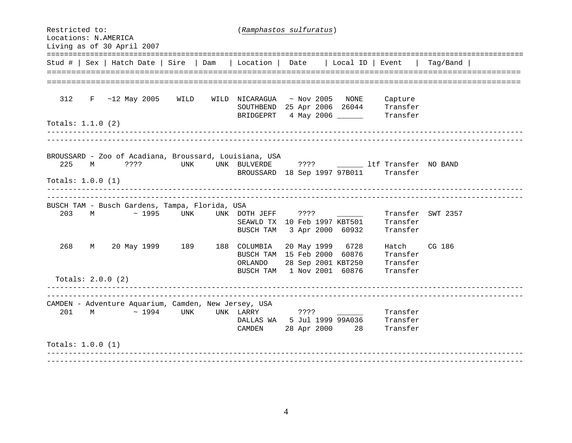Restricted to: (*Ramphastos sulfuratus*) Locations: N.AMERICA Living as of 30 April 2007 ==============================================================================================================Stud # | Sex | Hatch Date | Sire | Dam | Location | Date | Local ID | Event | Tag/Band | ================================================================================================================================================================================================== 312 F ~12 May 2005 WILD WILD NICARAGUA ~ Nov 2005 NONE Capture SOUTHBEND 25 Apr 2006 26044 Transfer BRIDGEPRT 4 May 2006 Transfer Totals: 1.1.0 (2) --------------------------------------------------------------------------------------------------------------BROUSSARD - Zoo of Acadiana, Broussard, Louisiana, USA 225 M ???? UNK UNK BULVERDE ???? ltf Transfer NO BAND BROUSSARD 18 Sep 1997 97B011 Transfer Totals: 1.0.0 (1) ---------------------------------------------------------------------------------------------------------------------------------------------------------------------------------------------------------------------------- BUSCH TAM - Busch Gardens, Tampa, Florida, USA 203 M ~ 1995 UNK UNK DOTH JEFF ???? \_\_\_\_\_\_ Transfer SWT 2357 SEAWLD TX 10 Feb 1997 KBT501 Transfer BUSCH TAM 3 Apr 2000 60932 Transfer 268 M 20 May 1999 189 188 COLUMBIA 20 May 1999 6728 Hatch CG 186 BUSCH TAM 15 Feb 2000 60876 Transfer ORLANDO 28 Sep 2001 KBT250 Transfer BUSCH TAM 1 Nov 2001 60876 Transfer Totals: 2.0.0 (2) ---------------------------------------------------------------------------------------------------------------------------------------------------------------------------------------------------------------------------- CAMDEN - Adventure Aquarium, Camden, New Jersey, USA 201 M ~ 1994 UNK UNK LARRY ???? Transfer DALLAS WA 5 Jul 1999 99A036 Transfer CAMDEN 28 Apr 2000 28 Transfer Totals: 1.0.0 (1) ----------------------------------------------------------------------------------------------------------------------------------------------------------------------------------------------------------------------------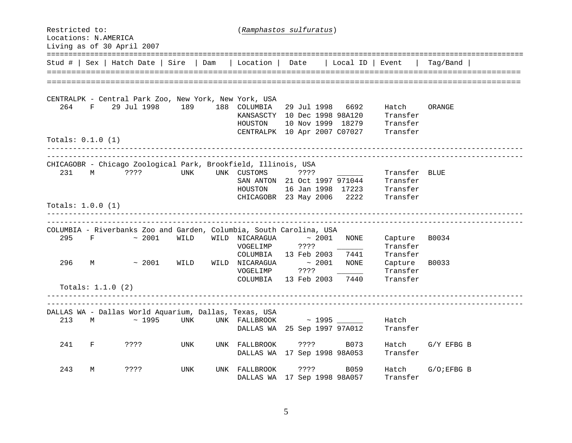| Restricted to:<br>Locations: N.AMERICA<br>Living as of 30 April 2007 |                                                                              |              | (Ramphastos sulfuratus)                       |                                                                                                  |                                                                                              |                |  |  |  |  |  |
|----------------------------------------------------------------------|------------------------------------------------------------------------------|--------------|-----------------------------------------------|--------------------------------------------------------------------------------------------------|----------------------------------------------------------------------------------------------|----------------|--|--|--|--|--|
|                                                                      | Stud #   Sex   Hatch Date   Sire   Dam                                       |              | Location                                      | Date                                                                                             | Local ID   Event                                                                             | Taq/Band       |  |  |  |  |  |
|                                                                      |                                                                              |              |                                               |                                                                                                  |                                                                                              |                |  |  |  |  |  |
| 264<br>F                                                             | CENTRALPK - Central Park Zoo, New York, New York, USA<br>29 Jul 1998 189     |              | 188 COLUMBIA<br>HOUSTON                       | 29 Jul 1998<br>KANSASCTY 10 Dec 1998 98A120<br>10 Nov 1999 18279<br>CENTRALPK 10 Apr 2007 C07027 | 6692<br>Hatch<br>Transfer<br>Transfer<br>Transfer                                            | ORANGE         |  |  |  |  |  |
| Totals: $0.1.0$ (1)                                                  |                                                                              |              |                                               |                                                                                                  |                                                                                              |                |  |  |  |  |  |
| 231<br>M<br>Totals: $1.0.0$ (1)                                      | CHICAGOBR - Chicago Zoological Park, Brookfield, Illinois, USA<br>????       | UNK          | UNK CUSTOMS<br>HOUSTON                        | $??\; ?$<br>SAN ANTON 21 Oct 1997 971044<br>16 Jan 1998 17223<br>CHICAGOBR 23 May 2006           | _______________________________<br>Transfer BLUE<br>Transfer<br>Transfer<br>2222<br>Transfer |                |  |  |  |  |  |
|                                                                      |                                                                              |              |                                               |                                                                                                  | __________________________                                                                   |                |  |  |  |  |  |
| 295<br>F                                                             | COLUMBIA - Riverbanks Zoo and Garden, Columbia, South Carolina, USA<br>~2001 | WILD         | WILD NICARAGUA<br>VOGELIMP                    | ~1001<br>????                                                                                    | Capture<br>NONE<br>Transfer                                                                  | B0034          |  |  |  |  |  |
| 296<br>М                                                             | ~1001                                                                        | WILD<br>WILD | COLUMBIA<br>NICARAGUA<br>VOGELIMP<br>COLUMBIA | 13 Feb 2003<br>$\sim$ 2001<br>? ? ? ?<br>13 Feb 2003                                             | 7441<br>Transfer<br>NONE<br>Capture<br>Transfer<br>7440<br>Transfer                          | B0033          |  |  |  |  |  |
| Totals: 1.1.0 (2)                                                    |                                                                              |              |                                               |                                                                                                  |                                                                                              |                |  |  |  |  |  |
|                                                                      | DALLAS WA - Dallas World Aquarium, Dallas, Texas, USA                        |              |                                               |                                                                                                  |                                                                                              |                |  |  |  |  |  |
| 213<br>M                                                             | ~1995                                                                        | UNK          |                                               | UNK FALLBROOK ~ 1995<br>DALLAS WA 25 Sep 1997 97A012                                             | Hatch<br>Transfer                                                                            |                |  |  |  |  |  |
| 241<br>F                                                             | ????                                                                         | UNK<br>UNK   | FALLBROOK                                     | ????<br>DALLAS WA 17 Sep 1998 98A053                                                             | B073<br>Hatch<br>Transfer                                                                    | G/Y EFBG B     |  |  |  |  |  |
| 243<br>М                                                             | $??\,?\,?$                                                                   | UNK<br>UNK   | FALLBROOK                                     | ????<br>DALLAS WA 17 Sep 1998 98A057                                                             | B059<br>Hatch<br>Transfer                                                                    | $G/O$ ; EFBG B |  |  |  |  |  |

5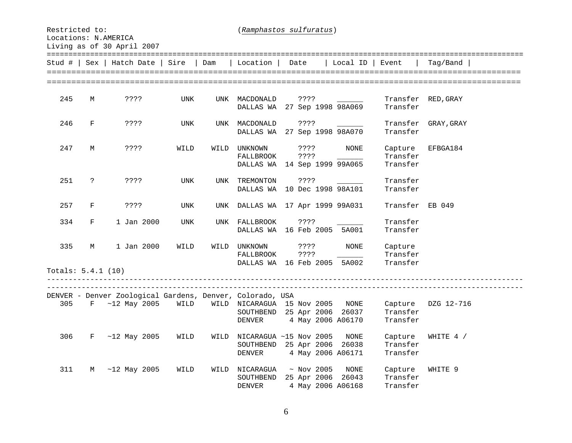Restricted to: (*Ramphastos sulfuratus*) Locations: N.AMERICA Living as of 30 April 2007

==============================================================================================================Stud # | Sex | Hatch Date | Sire | Dam | Location | Date | Local ID | Event | Tag/Band | ================================================================================================================================================================================================== 245 M ???? UNK UNK MACDONALD ???? Transfer RED, GRAY DALLAS WA 27 Sep 1998 98A069 Transfer 246 F ???? UNK UNK MACDONALD ???? \_\_\_\_\_\_ Transfer GRAY,GRAY DALLAS WA 27 Sep 1998 98A070 Transfer 247 M ???? WILD WILD UNKNOWN ???? NONE Capture EFBGA184 FALLBROOK ???? \_\_\_\_\_\_ Transfer DALLAS WA 14 Sep 1999 99A065 Transfer 251 ? ???? UNK UNK TREMONTON ???? Transfer DALLAS WA 10 Dec 1998 98A101 Transfer 257 F ???? UNK UNK DALLAS WA 17 Apr 1999 99A031 Transfer EB 049 334 F 1 Jan 2000 UNK UNK FALLBROOK ???? Transfer DALLAS WA 16 Feb 2005 5A001 Transfer 335 M 1 Jan 2000 WILD WILD UNKNOWN ???? NONE Capture FALLBROOK ???? \_\_\_\_\_\_ Transfer DALLAS WA 16 Feb 2005 5A002 Transfer Totals: 5.4.1 (10) ---------------------------------------------------------------------------------------------------------------------------------------------------------------------------------------------------------------------------- DENVER - Denver Zoological Gardens, Denver, Colorado, USA 305 F ~12 May 2005 WILD WILD NICARAGUA 15 Nov 2005 NONE Capture DZG 12-716 SOUTHBEND 25 Apr 2006 26037 Transfer DENVER 4 May 2006 A06170 Transfer 306 F ~12 May 2005 WILD WILD NICARAGUA ~15 Nov 2005 NONE Capture WHITE 4 / SOUTHBEND 25 Apr 2006 26038 Transfer DENVER 4 May 2006 A06171 Transfer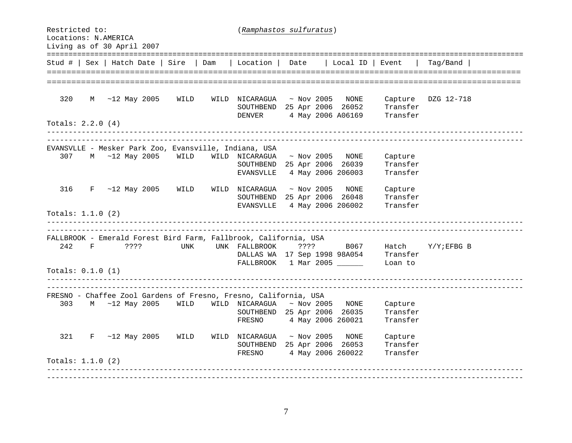Restricted to: (*Ramphastos sulfuratus*) Locations: N.AMERICA Living as of 30 April 2007 ==============================================================================================================Stud # | Sex | Hatch Date | Sire | Dam | Location | Date | Local ID | Event | Tag/Band | ================================================================================================================================================================================================== 320 M ~12 May 2005 WILD WILD NICARAGUA ~ Nov 2005 NONE Capture DZG 12-718 SOUTHBEND 25 Apr 2006 26052 Transfer DENVER 4 May 2006 A06169 Transfer Totals: 2.2.0 (4) --------------------------------------------------------------------------------------------------------------EVANSVLLE - Mesker Park Zoo, Evansville, Indiana, USA 307 M ~12 May 2005 WILD WILD NICARAGUA ~ Nov 2005 NONE Capture SOUTHBEND 25 Apr 2006 26039 Transfer EVANSVLLE 4 May 2006 206003 Transfer 316 F ~12 May 2005 WILD WILD NICARAGUA ~ Nov 2005 NONE Capture SOUTHBEND 25 Apr 2006 26048 Transfer EVANSVLLE 4 May 2006 206002 Transfer Totals: 1.1.0 (2) --------------------------------------------------------------------------------------------------------------FALLBROOK - Emerald Forest Bird Farm, Fallbrook, California, USA 242 F ???? UNK UNK FALLBROOK ???? B067 Hatch Y/Y;EFBG B DALLAS WA 17 Sep 1998 98A054 Transfer FALLBROOK 1 Mar 2005 Loan to Totals: 0.1.0 (1) ---------------------------------------------------------------------------------------------------------------------------------------------------------------------------------------------------------------------------- FRESNO - Chaffee Zool Gardens of Fresno, Fresno, California, USA 303 M ~12 May 2005 WILD WILD NICARAGUA ~ Nov 2005 NONE Capture SOUTHBEND 25 Apr 2006 26035 Transfer FRESNO 4 May 2006 260021 Transfer 321 F ~12 May 2005 WILD WILD NICARAGUA ~ Nov 2005 NONE Capture SOUTHBEND 25 Apr 2006 26053 Transfer FRESNO 4 May 2006 260022 Transfer Totals: 1.1.0 (2) ----------------------------------------------------------------------------------------------------------------------------------------------------------------------------------------------------------------------------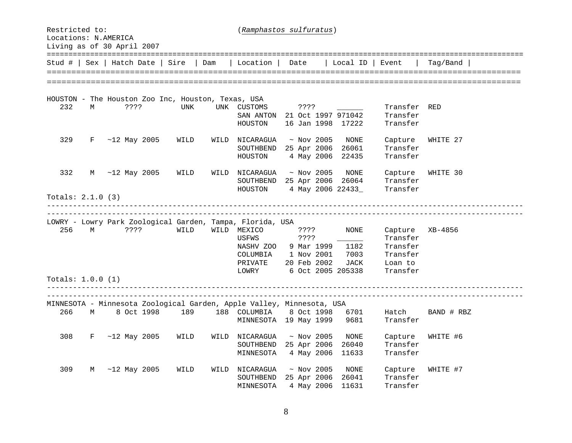| Restricted to:<br>Locations: N.AMERICA<br>Living as of 30 April 2007 |   |                                                    | (Ramphastos sulfuratus) |      |                                                                       |  |         |                           |                   |                      |            |
|----------------------------------------------------------------------|---|----------------------------------------------------|-------------------------|------|-----------------------------------------------------------------------|--|---------|---------------------------|-------------------|----------------------|------------|
|                                                                      |   | Stud #   Sex   Hatch Date                          | Sire                    | Dam  | Location                                                              |  | Date    |                           | Local ID          | Event                | Taq/Band   |
|                                                                      |   |                                                    |                         |      |                                                                       |  |         |                           |                   |                      |            |
|                                                                      |   |                                                    |                         |      |                                                                       |  |         |                           |                   |                      |            |
|                                                                      |   | HOUSTON - The Houston Zoo Inc, Houston, Texas, USA |                         |      |                                                                       |  |         |                           |                   |                      |            |
| 232                                                                  | M | ????                                               | <b>UNK</b>              |      | UNK CUSTOMS                                                           |  | ????    |                           |                   | Transfer RED         |            |
|                                                                      |   |                                                    |                         |      | SAN ANTON 21 Oct 1997 971042                                          |  |         |                           |                   | Transfer             |            |
|                                                                      |   |                                                    |                         |      | HOUSTON                                                               |  |         |                           | 16 Jan 1998 17222 | Transfer             |            |
| 329                                                                  | F | $~12$ May 2005                                     | WILD                    | WILD | NICARAGUA                                                             |  |         | $~\sim$ Nov 2005          | NONE              | Capture              | WHITE 27   |
|                                                                      |   |                                                    |                         |      | SOUTHBEND                                                             |  |         | 25 Apr 2006               | 26061             | Transfer             |            |
|                                                                      |   |                                                    |                         |      | HOUSTON                                                               |  |         | 4 May 2006                | 22435             | Transfer             |            |
| 332                                                                  | М | $~12$ May 2005                                     | WILD                    | WILD | NICARAGUA                                                             |  |         | $~\sim$ Nov 2005          | NONE              | Capture              | WHITE 30   |
|                                                                      |   |                                                    |                         |      | SOUTHBEND                                                             |  |         | 25 Apr 2006               | 26064             | Transfer             |            |
|                                                                      |   |                                                    |                         |      | HOUSTON                                                               |  |         |                           | 4 May 2006 22433_ | Transfer             |            |
| Totals: $2.1.0$ (3)                                                  |   |                                                    |                         |      | <u> 2222222222222</u>                                                 |  |         |                           |                   |                      |            |
|                                                                      |   |                                                    |                         |      |                                                                       |  |         |                           |                   |                      |            |
|                                                                      |   |                                                    |                         |      | LOWRY - Lowry Park Zoological Garden, Tampa, Florida, USA             |  |         |                           |                   |                      |            |
| 256                                                                  | M | ????                                               | WILD                    |      | WILD MEXICO                                                           |  | ????    |                           | <b>NONE</b>       | Capture              | XB-4856    |
|                                                                      |   |                                                    |                         |      | USFWS                                                                 |  | ? ? ? ? |                           |                   | Transfer             |            |
|                                                                      |   |                                                    |                         |      | NASHV ZOO                                                             |  |         | 9 Mar 1999                | 1182              | Transfer<br>Transfer |            |
|                                                                      |   |                                                    |                         |      | COLUMBIA<br>PRIVATE                                                   |  |         | 1 Nov 2001<br>20 Feb 2002 | 7003<br>JACK      | Loan to              |            |
|                                                                      |   |                                                    |                         |      | LOWRY                                                                 |  |         |                           | 6 Oct 2005 205338 | Transfer             |            |
| Totals: $1.0.0$ (1)                                                  |   |                                                    |                         |      |                                                                       |  |         |                           |                   |                      |            |
|                                                                      |   |                                                    |                         |      |                                                                       |  |         |                           |                   | ___________________  |            |
|                                                                      |   |                                                    |                         |      | MINNESOTA - Minnesota Zoological Garden, Apple Valley, Minnesota, USA |  |         |                           |                   |                      |            |
| 266                                                                  | М | 8 Oct 1998                                         | 189                     |      | 188 COLUMBIA                                                          |  |         | 8 Oct 1998                | 6701              | Hatch                | BAND # RBZ |
|                                                                      |   |                                                    |                         |      | MINNESOTA 19 May 1999                                                 |  |         |                           | 9681              | Transfer             |            |
| 308                                                                  | F | $~12$ May 2005                                     | WILD                    | WILD | NICARAGUA                                                             |  |         | $~\sim$ Nov 2005          | NONE              | Capture              | WHITE #6   |
|                                                                      |   |                                                    |                         |      | SOUTHBEND                                                             |  |         | 25 Apr 2006               | 26040             | Transfer             |            |
|                                                                      |   |                                                    |                         |      | MINNESOTA                                                             |  |         | 4 May 2006                | 11633             | Transfer             |            |
| 309                                                                  | М | $~12$ May 2005                                     | WILD                    | WILD | NICARAGUA                                                             |  |         | $~\sim$ Nov 2005          | NONE              | Capture              | WHITE #7   |
|                                                                      |   |                                                    |                         |      | SOUTHBEND                                                             |  |         | 25 Apr 2006               | 26041             | Transfer             |            |
|                                                                      |   |                                                    |                         |      | MINNESOTA                                                             |  |         | 4 May 2006                | 11631             | Transfer             |            |

8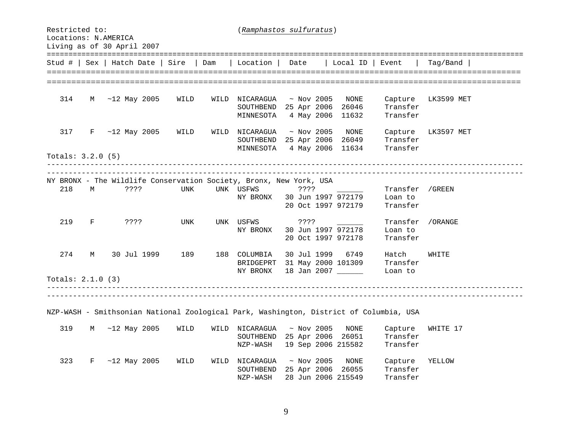| Restricted to:    |                   | Locations: N.AMERICA<br>Living as of 30 April 2007 |      |      | (Ramphastos sulfuratus)                                                                |                  |  |                    |          |               |  |  |  |
|-------------------|-------------------|----------------------------------------------------|------|------|----------------------------------------------------------------------------------------|------------------|--|--------------------|----------|---------------|--|--|--|
|                   |                   | Stud #   Sex   Hatch Date   Sire                   |      | Dam  | Location                                                                               | Date             |  | Local ID           | Event    | Taq/Band      |  |  |  |
|                   |                   |                                                    |      |      |                                                                                        |                  |  |                    |          |               |  |  |  |
|                   |                   |                                                    |      |      |                                                                                        |                  |  |                    |          |               |  |  |  |
| 314               | M                 | $~12$ May 2005                                     | WILD | WILD | NICARAGUA                                                                              | $~\sim$ Nov 2005 |  | NONE               | Capture  | LK3599 MET    |  |  |  |
|                   |                   |                                                    |      |      | SOUTHBEND                                                                              | 25 Apr 2006      |  | 26046              | Transfer |               |  |  |  |
|                   |                   |                                                    |      |      | MINNESOTA                                                                              | 4 May 2006       |  | 11632              | Transfer |               |  |  |  |
| 317               | $_{\rm F}$        | $~12$ May 2005                                     | WILD | WILD | NICARAGUA                                                                              | $~\sim$ Nov 2005 |  | NONE               | Capture  | LK3597 MET    |  |  |  |
|                   |                   |                                                    |      |      | SOUTHBEND 25 Apr 2006                                                                  |                  |  | 26049              | Transfer |               |  |  |  |
|                   |                   |                                                    |      |      | MINNESOTA                                                                              | 4 May 2006       |  | 11634              | Transfer |               |  |  |  |
| Totals: 3.2.0 (5) |                   |                                                    |      |      |                                                                                        |                  |  |                    |          |               |  |  |  |
|                   |                   |                                                    |      |      |                                                                                        |                  |  |                    |          |               |  |  |  |
|                   |                   |                                                    |      |      | NY BRONX - The Wildlife Conservation Society, Bronx, New York, USA                     |                  |  |                    |          |               |  |  |  |
| 218               | М                 | 3333                                               | UNK  |      | UNK USFWS                                                                              | ????             |  |                    | Transfer | /GREEN        |  |  |  |
|                   |                   |                                                    |      |      | NY BRONX                                                                               |                  |  | 30 Jun 1997 972179 | Loan to  |               |  |  |  |
|                   |                   |                                                    |      |      |                                                                                        |                  |  | 20 Oct 1997 972179 | Transfer |               |  |  |  |
|                   |                   |                                                    |      |      |                                                                                        |                  |  |                    |          |               |  |  |  |
| 219               | F                 | $??\ ??$                                           | UNK  |      | UNK USFWS                                                                              | ????             |  |                    | Transfer | /ORANGE       |  |  |  |
|                   |                   |                                                    |      |      | NY BRONX                                                                               |                  |  | 30 Jun 1997 972178 | Loan to  |               |  |  |  |
|                   |                   |                                                    |      |      |                                                                                        |                  |  | 20 Oct 1997 972178 | Transfer |               |  |  |  |
| 274               | М                 | 30 Jul 1999                                        | 189  |      | 188 COLUMBIA                                                                           | 30 Jul 1999      |  | 6749               | Hatch    | WHITE         |  |  |  |
|                   |                   |                                                    |      |      | BRIDGEPRT 31 May 2000 101309                                                           |                  |  |                    | Transfer |               |  |  |  |
|                   |                   |                                                    |      |      | NY BRONX                                                                               |                  |  | 18 Jan 2007 ______ | Loan to  |               |  |  |  |
|                   | Totals: 2.1.0 (3) |                                                    |      |      |                                                                                        |                  |  |                    |          |               |  |  |  |
|                   |                   |                                                    |      |      |                                                                                        |                  |  |                    |          |               |  |  |  |
|                   |                   |                                                    |      |      |                                                                                        |                  |  |                    |          |               |  |  |  |
|                   |                   |                                                    |      |      | NZP-WASH - Smithsonian National Zoological Park, Washington, District of Columbia, USA |                  |  |                    |          |               |  |  |  |
|                   |                   |                                                    |      |      |                                                                                        |                  |  |                    |          |               |  |  |  |
| 319               | М                 | $~12$ May 2005                                     | WILD | WILD | NICARAGUA                                                                              | $~\sim$ Nov 2005 |  | <b>NONE</b>        | Capture  | WHITE 17      |  |  |  |
|                   |                   |                                                    |      |      | SOUTHBEND                                                                              | 25 Apr 2006      |  | 26051              | Transfer |               |  |  |  |
|                   |                   |                                                    |      |      | NZP-WASH                                                                               |                  |  | 19 Sep 2006 215582 | Transfer |               |  |  |  |
| 323               | F                 | $~12$ May 2005                                     | WILD | WILD | NICARAGUA                                                                              | $~\sim$ Nov 2005 |  | NONE               | Capture  | <b>XELLOW</b> |  |  |  |
|                   |                   |                                                    |      |      | SOUTHBEND 25 Apr 2006 26055                                                            |                  |  |                    | Transfer |               |  |  |  |
|                   |                   |                                                    |      |      | NZP-WASH                                                                               |                  |  | 28 Jun 2006 215549 | Transfer |               |  |  |  |

9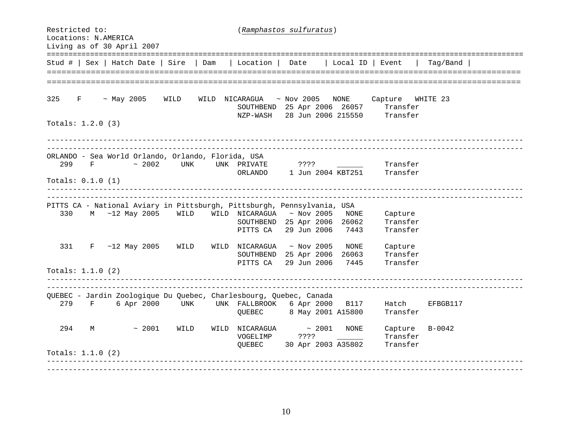Restricted to: (*Ramphastos sulfuratus*) Locations: N.AMERICA Living as of 30 April 2007 ==============================================================================================================Stud # | Sex | Hatch Date | Sire | Dam | Location | Date | Local ID | Event | Tag/Band | ======================== ================================================================================================= 325 F ~ May 2005 WILD WILD NICARAGUA ~ Nov 2005 NONE Capture WHITE 23 SOUTHBEND 25 Apr 2006 26057 Transfer NZP-WASH 28 Jun 2006 215550 Transfer Totals: 1.2.0 (3) ORLANDO - Sea World Orlando, Orlando, Florida, USA 299 F ~ 2002 UNK UNK PRIVATE ???? Transfer ORLANDO 1 Jun 2004 KBT251 Transfer Totals: 0.1.0 (1) ---------------------------------------------------------------------------------------------------------------------------------------------------------------------------------------------------------------------------- PITTS CA - National Aviary in Pittsburgh, Pittsburgh, Pennsylvania, USA 330 M ~12 May 2005 WILD WILD NICARAGUA ~ Nov 2005 NONE Capture SOUTHBEND 25 Apr 2006 26062 Transfer PITTS CA 29 Jun 2006 7443 Transfer 331 F ~12 May 2005 WILD WILD NICARAGUA ~ Nov 2005 NONE Capture SOUTHBEND 25 Apr 2006 26063 Transfer PITTS CA 29 Jun 2006 7445 Transfer Totals: 1.1.0 (2) ---------------------------------------------------------------------------------------------------------------------------------------------------------------------------------------------------------------------------- QUEBEC - Jardin Zoologique Du Quebec, Charlesbourg, Quebec, Canada 279 F 6 Apr 2000 UNK UNK FALLBROOK 6 Apr 2000 B117 Hatch EFBGB117 QUEBEC 8 May 2001 A15800 Transfer 294 M ~ 2001 WILD WILD NICARAGUA ~ 2001 NONE Capture B-0042 VOGELIMP ???? \_\_\_\_\_\_ Transfer QUEBEC 30 Apr 2003 A35802 Transfer Totals: 1.1.0 (2) ----------------------------------------------------------------------------------------------------------------------------------------------------------------------------------------------------------------------------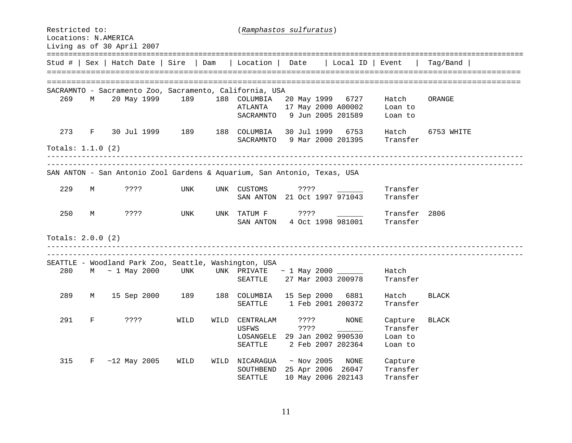| Restricted to:<br>Locations: N.AMERICA<br>Living as of 30 April 2007 |            |                                                                          | (Ramphastos sulfuratus) |      |                                                               |  |              |                  |                                                             |                                           |              |
|----------------------------------------------------------------------|------------|--------------------------------------------------------------------------|-------------------------|------|---------------------------------------------------------------|--|--------------|------------------|-------------------------------------------------------------|-------------------------------------------|--------------|
|                                                                      |            | Stud #   Sex   Hatch Date   Sire                                         | Dam                     |      | Location                                                      |  | Date         |                  | Local ID                                                    | Event                                     | Taq/Band     |
|                                                                      |            |                                                                          |                         |      | _____________________________                                 |  |              |                  |                                                             |                                           |              |
|                                                                      |            | SACRAMNTO - Sacramento Zoo, Sacramento, California, USA                  |                         |      |                                                               |  |              |                  |                                                             |                                           |              |
| 269                                                                  | M          | 20 May 1999                                                              | 189                     | 188  | COLUMBIA<br>ATLANTA<br>SACRAMNTO                              |  |              |                  | 20 May 1999 6727<br>17 May 2000 A00002<br>9 Jun 2005 201589 | Hatch<br>Loan to<br>Loan to               | ORANGE       |
| 273                                                                  | $_{\rm F}$ | 30 Jul 1999                                                              | 189                     | 188  | COLUMBIA<br>SACRAMNTO 9 Mar 2000 201395                       |  |              | 30 Jul 1999      | 6753                                                        | Hatch<br>Transfer                         | 6753 WHITE   |
| Totals: 1.1.0 (2)                                                    |            |                                                                          |                         |      |                                                               |  |              |                  |                                                             |                                           |              |
|                                                                      |            | SAN ANTON - San Antonio Zool Gardens & Aquarium, San Antonio, Texas, USA |                         |      |                                                               |  |              |                  |                                                             | . _ _ _ _ _ _ _ _ _ _ _ _ _ _ _ _ _       |              |
| 229                                                                  | М          | ????                                                                     | UNK                     | UNK  | CUSTOMS<br>SAN ANTON 21 Oct 1997 971043                       |  | ????         |                  |                                                             | Transfer<br>Transfer                      |              |
| 250                                                                  | М          | ????                                                                     | UNK                     | UNK  | TATUM F<br>SAN ANTON                                          |  | ????         |                  | 4 Oct 1998 981001                                           | Transfer 2806<br>Transfer                 |              |
| Totals: $2.0.0$ (2)                                                  |            |                                                                          |                         |      |                                                               |  |              |                  |                                                             |                                           |              |
|                                                                      |            | SEATTLE - Woodland Park Zoo, Seattle, Washington, USA                    |                         |      |                                                               |  |              |                  |                                                             |                                           |              |
| 280                                                                  |            | $M \sim 1$ May 2000                                                      | UNK                     |      | UNK PRIVATE<br>SEATTLE                                        |  |              |                  | $\sim$ 1 May 2000 ______<br>27 Mar 2003 200978              | Hatch<br>Transfer                         |              |
| 289                                                                  | М          | 15 Sep 2000                                                              | 189                     | 188  | COLUMBIA<br>SEATTLE                                           |  |              |                  | 15 Sep 2000 6881<br>1 Feb 2001 200372                       | Hatch<br>Transfer                         | <b>BLACK</b> |
| 291                                                                  | F          | ????                                                                     | WILD                    | WILD | CENTRALAM<br>USFWS<br>LOSANGELE 29 Jan 2002 990530<br>SEATTLE |  | ????<br>???? |                  | NONE<br>2 Feb 2007 202364                                   | Capture<br>Transfer<br>Loan to<br>Loan to | <b>BLACK</b> |
| 315                                                                  | F          | $~12$ May 2005                                                           | WILD                    | WILD | NICARAGUA<br>SOUTHBEND<br>SEATTLE                             |  |              | $~\sim$ Nov 2005 | NONE<br>25 Apr 2006 26047<br>10 May 2006 202143             | Capture<br>Transfer<br>Transfer           |              |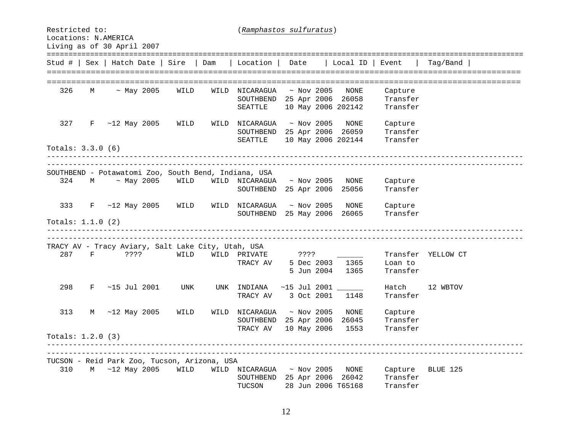Restricted to: (*Ramphastos sulfuratus*) Locations: N.AMERICA Living as of 30 April 2007 ==============================================================================================================Stud # | Sex | Hatch Date | Sire | Dam | Location | Date | Local ID | Event | Tag/Band | ================================================================================================================================================================================================== 326 M ~ May 2005 WILD WILD NICARAGUA ~ Nov 2005 NONE Capture SOUTHBEND 25 Apr 2006 26058 Transfer SEATTLE 10 May 2006 202142 Transfer 327 F ~12 May 2005 WILD WILD NICARAGUA ~ Nov 2005 NONE Capture SOUTHBEND 25 Apr 2006 26059 Transfer SEATTLE 10 May 2006 202144 Transfer Totals: 3.3.0 (6) -------------------------------------------------------------------------------------------------------------- SOUTHBEND - Potawatomi Zoo, South Bend, Indiana, USA 324 M ~ May 2005 WILD WILD NICARAGUA ~ Nov 2005 NONE Capture SOUTHBEND 25 Apr 2006 25056 Transfer 333 F ~12 May 2005 WILD WILD NICARAGUA ~ Nov 2005 NONE Capture SOUTHBEND 25 May 2006 26065 Transfer Totals: 1.1.0 (2) ---------------------------------------------------------------------------------------------------------------------------------------------------------------------------------------------------------------------------- TRACY AV - Tracy Aviary, Salt Lake City, Utah, USA 287 F ???? WILD WILD PRIVATE ???? Transfer YELLOW CT TRACY AV 5 Dec 2003 1365 Loan to 5 Jun 2004 1365 Transfer  $298$  F  $\sim$ 15 Jul 2001 UNK UNK INDIANA  $\sim$ 15 Jul 2001  $\sim$  Hatch 12 WBTOV TRACY AV 3 Oct 2001 1148 Transfer 313 M ~12 May 2005 WILD WILD NICARAGUA ~ Nov 2005 NONE Capture SOUTHBEND 25 Apr 2006 26045 Transfer TRACY AV 10 May 2006 1553 Transfer Totals: 1.2.0 (3) ---------------------------------------------------------------------------------------------------------------------------------------------------------------------------------------------------------------------------- TUCSON - Reid Park Zoo, Tucson, Arizona, USA 310 M ~12 May 2005 WILD WILD NICARAGUA ~ Nov 2005 NONE Capture BLUE 125 SOUTHBEND 25 Apr 2006 26042 Transfer TUCSON 28 Jun 2006 T65168 Transfer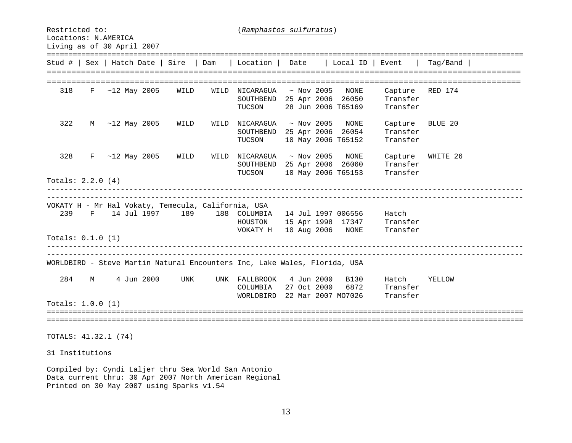Restricted to: (*Ramphastos sulfuratus*) Locations: N.AMERICA Living as of 30 April 2007 ==============================================================================================================Stud # | Sex | Hatch Date | Sire | Dam | Location | Date | Local ID | Event | Tag/Band | ========================================================================================================================== 318 F ~12 May 2005 WILD WILD NICARAGUA ~ Nov 2005 NONE Capture RED 174 SOUTHBEND 25 Apr 2006 26050 Transfer TUCSON 28 Jun 2006 T65169 Transfer 322 M ~12 May 2005 WILD WILD NICARAGUA ~ Nov 2005 NONE Capture BLUE 20 SOUTHBEND 25 Apr 2006 26054 Transfer TUCSON 10 May 2006 T65152 Transfer 328 F ~12 May 2005 WILD WILD NICARAGUA ~ Nov 2005 NONE Capture WHITE 26 SOUTHBEND 25 Apr 2006 26060 Transfer TUCSON 10 May 2006 T65153 Transfer Totals: 2.2.0 (4) ---------------------------------------------------------------------------------------------------------------------------------------------------------------------------------------------------------------------------- VOKATY H - Mr Hal Vokaty, Temecula, California, USA 239 F 14 Jul 1997 189 188 COLUMBIA 14 Jul 1997 006556 Hatch HOUSTON 15 Apr 1998 17347 Transfer VOKATY H 10 Aug 2006 NONE Transfer Totals: 0.1.0 (1) ---------------------------------------------------------------------------------------------------------------------------------------------------------------------------------------------------------------------------- WORLDBIRD - Steve Martin Natural Encounters Inc, Lake Wales, Florida, USA 284 M 4 Jun 2000 UNK UNK FALLBROOK 4 Jun 2000 B130 Hatch YELLOW COLUMBIA 27 Oct 2000 6872 Transfer WORLDBIRD 22 Mar 2007 MO7026 Transfer Totals: 1.0.0 (1) ============================================================================================================================================================================================================================ TOTALS: 41.32.1 (74) 31 Institutions Compiled by: Cyndi Laljer thru Sea World San Antonio Data current thru: 30 Apr 2007 North American Regional Printed on 30 May 2007 using Sparks v1.54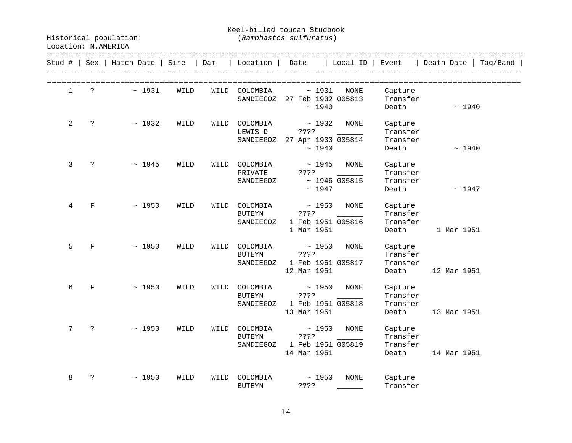Keel-billed toucan Studbook

| Stud # |                 | Sex                  | Hatch Date | Sire | Dam  | Location                               | Date                                                 | Local ID             | Event                                    | Death Date<br>Tag/Band |
|--------|-----------------|----------------------|------------|------|------|----------------------------------------|------------------------------------------------------|----------------------|------------------------------------------|------------------------|
|        | $\mathbf{1}$    | $\tilde{P}$          | ~1931      | WILD | WILD | COLOMBIA<br>SANDIEGOZ                  | ~1931<br>27 Feb 1932 005813<br>~1940                 | NONE                 | Capture<br>Transfer<br>Death             | ~1940                  |
|        | 2               | $\ddot{ }$           | ~1932      | WILD | WILD | COLOMBIA<br>LEWIS D<br>SANDIEGOZ       | ~1932<br>? ? ? ?<br>27 Apr 1933 005814<br>~1940      | <b>NONE</b>          | Capture<br>Transfer<br>Transfer<br>Death | ~1940                  |
|        | 3               | $\ddot{\cdot}$       | ~1945      | WILD | WILD | COLOMBIA<br>PRIVATE<br>SANDIEGOZ       | ~1945<br>????<br>~1947                               | NONE<br>~1946~005815 | Capture<br>Transfer<br>Transfer<br>Death | ~1947                  |
|        | 4               | $\mathbf F$          | ~1950      | WILD | WILD | COLOMBIA<br><b>BUTEYN</b><br>SANDIEGOZ | ~1950<br>????<br>1 Feb 1951 005816<br>1 Mar 1951     | <b>NONE</b>          | Capture<br>Transfer<br>Transfer<br>Death | 1 Mar 1951             |
|        | 5               | F                    | ~1950      | WILD | WILD | COLOMBIA<br><b>BUTEYN</b><br>SANDIEGOZ | ~1950<br>????<br>1 Feb 1951 005817<br>12 Mar 1951    | <b>NONE</b>          | Capture<br>Transfer<br>Transfer<br>Death | 12 Mar 1951            |
|        | 6               | $\mathbf F$          | ~1950      | WILD | WILD | COLOMBIA<br><b>BUTEYN</b><br>SANDIEGOZ | ~1950<br>????<br>1 Feb 1951 005818<br>13 Mar 1951    | <b>NONE</b>          | Capture<br>Transfer<br>Transfer<br>Death | 13 Mar 1951            |
|        | $7\overline{ }$ | $\tilde{P}$          | ~1950      | WILD | WILD | COLOMBIA<br><b>BUTEYN</b><br>SANDIEGOZ | ~1950<br>? ? ? ?<br>1 Feb 1951 005819<br>14 Mar 1951 | <b>NONE</b>          | Capture<br>Transfer<br>Transfer<br>Death | 14 Mar 1951            |
|        | 8               | $\ddot{\phantom{0}}$ | ~1950      | WILD | WILD | COLOMBIA<br><b>BUTEYN</b>              | ~1950<br>????                                        | <b>NONE</b>          | Capture<br>Transfer                      |                        |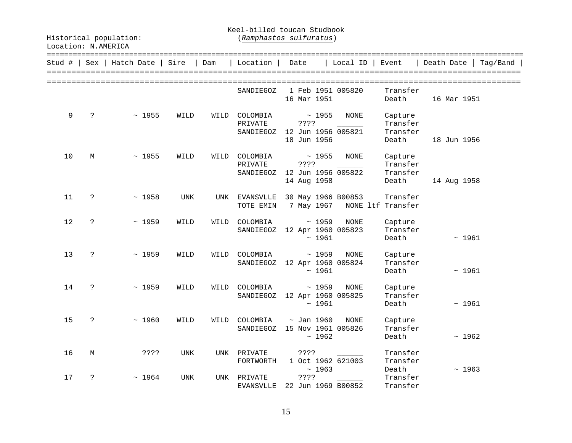Keel-billed toucan Studbook

| Stud # |    |   | Sex   Hatch Date | Sire       | Dam  | Location                         | Date                                         |                | Local ID    | Event                                    | Death Date<br>Taq/Band |
|--------|----|---|------------------|------------|------|----------------------------------|----------------------------------------------|----------------|-------------|------------------------------------------|------------------------|
|        |    |   |                  |            |      | SANDIEGOZ                        | 1 Feb 1951 005820<br>16 Mar 1951             |                |             | Transfer<br>Death                        | 16 Mar 1951            |
|        | 9  | ? | ~1955            | WILD       | WILD | COLOMBIA<br>PRIVATE<br>SANDIEGOZ | ????<br>12 Jun 1956 005821<br>18 Jun 1956    | ~1955          | <b>NONE</b> | Capture<br>Transfer<br>Transfer<br>Death | 18 Jun 1956            |
|        | 10 | M | ~1955            | WILD       | WILD | COLOMBIA<br>PRIVATE<br>SANDIEGOZ | ? ? ? ?<br>12 Jun 1956 005822<br>14 Aug 1958 | ~1955          | <b>NONE</b> | Capture<br>Transfer<br>Transfer<br>Death | 14 Aug 1958            |
|        | 11 | ? | ~1958            | UNK        | UNK  | EVANSVLLE<br>TOTE EMIN           | 30 May 1966 B00853<br>7 May 1967             |                |             | Transfer<br>NONE ltf Transfer            |                        |
|        | 12 | ? | ~1959            | WILD       | WILD | COLOMBIA<br>SANDIEGOZ            | 12 Apr 1960 005823                           | ~1959<br>~1961 | NONE        | Capture<br>Transfer<br>Death             | ~1961                  |
|        | 13 | ? | ~1959            | WILD       | WILD | COLOMBIA<br>SANDIEGOZ            | 12 Apr 1960 005824                           | ~1959<br>~1961 | <b>NONE</b> | Capture<br>Transfer<br>Death             | ~1961                  |
|        | 14 | ? | ~1959            | WILD       | WILD | COLOMBIA<br>SANDIEGOZ            | 12 Apr 1960 005825                           | ~1959<br>~1961 | <b>NONE</b> | Capture<br>Transfer<br>Death             | ~1961                  |
|        | 15 | ? | ~1960            | WILD       | WILD | COLOMBIA<br>SANDIEGOZ            | $\sim$ Jan 1960<br>15 Nov 1961 005826        | ~1962          | NONE        | Capture<br>Transfer<br>Death             | ~1962                  |
|        | 16 | М | ? ? ? ?          | UNK        |      | UNK PRIVATE<br>FORTWORTH         | ????<br>1 Oct 1962 621003                    | ~1963          |             | Transfer<br>Transfer<br>Death            | ~1963                  |
|        | 17 | ? | ~1964            | <b>UNK</b> | UNK  | PRIVATE<br>EVANSVLLE             | ? ? ? ?<br>22 Jun 1969 B00852                |                |             | Transfer<br>Transfer                     |                        |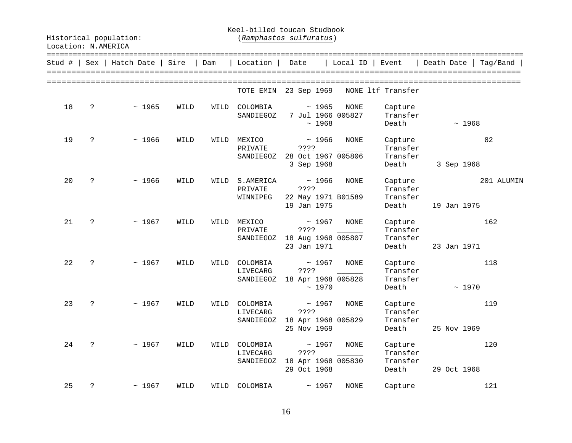Keel-billed toucan Studbook

| Stud # |                      | $Sex$   Hatch Date | Sire | Dam  | Location                          | Date                                               |                      | Local ID                  | Event                                    | Death Date  | Taq/Band   |
|--------|----------------------|--------------------|------|------|-----------------------------------|----------------------------------------------------|----------------------|---------------------------|------------------------------------------|-------------|------------|
|        |                      |                    |      |      | TOTE EMIN                         |                                                    |                      |                           | 23 Sep 1969 NONE ltf Transfer            |             |            |
| 18     | ?                    | ~1965              | WILD | WILD | COLOMBIA<br>SANDIEGOZ             |                                                    | ~1965<br>~1968       | NONE<br>7 Jul 1966 005827 | Capture<br>Transfer<br>Death             | ~1968       |            |
| 19     | $\ddot{\phantom{0}}$ | ~1966              | WILD | WILD | MEXICO<br>PRIVATE<br>SANDIEGOZ    | ????<br>28 Oct 1967 005806<br>3 Sep 1968           | ~1966                | NONE                      | Capture<br>Transfer<br>Transfer<br>Death | 3 Sep 1968  | 82         |
| 20     | ?                    | ~1966              | WILD | WILD | S.AMERICA<br>PRIVATE<br>WINNIPEG  | ~1966<br>????<br>22 May 1971 B01589<br>19 Jan 1975 |                      | NONE                      | Capture<br>Transfer<br>Transfer<br>Death | 19 Jan 1975 | 201 ALUMIN |
| 21     | ?                    | ~1967              | WILD | WILD | MEXICO<br>PRIVATE<br>SANDIEGOZ    | ? ? ? ?<br>18 Aug 1968 005807<br>23 Jan 1971       | ~1967                | NONE                      | Capture<br>Transfer<br>Transfer<br>Death | 23 Jan 1971 | 162        |
| 22     | $\ddot{ }$           | ~1967              | WILD | WILD | COLOMBIA<br>LIVECARG<br>SANDIEGOZ | ????<br>18 Apr 1968 005828                         | $\sim 1967$<br>~1970 | NONE                      | Capture<br>Transfer<br>Transfer<br>Death | ~1970       | 118        |
| 23     | $\mathbf{P}$         | ~1967              | WILD | WILD | COLOMBIA<br>LIVECARG<br>SANDIEGOZ | ? ? ? ?<br>18 Apr 1968 005829<br>25 Nov 1969       | ~1967                | NONE                      | Capture<br>Transfer<br>Transfer<br>Death | 25 Nov 1969 | 119        |
| 24     | $\ddot{ }$           | ~1967              | WILD | WILD | COLOMBIA<br>LIVECARG<br>SANDIEGOZ | ????<br>18 Apr 1968 005830<br>29 Oct 1968          | ~1967                | NONE                      | Capture<br>Transfer<br>Transfer<br>Death | 29 Oct 1968 | 120        |
| 25     | $\ddot{\phantom{0}}$ | ~1967              | WILD | WILD | COLOMBIA                          |                                                    | ~1967                | <b>NONE</b>               | Capture                                  |             | 121        |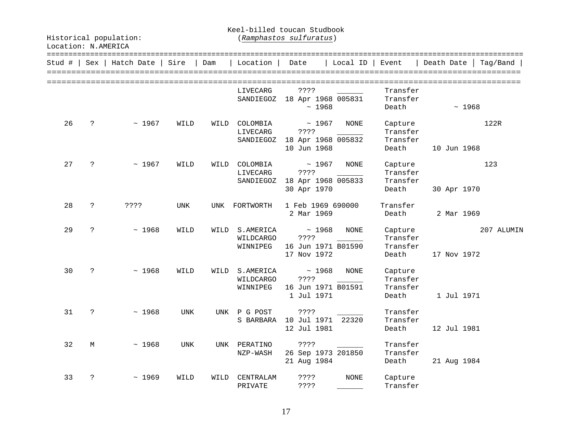Keel-billed toucan Studbook

| Stud # | Sex          | Hatch Date | Sire       | Dam  | Location                           | Date                                               | $Local ID$  | Event                                    | Death Date  | Taq/Band   |
|--------|--------------|------------|------------|------|------------------------------------|----------------------------------------------------|-------------|------------------------------------------|-------------|------------|
|        |              |            |            |      |                                    |                                                    |             |                                          |             |            |
|        |              |            |            |      | LIVECARG<br>SANDIEGOZ              | ? ? ? ?<br>18 Apr 1968 005831<br>~1968             |             | Transfer<br>Transfer<br>Death            | ~1968       |            |
| 26     | $\ddot{ }$   | ~1967      | WILD       | WILD | COLOMBIA<br>LIVECARG<br>SANDIEGOZ  | ~1967<br>????<br>18 Apr 1968 005832<br>10 Jun 1968 | NONE        | Capture<br>Transfer<br>Transfer<br>Death | 10 Jun 1968 | 122R       |
| 27     | $\mathbf{P}$ | ~1967      | WILD       | WILD | COLOMBIA<br>LIVECARG<br>SANDIEGOZ  | ~1967<br>????<br>18 Apr 1968 005833<br>30 Apr 1970 | NONE        | Capture<br>Transfer<br>Transfer<br>Death | 30 Apr 1970 | 123        |
| 28     | ?            | ? ? ? ?    | UNK        | UNK  | FORTWORTH                          | 1 Feb 1969 690000<br>2 Mar 1969                    |             | Transfer<br>Death                        | 2 Mar 1969  |            |
| 29     | ?            | ~1968      | WILD       | WILD | S.AMERICA<br>WILDCARGO<br>WINNIPEG | ~1968<br>????<br>16 Jun 1971 B01590<br>17 Nov 1972 | NONE        | Capture<br>Transfer<br>Transfer<br>Death | 17 Nov 1972 | 207 ALUMIN |
| 30     | ?            | ~1968      | WILD       | WILD | S.AMERICA<br>WILDCARGO<br>WINNIPEG | ~1968<br>????<br>16 Jun 1971 B01591<br>1 Jul 1971  | NONE        | Capture<br>Transfer<br>Transfer<br>Death | 1 Jul 1971  |            |
| 31     | $\ddot{ }$   | ~1968      | UNK        |      | UNK P G POST<br>S BARBARA          | ????<br>10 Jul 1971 22320<br>12 Jul 1981           |             | Transfer<br>Transfer<br>Death            | 12 Jul 1981 |            |
| 32     | М            | ~1968      | <b>UNK</b> | UNK  | PERATINO<br>NZP-WASH               | ????<br>26 Sep 1973 201850<br>21 Aug 1984          |             | Transfer<br>Transfer<br>Death            | 21 Aug 1984 |            |
| 33     | ?            | ~1969      | WILD       | WILD | CENTRALAM<br>PRIVATE               | ????<br>????                                       | <b>NONE</b> | Capture<br>Transfer                      |             |            |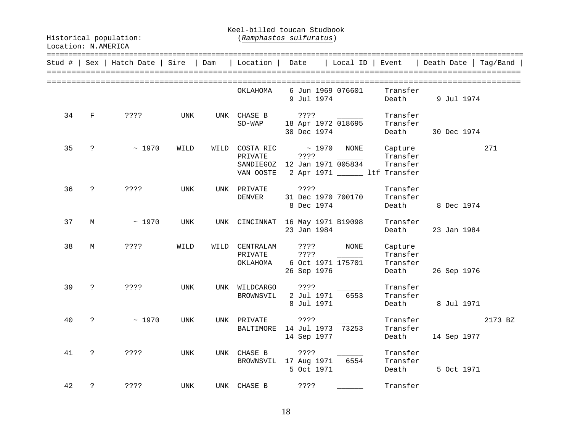Keel-billed toucan Studbook

| Stud # | Sex                  | Hatch Date | Sire       | Dam | Location                               | ======================<br>==========<br>Date<br>Local ID<br>Event<br>Death Date<br>Tag/Band                                                   |
|--------|----------------------|------------|------------|-----|----------------------------------------|-----------------------------------------------------------------------------------------------------------------------------------------------|
|        |                      |            |            |     | OKLAHOMA                               | 6 Jun 1969 076601<br>Transfer<br>9 Jul 1974<br>Death<br>9 Jul 1974                                                                            |
| 34     | F                    | ????       | UNK        |     | UNK CHASE B<br>$SD-WAP$                | ????<br>Transfer<br>18 Apr 1972 018695<br>Transfer<br>30 Dec 1974<br>Death<br>30 Dec 1974                                                     |
| 35     | $\ddot{\phantom{0}}$ | ~1970      | WILD       |     | WILD COSTA RIC<br>PRIVATE<br>VAN OOSTE | $~\sim~1970$<br>271<br>NONE<br>Capture<br>Transfer<br>? ? ? ?<br>SANDIEGOZ 12 Jan 1971 005834<br>Transfer<br>2 Apr 1971 ________ ltf Transfer |
| 36     | $\ddot{ }$           | ? ? ? ?    | UNK        |     | UNK PRIVATE<br>DENVER                  | ? ? ? ?<br>Transfer<br>31 Dec 1970 700170<br>Transfer<br>8 Dec 1974<br>Death<br>8 Dec 1974                                                    |
| 37     | М                    | ~1970      | UNK        |     |                                        | UNK CINCINNAT 16 May 1971 B19098<br>Transfer<br>23 Jan 1984<br>Death<br>23 Jan 1984                                                           |
| 38     | М                    | ? ? ? ?    | WILD       |     | WILD CENTRALAM<br>PRIVATE<br>ОКLАНОМА  | ? ? ? ?<br>NONE<br>Capture<br>Transfer<br>? ? ? ?<br>6 Oct 1971 175701<br>Transfer<br>26 Sep 1976<br>Death<br>26 Sep 1976                     |
| 39     | $\mathsf{P}$         | ????       | UNK        |     | UNK WILDCARGO<br>BROWNSVIL             | Transfer<br>? ? ? ?<br>2 Jul 1971<br>6553<br>Transfer<br>8 Jul 1971<br>8 Jul 1971<br>Death                                                    |
| 40     | $\mathcal{E}$        | ~1970      | UNK        |     | UNK PRIVATE<br>BALTIMORE               | Transfer<br>2173 BZ<br>? ? ? ?<br>14 Jul 1973 73253<br>Transfer<br>14 Sep 1977<br>Death<br>14 Sep 1977                                        |
| 41     | $\mathbf{P}$         | ????       | UNK        |     | UNK CHASE B                            | ????<br>Transfer<br>6554<br>Transfer<br>BROWNSVIL 17 Aug 1971<br>5 Oct 1971<br>Death<br>5 Oct 1971                                            |
| 42     | $\tilde{S}$          | ? ? ? ?    | <b>UNK</b> |     | UNK CHASE B                            | ? ? ? ?<br>Transfer                                                                                                                           |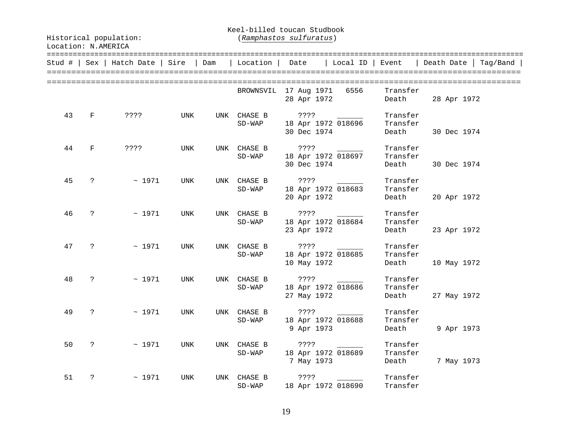Keel-billed toucan Studbook

| Stud # |                      | $Sex  $ Hatch Date   Sire |     | Dam | Location                | Date                                          | Local ID   Event |                               | Death Date<br>Taq/Band |
|--------|----------------------|---------------------------|-----|-----|-------------------------|-----------------------------------------------|------------------|-------------------------------|------------------------|
|        |                      |                           |     |     |                         | BROWNSVIL 17 Aug 1971<br>28 Apr 1972          | 6556             | Transfer<br>Death             | 28 Apr 1972            |
| 43     | $\mathbf{F}$         | ? ? ? ?                   | UNK |     | UNK CHASE B<br>$SD-WAP$ | 7.777<br>18 Apr 1972 018696<br>30 Dec 1974    |                  | Transfer<br>Transfer<br>Death | 30 Dec 1974            |
| 44     | $\mathbf{F}$         | ? ? ? ?                   | UNK |     | UNK CHASE B<br>$SD-WAP$ | ????<br>18 Apr 1972 018697<br>30 Dec 1974     |                  | Transfer<br>Transfer<br>Death | 30 Dec 1974            |
| 45     | $\ddot{\cdot}$       | ~1971                     | UNK |     | UNK CHASE B<br>$SD-WAP$ | ????<br>18 Apr 1972 018683<br>20 Apr 1972     |                  | Transfer<br>Transfer<br>Death | 20 Apr 1972            |
| 46     | $\ddot{\mathbf{?}}$  | ~1971                     | UNK |     | UNK CHASE B<br>$SD-WAP$ | $??\; ?$<br>18 Apr 1972 018684<br>23 Apr 1972 |                  | Transfer<br>Transfer<br>Death | 23 Apr 1972            |
| 47     | $\ddot{\phantom{0}}$ | ~1971                     | UNK |     | UNK CHASE B<br>$SD-WAP$ | ????<br>18 Apr 1972 018685<br>10 May 1972     |                  | Transfer<br>Transfer<br>Death | 10 May 1972            |
| 48     | $\ddot{\cdot}$       | ~1971                     | UNK |     | UNK CHASE B<br>$SD-WAP$ | ? ? ? ?<br>18 Apr 1972 018686<br>27 May 1972  |                  | Transfer<br>Transfer<br>Death | 27 May 1972            |
| 49     | $\ddot{\cdot}$       | ~1971                     | UNK |     | UNK CHASE B<br>$SD-WAP$ | ? ? ? ?<br>18 Apr 1972 018688<br>9 Apr 1973   |                  | Transfer<br>Transfer<br>Death | 9 Apr 1973             |
| 50     | $\mathsf{P}$         | ~1971                     | UNK |     | UNK CHASE B<br>$SD-WAP$ | ????<br>18 Apr 1972 018689<br>7 May 1973      |                  | Transfer<br>Transfer<br>Death | 7 May 1973             |
| 51     | ?                    | ~1971                     | UNK |     | UNK CHASE B<br>$SD-WAP$ | ????<br>18 Apr 1972 018690                    |                  | Transfer<br>Transfer          |                        |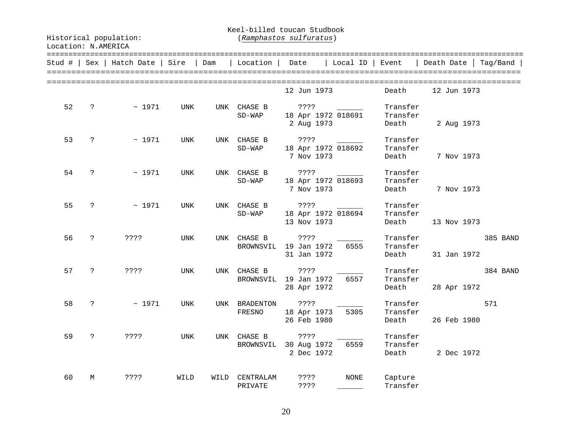Keel-billed toucan Studbook

|    |             | Stud #   Sex   Hatch Date   Sire |            | Dam  | Location                 | Date                                        | Local ID    | Event                         | Death Date  | Taq/Band |
|----|-------------|----------------------------------|------------|------|--------------------------|---------------------------------------------|-------------|-------------------------------|-------------|----------|
|    |             |                                  |            |      |                          | 12 Jun 1973                                 |             | Death                         | 12 Jun 1973 |          |
| 52 | ?           | ~1971                            | UNK        | UNK  | CHASE B<br>$SD-WAP$      | ? ? ? ?<br>18 Apr 1972 018691<br>2 Aug 1973 |             | Transfer<br>Transfer<br>Death | 2 Aug 1973  |          |
| 53 | ?           | ~1971                            | UNK        | UNK  | CHASE B<br>$SD-WAP$      | ? ? ? ?<br>18 Apr 1972 018692<br>7 Nov 1973 |             | Transfer<br>Transfer<br>Death | 7 Nov 1973  |          |
| 54 | ?           | ~1971                            | UNK        |      | UNK CHASE B<br>$SD-WAP$  | ? ? ? ?<br>18 Apr 1972 018693<br>7 Nov 1973 |             | Transfer<br>Transfer<br>Death | 7 Nov 1973  |          |
| 55 | ?           | ~1971                            | <b>UNK</b> |      | UNK CHASE B<br>$SD-WAP$  | ????<br>18 Apr 1972 018694<br>13 Nov 1973   |             | Transfer<br>Transfer<br>Death | 13 Nov 1973 |          |
| 56 | $\tilde{S}$ | ? ? ? ?                          | <b>UNK</b> | UNK  | CHASE B<br>BROWNSVIL     | ? ? ? ?<br>19 Jan 1972<br>31 Jan 1972       | 6555        | Transfer<br>Transfer<br>Death | 31 Jan 1972 | 385 BAND |
| 57 | ?           | ? ? ? ?                          | UNK        | UNK  | CHASE B<br>BROWNSVIL     | ? ? ? ?<br>19 Jan 1972<br>28 Apr 1972       | 6557        | Transfer<br>Transfer<br>Death | 28 Apr 1972 | 384 BAND |
| 58 | ?           | ~1971                            | UNK        |      | UNK BRADENTON<br>FRESNO  | ? ? ? ?<br>18 Apr 1973<br>26 Feb 1980       | 5305        | Transfer<br>Transfer<br>Death | 26 Feb 1980 | 571      |
| 59 | ?           | ? ? ? ?                          | <b>UNK</b> |      | UNK CHASE B<br>BROWNSVIL | ? ? ? ?<br>30 Aug 1972<br>2 Dec 1972        | 6559        | Transfer<br>Transfer<br>Death | 2 Dec 1972  |          |
| 60 | М           | ????                             | WILD       | WILD | CENTRALAM<br>PRIVATE     | ? ? ? ?<br>????                             | <b>NONE</b> | Capture<br>Transfer           |             |          |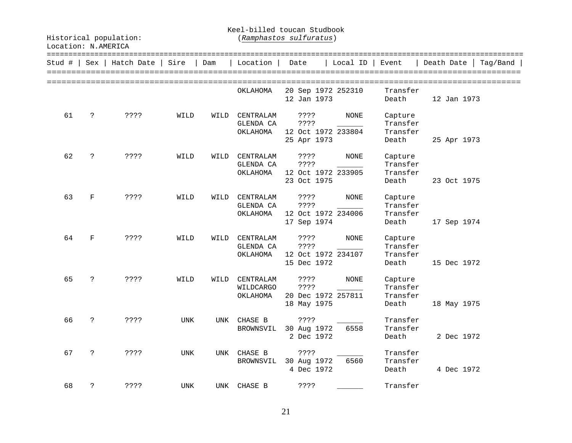Keel-billed toucan Studbook

| Stud # |              | Sex   Hatch Date | Sire | Dam  | Location                           | Date                                                    | Local ID    | Event                                    | Death Date<br>Taq/Band |
|--------|--------------|------------------|------|------|------------------------------------|---------------------------------------------------------|-------------|------------------------------------------|------------------------|
|        |              |                  |      |      | OKLAHOMA                           | 20 Sep 1972 252310<br>12 Jan 1973                       |             | Transfer<br>Death                        | 12 Jan 1973            |
| 61     | $\tilde{S}$  | ? ? ? ?          | WILD | WILD | CENTRALAM<br>GLENDA CA<br>ОКLАНОМА | ? ? ? ?<br>? ? ? ?<br>12 Oct 1972 233804<br>25 Apr 1973 | <b>NONE</b> | Capture<br>Transfer<br>Transfer<br>Death | 25 Apr 1973            |
| 62     | $\ddot{ }$   | ? ? ? ?          | WILD | WILD | CENTRALAM<br>GLENDA CA<br>ОКLАНОМА | ????<br>? ? ? ?<br>12 Oct 1972 233905<br>23 Oct 1975    | NONE        | Capture<br>Transfer<br>Transfer<br>Death | 23 Oct 1975            |
| 63     | $\mathbf F$  | ????             | WILD | WILD | CENTRALAM<br>GLENDA CA<br>ОКLАНОМА | ? ? ? ?<br>? ? ? ?<br>12 Oct 1972 234006<br>17 Sep 1974 | <b>NONE</b> | Capture<br>Transfer<br>Transfer<br>Death | 17 Sep 1974            |
| 64     | $_{\rm F}$   | ? ? ? ?          | WILD | WILD | CENTRALAM<br>GLENDA CA<br>ОКLАНОМА | ? ? ? ?<br>????<br>12 Oct 1972 234107<br>15 Dec 1972    | NONE        | Capture<br>Transfer<br>Transfer<br>Death | 15 Dec 1972            |
| 65     | $\tilde{S}$  | ????             | WILD | WILD | CENTRALAM<br>WILDCARGO<br>ОКLАНОМА | ? ? ? ?<br>? ? ? ?<br>20 Dec 1972 257811<br>18 May 1975 | <b>NONE</b> | Capture<br>Transfer<br>Transfer<br>Death | 18 May 1975            |
| 66     | $\mathbf{P}$ | ????             | UNK  | UNK  | CHASE B<br>BROWNSVIL               | ? ? ? ?<br>30 Aug 1972<br>2 Dec 1972                    | 6558        | Transfer<br>Transfer<br>Death            | 2 Dec 1972             |
| 67     | ?            | ????             | UNK  | UNK  | CHASE B<br>BROWNSVIL 30 Aug 1972   | ????<br>4 Dec 1972                                      | 6560        | Transfer<br>Transfer<br>Death            | 4 Dec 1972             |
| 68     | ?            | ????             | UNK  |      | UNK CHASE B                        | ? ? ? ?                                                 |             | Transfer                                 |                        |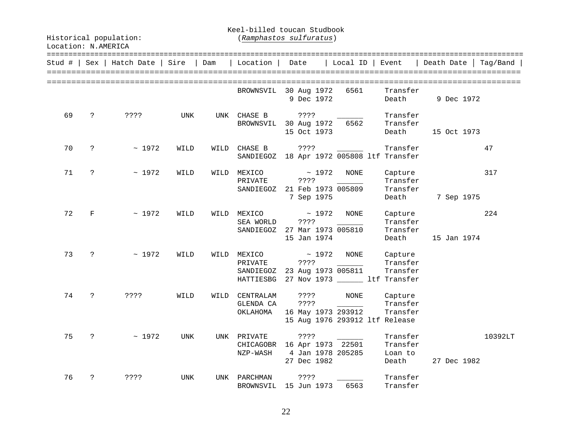Keel-billed toucan Studbook

| Stud # |               | Sex   Hatch Date   Sire |            | Dam  | Location                                                                                            | Date                   |              | $ $ Local ID $ $  | Event                                                             | Death Date  | Taq/Band |
|--------|---------------|-------------------------|------------|------|-----------------------------------------------------------------------------------------------------|------------------------|--------------|-------------------|-------------------------------------------------------------------|-------------|----------|
|        |               |                         |            |      | BROWNSVIL 30 Aug 1972                                                                               | 9 Dec 1972             |              | 6561              | Transfer<br>Death                                                 | 9 Dec 1972  |          |
| 69     | $\ddot{ }$    | ????                    | UNK        |      | UNK CHASE B ????<br>BROWNSVIL 30 Aug 1972                                                           | 15 Oct 1973            |              | 6562              | Transfer<br>Transfer<br>Death                                     | 15 Oct 1973 |          |
| 70     | $\mathsf{P}$  | ~1972                   | WILD       | WILD | CHASE B<br>SANDIEGOZ 18 Apr 1972 005808 ltf Transfer                                                | ????                   |              |                   | Transfer                                                          |             | 47       |
| 71     | $\ddot{?}$    | ~1972                   | WILD       |      | WILD MEXICO<br>PRIVATE<br>SANDIEGOZ 21 Feb 1973 005809                                              | ? ? ? ?<br>7 Sep 1975  | $~\sim~1972$ | NONE              | Capture<br>Transfer<br>Transfer<br>Death                          | 7 Sep 1975  | 317      |
| 72     | F             | ~1972                   | WILD       |      | WILD MEXICO<br>SEA WORLD<br>SANDIEGOZ 27 Mar 1973 005810                                            | ? ? ? ?<br>15 Jan 1974 | $~\sim~1972$ | NONE              | Capture<br>Transfer<br>Transfer<br>Death                          | 15 Jan 1974 | 224      |
| 73     | $\mathcal{P}$ | $\sim 1972$             | WILD       |      | WILD MEXICO<br>PRIVATE<br>SANDIEGOZ 23 Aug 1973 005811<br>HATTIESBG 27 Nov 1973 ______ ltf Transfer | $\sim 1972$<br>? ? ? ? |              | NONE              | Capture<br>Transfer<br>Transfer                                   |             |          |
| 74     | $\mathsf{P}$  | ? ? ? ?                 | WILD       | WILD | CENTRALAM<br>GLENDA CA<br>OKLAHOMA 16 May 1973 293912                                               | ? ? ? ?<br>? ? ? ?     |              | NONE              | Capture<br>Transfer<br>Transfer<br>15 Aug 1976 293912 ltf Release |             |          |
| 75     | $\ddot{?}$    | ~1972                   | <b>UNK</b> |      | UNK PRIVATE<br>CHICAGOBR 16 Apr 1973 22501<br>NZP-WASH                                              | ? ? ? ?<br>27 Dec 1982 |              | 4 Jan 1978 205285 | Transfer<br>Transfer<br>Loan to<br>Death                          | 27 Dec 1982 | 10392LT  |
| 76     | ?             | ????                    | <b>UNK</b> |      | UNK PARCHMAN<br>BROWNSVIL 15 Jun 1973                                                               | ? ? ? ?                |              | 6563              | Transfer<br>Transfer                                              |             |          |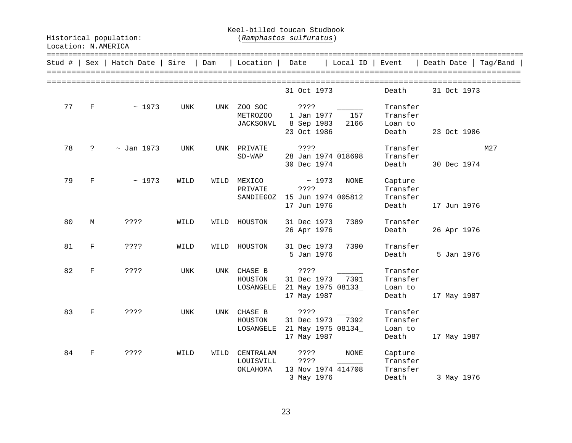Keel-billed toucan Studbook

| Stud # | Sex         | Hatch Date      | Sire       | Dam  | Location                                | Date                                            | Local ID                            | Event                                    | Death Date  | Tag/Band |
|--------|-------------|-----------------|------------|------|-----------------------------------------|-------------------------------------------------|-------------------------------------|------------------------------------------|-------------|----------|
|        |             |                 |            |      |                                         | 31 Oct 1973                                     |                                     | Death                                    | 31 Oct 1973 |          |
| 77     | $\mathbf F$ | ~1973           | <b>UNK</b> | UNK  | ZOO SOC<br>METROZOO<br><b>JACKSONVL</b> | ????<br>1 Jan 1977<br>8 Sep 1983<br>23 Oct 1986 | 157<br>2166                         | Transfer<br>Transfer<br>Loan to<br>Death | 23 Oct 1986 |          |
| 78     | ?           | $\sim$ Jan 1973 | UNK        |      | UNK PRIVATE<br>$SD-WAP$                 | ????<br>30 Dec 1974                             | 28 Jan 1974 018698                  | Transfer<br>Transfer<br>Death            | 30 Dec 1974 | M27      |
| 79     | $\mathbf F$ | ~1973           | WILD       | WILD | MEXICO<br>PRIVATE<br>SANDIEGOZ          | ? ? ? ?<br>17 Jun 1976                          | ~1973<br>NONE<br>15 Jun 1974 005812 | Capture<br>Transfer<br>Transfer<br>Death | 17 Jun 1976 |          |
| 80     | M           | ????            | WILD       | WILD | HOUSTON                                 | 31 Dec 1973<br>26 Apr 1976                      | 7389                                | Transfer<br>Death                        | 26 Apr 1976 |          |
| 81     | F           | ????            | WILD       | WILD | HOUSTON                                 | 31 Dec 1973<br>5 Jan 1976                       | 7390                                | Transfer<br>Death                        | 5 Jan 1976  |          |
| 82     | $\mathbf F$ | ? ? ? ?         | UNK        |      | UNK CHASE B<br>HOUSTON<br>LOSANGELE     | ? ? ? ?<br>31 Dec 1973<br>17 May 1987           | 7391<br>21 May 1975 08133_          | Transfer<br>Transfer<br>Loan to<br>Death | 17 May 1987 |          |
| 83     | F           | ? ? ? ?         | UNK        | UNK  | CHASE B<br>HOUSTON<br>LOSANGELE         | ? ? ? ?<br>31 Dec 1973<br>17 May 1987           | 7392<br>21 May 1975 08134_          | Transfer<br>Transfer<br>Loan to<br>Death | 17 May 1987 |          |
| 84     | F           | ????            | WILD       | WILD | CENTRALAM<br>LOUISVILL<br>OKLAHOMA      | $??\; ?$<br>????<br>3 May 1976                  | NONE<br>13 Nov 1974 414708          | Capture<br>Transfer<br>Transfer<br>Death | 3 May 1976  |          |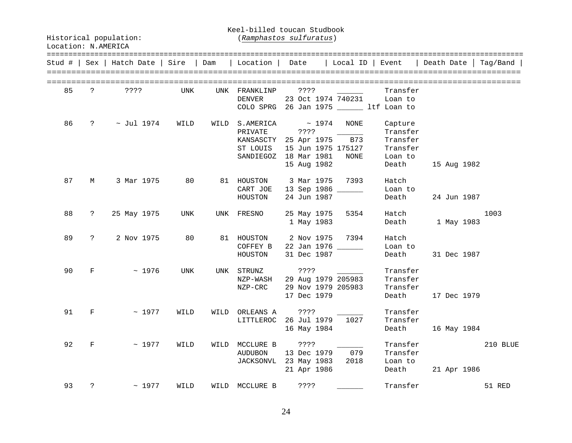Keel-billed toucan Studbook

|    |                      | Stud #   Sex   Hatch Date   Sire   Dam |            |      | Location                                  |             | Date   Local ID   Event |          |             | Death Date   Taq/Band |
|----|----------------------|----------------------------------------|------------|------|-------------------------------------------|-------------|-------------------------|----------|-------------|-----------------------|
|    |                      |                                        |            |      |                                           |             |                         |          |             |                       |
| 85 | $\ddot{ }$           | ????                                   | UNK        |      | UNK FRANKLINP                             | ? ? ? ?     |                         | Transfer |             |                       |
|    |                      |                                        |            |      | DENVER                                    |             | 23 Oct 1974 740231      | Loan to  |             |                       |
|    |                      |                                        |            |      | COLO SPRG 26 Jan 1975 _______ ltf Loan to |             |                         |          |             |                       |
| 86 | $\ddot{?}$           | $\sim$ Jul 1974                        | WILD       |      | WILD S.AMERICA                            | $\sim 1974$ | NONE                    | Capture  |             |                       |
|    |                      |                                        |            |      | PRIVATE                                   | ? ? ? ?     |                         | Transfer |             |                       |
|    |                      |                                        |            |      | KANSASCTY 25 Apr 1975                     |             | B73                     | Transfer |             |                       |
|    |                      |                                        |            |      | ST LOUIS                                  |             | 15 Jun 1975 175127      | Transfer |             |                       |
|    |                      |                                        |            |      | SANDIEGOZ 18 Mar 1981                     |             | NONE                    | Loan to  |             |                       |
|    |                      |                                        |            |      |                                           | 15 Aug 1982 |                         | Death    | 15 Aug 1982 |                       |
| 87 | M                    | 3 Mar 1975                             | 80         |      | 81 HOUSTON                                | 3 Mar 1975  | 7393                    | Hatch    |             |                       |
|    |                      |                                        |            |      | CART JOE                                  |             | 13 Sep 1986 ______      | Loan to  |             |                       |
|    |                      |                                        |            |      | HOUSTON                                   | 24 Jun 1987 |                         | Death    | 24 Jun 1987 |                       |
| 88 | $\ddot{\mathcal{E}}$ | 25 May 1975                            | UNK        | UNK  | FRESNO                                    | 25 May 1975 | 5354                    | Hatch    |             | 1003                  |
|    |                      |                                        |            |      |                                           | 1 May 1983  |                         | Death    | 1 May 1983  |                       |
| 89 | $\ddot{?}$           | 2 Nov 1975                             | 80         |      | 81 HOUSTON                                | 2 Nov 1975  | 7394                    | Hatch    |             |                       |
|    |                      |                                        |            |      | COFFEY B                                  |             | 22 Jan 1976 ______      | Loan to  |             |                       |
|    |                      |                                        |            |      | HOUSTON                                   | 31 Dec 1987 |                         | Death    | 31 Dec 1987 |                       |
| 90 | $_{\rm F}$           | ~1976                                  | <b>UNK</b> |      | UNK STRUNZ                                | ? ? ? ?     |                         | Transfer |             |                       |
|    |                      |                                        |            |      | NZP-WASH                                  |             | 29 Aug 1979 205983      | Transfer |             |                       |
|    |                      |                                        |            |      | NZP-CRC                                   |             | 29 Nov 1979 205983      | Transfer |             |                       |
|    |                      |                                        |            |      |                                           | 17 Dec 1979 |                         | Death    | 17 Dec 1979 |                       |
| 91 | F                    | ~1977                                  | WILD       | WILD | ORLEANS A                                 | ? ? ? ?     |                         | Transfer |             |                       |
|    |                      |                                        |            |      | LITTLEROC 26 Jul 1979                     |             | 1027                    | Transfer |             |                       |
|    |                      |                                        |            |      |                                           | 16 May 1984 |                         | Death    | 16 May 1984 |                       |
| 92 | $_{\rm F}$           | ~1977                                  | WILD       |      | WILD MCCLURE B                            | ? ? ? ?     |                         | Transfer |             | 210 BLUE              |
|    |                      |                                        |            |      | AUDUBON                                   | 13 Dec 1979 | 079                     | Transfer |             |                       |
|    |                      |                                        |            |      | JACKSONVL 23 May 1983                     |             | 2018                    | Loan to  |             |                       |
|    |                      |                                        |            |      |                                           | 21 Apr 1986 |                         | Death    | 21 Apr 1986 |                       |
| 93 | ?                    | ~1977                                  | WILD       |      | WILD MCCLURE B                            | 3333        |                         | Transfer |             | 51 RED                |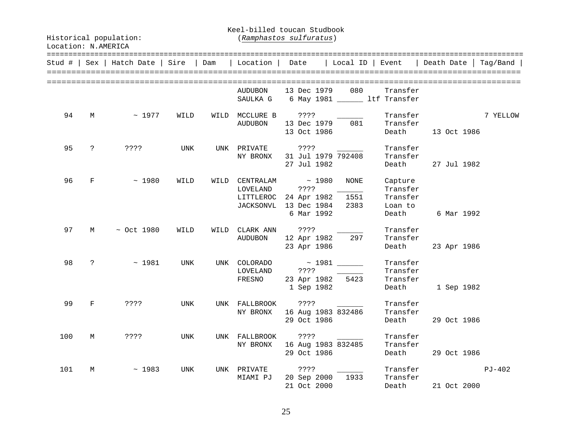Keel-billed toucan Studbook

Historical population: (*Ramphastos sulfuratus*)

|     |              |                 |      |      |                                    |                                                                                                         |              |                                             | Stud #   Sex   Hatch Date   Sire   Dam   Location   Date   Local ID   Event   Death Date   Tag/Band |          |
|-----|--------------|-----------------|------|------|------------------------------------|---------------------------------------------------------------------------------------------------------|--------------|---------------------------------------------|-----------------------------------------------------------------------------------------------------|----------|
|     |              |                 |      |      |                                    |                                                                                                         |              |                                             |                                                                                                     |          |
|     |              |                 |      |      | <b>AUDUBON</b><br>SAULKA G         | 13 Dec 1979 080                                                                                         |              | Transfer<br>6 May 1981 _______ ltf Transfer |                                                                                                     |          |
| 94  | M            | $\sim$ 1977     | WILD | WILD | <b>AUDUBON</b>                     | MCCLURE B ????<br>13 Dec 1979<br>13 Oct 1986                                                            | 081          | Transfer<br>Transfer<br>Death               | 13 Oct 1986                                                                                         | 7 YELLOW |
| 95  | $\ddot{?}$   | ? ? ? ?         | UNK  |      | UNK PRIVATE<br>NY BRONX            | ? ? ? ?<br>31 Jul 1979 792408<br>27 Jul 1982                                                            |              | Transfer<br>Transfer                        | Death 27 Jul 1982                                                                                   |          |
| 96  | F            | $\sim 1980$     | WILD |      | LOVELAND                           | WILD CENTRALAM $\sim 1980$<br>????<br>LITTLEROC 24 Apr 1982 1551<br>JACKSONVL 13 Dec 1984<br>6 Mar 1992 | NONE<br>2383 | Capture<br>Transfer<br>Transfer<br>Loan to  | Death 6 Mar 1992                                                                                    |          |
| 97  | $M$ and $M$  | $\sim$ Oct 1980 | WILD |      | WILD CLARK ANN ????<br>AUDUBON     | 12 Apr 1982<br>23 Apr 1986                                                                              | 297          | Transfer<br>Transfer                        | Death 23 Apr 1986                                                                                   |          |
| 98  | $\ddot{?}$   | $~\sim~1981$    | UNK  |      | UNK COLORADO<br>LOVELAND<br>FRESNO | ? ? ? ?<br>23 Apr 1982 5423<br>1 Sep 1982                                                               |              | Transfer<br>Transfer<br>Transfer<br>Death   | 1 Sep 1982                                                                                          |          |
| 99  | $\mathbf{F}$ | ? ? ? ?         | UNK  |      |                                    | UNK FALLBROOK ????<br>NY BRONX 16 Aug 1983 832486<br>29 Oct 1986                                        |              | Transfer<br>Transfer<br>Death               | 29 Oct 1986                                                                                         |          |
| 100 | M            | ? ? ? ?         | UNK  |      | UNK FALLBROOK<br>NY BRONX          | ????<br>16 Aug 1983 832485<br>29 Oct 1986                                                               |              | Transfer<br>Transfer<br>Death               | 29 Oct 1986                                                                                         |          |
| 101 | М            | ~1983           | UNK  |      | UNK PRIVATE<br>MIAMI PJ            | ????<br>20 Sep 2000<br>21 Oct 2000                                                                      | 1933         | Transfer<br>Transfer<br>Death               | 21 Oct 2000                                                                                         | PJ-402   |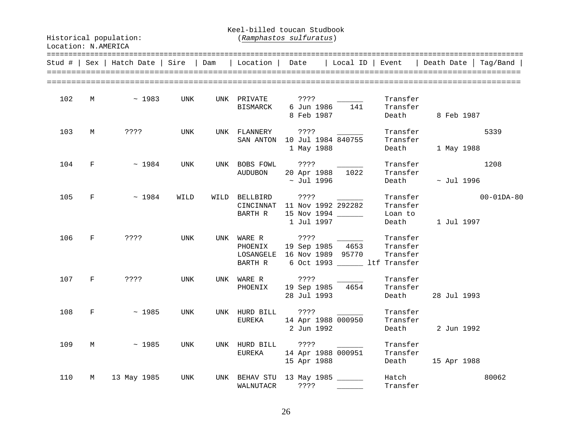Keel-billed toucan Studbook

|     |              | Stud #   Sex   Hatch Date   Sire   Dam |      | Location   Date              |                                                                             | Local ID   Event         |                                                         | Death Date   Tag/Band                      |
|-----|--------------|----------------------------------------|------|------------------------------|-----------------------------------------------------------------------------|--------------------------|---------------------------------------------------------|--------------------------------------------|
| 102 | $M \sim$     | ~1983                                  | UNK  | UNK PRIVATE<br>BISMARCK      | ? ? ? ?<br>6 Jun 1986<br>8 Feb 1987                                         | 141                      | Transfer<br>Transfer                                    | Death 8 Feb 1987                           |
| 103 | M            | ? ? ? ?                                | UNK  | UNK FLANNERY ????            | SAN ANTON 10 Jul 1984 840755<br>1 May 1988                                  |                          | Transfer<br>Transfer                                    | 5339<br>Death 1 May 1988                   |
| 104 | $F =$        | $~\sim~1984$                           | UNK  | AUDUBON                      | UNK BOBS FOWL ????<br>20 Apr 1988 1022<br>$\sim$ Jul 1996                   |                          | Transfer<br>Transfer                                    | 1208<br>Death $\sim$ Jul 1996              |
| 105 | $F =$        | ~1984                                  | WILD | WILD BELLBIRD<br>BARTH R     | ? ? ? ?<br>CINCINNAT 11 Nov 1992 292282<br>15 Nov 1994 ______<br>1 Jul 1997 |                          | Transfer<br>Loan to<br>Death                            | Transfer<br>$00 - 01DA - 80$<br>1 Jul 1997 |
| 106 | F            | ? ? ? ?                                | UNK  | PHOENIX<br>BARTH R           | UNK WARE R ????<br>LOSANGELE 16 Nov 1989 95770                              |                          | Transfer<br>Transfer<br>6 Oct 1993 _______ ltf Transfer |                                            |
| 107 | $\mathbf{F}$ | ????                                   | UNK  | UNK WARE R<br>PHOENIX        | ? ? ? ?<br>19 Sep 1985 4654<br>28 Jul 1993                                  |                          | Transfer<br>Transfer<br>Death                           | 28 Jul 1993                                |
| 108 | $F \sim$     | ~1985                                  | UNK  | EUREKA                       | UNK HURD BILL ????<br>14 Apr 1988 000950<br>2 Jun 1992                      | $\overline{\phantom{a}}$ | Transfer<br>Transfer<br>Death                           | 2 Jun 1992                                 |
| 109 |              | $M \sim 1985$                          | UNK  | UNK HURD BILL ????<br>EUREKA | 14 Apr 1988 000951<br>15 Apr 1988                                           |                          | Transfer<br>Transfer<br>Death                           | 15 Apr 1988                                |
| 110 | M            | 13 May 1985                            | UNK  | WALNUTACR                    | UNK BEHAV STU 13 May 1985 ______<br>? ? ? ?                                 |                          | Hatch<br>Transfer                                       | 80062                                      |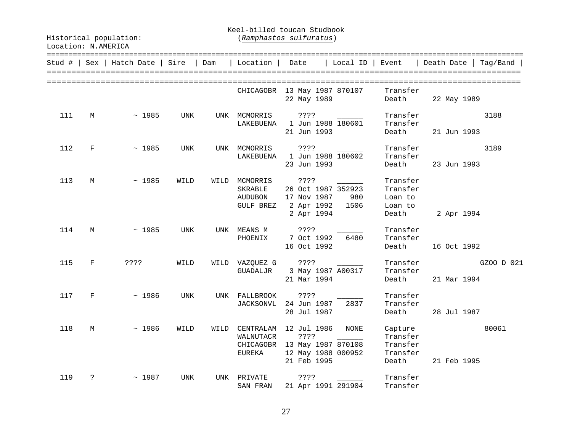Keel-billed toucan Studbook

| Stud # |              | Sex   Hatch Date | Sire | Dam  | Location                                     | Date                                               | Local ID                                                   | Event                                                | =========================<br>Death Date | Tag/Band   |
|--------|--------------|------------------|------|------|----------------------------------------------|----------------------------------------------------|------------------------------------------------------------|------------------------------------------------------|-----------------------------------------|------------|
|        |              |                  |      |      |                                              | 22 May 1989                                        | CHICAGOBR 13 May 1987 870107                               | Transfer<br>Death                                    | 22 May 1989                             |            |
| 111    | М            | ~1985            | UNK  |      | UNK MCMORRIS ????<br>LAKEBUENA               | 21 Jun 1993                                        | 1 Jun 1988 180601                                          | Transfer<br>Transfer<br>Death                        | 21 Jun 1993                             | 3188       |
| 112    | F            | ~1985            | UNK  |      | UNK MCMORRIS                                 | ????<br>23 Jun 1993                                | LAKEBUENA 1 Jun 1988 180602                                | Transfer<br>Transfer<br>Death                        | 23 Jun 1993                             | 3189       |
| 113    | М            | ~1985            | WILD | WILD | MCMORRIS<br>SKRABLE<br>AUDUBON<br>GULF BREZ  | ? ? ? ?<br>17 Nov 1987<br>2 Apr 1992<br>2 Apr 1994 | 26 Oct 1987 352923<br>980<br>1506                          | Transfer<br>Transfer<br>Loan to<br>Loan to<br>Death  | 2 Apr 1994                              |            |
| 114    | М            | ~1985            | UNK  |      | UNK MEANS M<br>PHOENIX                       | ? ? ? ?<br>7 Oct 1992<br>16 Oct 1992               | 6480                                                       | Transfer<br>Transfer<br>Death                        | 16 Oct 1992                             |            |
| 115    | $\mathbf{F}$ | ????             | WILD |      | WILD VAZQUEZ G ????                          | 21 Mar 1994                                        | GUADALJR 3 May 1987 A00317                                 | Transfer<br>Transfer<br>Death                        | 21 Mar 1994                             | GZOO D 021 |
| 117    | F            | ~1986            | UNK  |      | UNK FALLBROOK<br><b>JACKSONVL</b>            | ? ? ? ?<br>24 Jun 1987<br>28 Jul 1987              | 2837                                                       | Transfer<br>Transfer<br>Death                        | 28 Jul 1987                             |            |
| 118    | M            | ~1986            | WILD | WILD | CENTRALAM 12 Jul 1986<br>WALNUTACR<br>EUREKA | ? ? ? ?<br>21 Feb 1995                             | NONE<br>CHICAGOBR 13 May 1987 870108<br>12 May 1988 000952 | Capture<br>Transfer<br>Transfer<br>Transfer<br>Death | 21 Feb 1995                             | 80061      |
| 119    | ?            | ~1987            | UNK  | UNK  | PRIVATE<br>SAN FRAN                          | ? ? ? ?                                            | 21 Apr 1991 291904                                         | Transfer<br>Transfer                                 |                                         |            |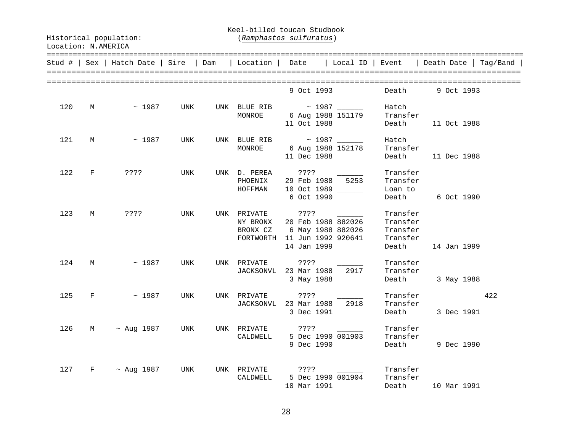Keel-billed toucan Studbook

|     |           | Stud #   Sex   Hatch Date   Sire   Dam |     | Location   Date                                                                             |                       |                                                                        | Local ID   Event   Death Date   Tag/Band                          |            |     |
|-----|-----------|----------------------------------------|-----|---------------------------------------------------------------------------------------------|-----------------------|------------------------------------------------------------------------|-------------------------------------------------------------------|------------|-----|
|     |           |                                        |     |                                                                                             | 9 Oct 1993            |                                                                        | Death                                                             | 9 Oct 1993 |     |
| 120 | $M_{\rm}$ | $\sim$ 1987                            | UNK | UNK BLUE RIB ~ 1987 _______<br>MONROE                                                       |                       | 6 Aug 1988 151179<br>11 Oct 1988                                       | Hatch<br>Transfer<br>Death 11 Oct 1988                            |            |     |
| 121 | М         | $\sim 1987$                            | UNK | UNK BLUE RIB ~ 1987 _______<br>MONROE                                                       |                       | 6 Aug 1988 152178<br>11 Dec 1988                                       | Hatch<br>Transfer<br>Death 11 Dec 1988                            |            |     |
| 122 | F         | ? ? ? ?                                | UNK | UNK D. PEREA<br>PHOENIX<br>HOFFMAN                                                          | ? ? ? ?<br>6 Oct 1990 | 29 Feb 1988 5253<br>10 Oct 1989 _____                                  | Transfer<br>Transfer<br>Loan to<br>Death                          | 6 Oct 1990 |     |
| 123 | M         | ? ? ? ?                                | UNK | UNK PRIVATE ????<br>NY BRONX 20 Feb 1988 882026<br>BRONX CZ<br>FORTWORTH 11 Jun 1992 920641 |                       | 882026 مد⊥ ہے۔<br>6 May 1988 882026<br>11 Jun 1000 متاب<br>14 Jan 1999 | Transfer<br>Transfer<br>Transfer<br>Transfer<br>Death 14 Jan 1999 |            |     |
| 124 | M         | $\sim 1987$                            | UNK | UNK PRIVATE ????<br>JACKSONVL 23 Mar 1988 2917                                              | 3 May 1988            |                                                                        | Transfer<br>Transfer<br>Death                                     | 3 May 1988 |     |
| 125 |           | $F \sim 1987$                          | UNK | UNK PRIVATE ????<br>JACKSONVL 23 Mar 1988 2918                                              |                       | 3 Dec 1991                                                             | Transfer<br>Transfer<br>Death                                     | 3 Dec 1991 | 422 |
| 126 |           | M ~ Aug 1987                           | UNK | UNK PRIVATE ???? 2000<br>CALDWELL                                                           | 9 Dec 1990            | 5 Dec 1990 001903                                                      | Transfer<br>Transfer<br>Death                                     | 9 Dec 1990 |     |
| 127 |           | F ~ Aug 1987                           | UNK | UNK PRIVATE ????<br>CALDWELL                                                                | 10 Mar 1991           | 5 Dec 1990 001904                                                      | Transfer<br>Transfer<br>Death 10 Mar 1991                         |            |     |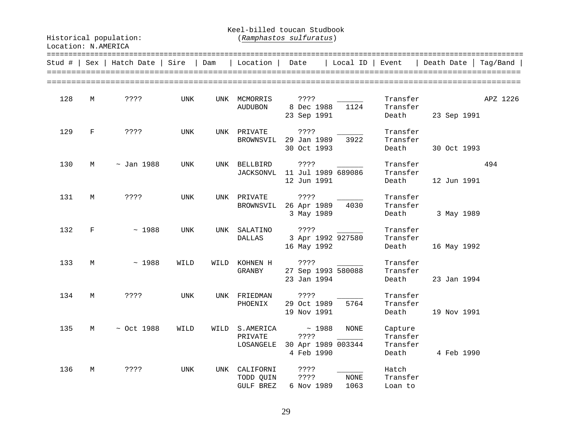Keel-billed toucan Studbook

| Stud #   Sex |            | Hatch Date   Sire |            | Dam  | Location                                   | Date                                                 | Local ID   Event    |                                          | Death Date  | Tag/Band |
|--------------|------------|-------------------|------------|------|--------------------------------------------|------------------------------------------------------|---------------------|------------------------------------------|-------------|----------|
| 128          | М          | ????              | UNK        |      | UNK MCMORRIS<br>AUDUBON                    | ????<br>8 Dec 1988<br>23 Sep 1991                    | 1124                | Transfer<br>Transfer<br>Death            | 23 Sep 1991 | APZ 1226 |
| 129          | F          | ? ? ? ?           | UNK        |      | UNK PRIVATE<br>BROWNSVIL                   | ????<br>29 Jan 1989<br>30 Oct 1993                   | 3922                | Transfer<br>Transfer<br>Death            | 30 Oct 1993 |          |
| 130          | М          | $\sim$ Jan 1988   | UNK        | UNK  | BELLBIRD<br><b>JACKSONVL</b>               | ? ? ? ?<br>11 Jul 1989 689086<br>12 Jun 1991         |                     | Transfer<br>Transfer<br>Death            | 12 Jun 1991 | 494      |
| 131          | М          | ? ? ? ?           | UNK        |      | UNK PRIVATE<br>BROWNSVIL                   | ? ? ? ?<br>26 Apr 1989<br>3 May 1989                 | 4030                | Transfer<br>Transfer<br>Death            | 3 May 1989  |          |
| 132          | $_{\rm F}$ | ~1988             | <b>UNK</b> |      | UNK SALATINO<br><b>DALLAS</b>              | ? ? ? ?<br>3 Apr 1992 927580<br>16 May 1992          |                     | Transfer<br>Transfer<br>Death            | 16 May 1992 |          |
| 133          | M          | ~1988             | WILD       | WILD | KOHNEN H<br>GRANBY                         | ? ? ? ?<br>27 Sep 1993 580088<br>23 Jan 1994         |                     | Transfer<br>Transfer<br>Death            | 23 Jan 1994 |          |
| 134          | M          | ????              | UNK        |      | UNK FRIEDMAN<br>PHOENIX                    | ? ? ? ?<br>29 Oct 1989<br>19 Nov 1991                | 5764                | Transfer<br>Transfer<br>Death            | 19 Nov 1991 |          |
| 135          | М          | $\sim$ Oct 1988   | WILD       | WILD | S.AMERICA<br>PRIVATE<br>LOSANGELE          | ~1988<br>? ? ? ?<br>30 Apr 1989 003344<br>4 Feb 1990 | <b>NONE</b>         | Capture<br>Transfer<br>Transfer<br>Death | 4 Feb 1990  |          |
| 136          | М          | ????              | UNK        | UNK  | CALIFORNI<br>TODD QUIN<br><b>GULF BREZ</b> | ????<br>? ? ? ?<br>6 Nov 1989                        | <b>NONE</b><br>1063 | Hatch<br>Transfer<br>Loan to             |             |          |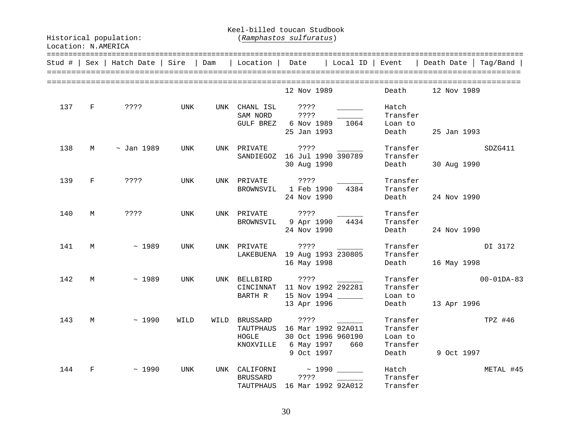#### Keel-billed toucan Studbook

|     |              | Stud #   Sex   Hatch Date   Sire   Dam |      |      | Location   Date                 |                                                                                      | Local ID   Event |                                                      | Death Date              | Taq/Band         |
|-----|--------------|----------------------------------------|------|------|---------------------------------|--------------------------------------------------------------------------------------|------------------|------------------------------------------------------|-------------------------|------------------|
|     |              |                                        |      |      |                                 | 12 Nov 1989                                                                          |                  | Death                                                | 12 Nov 1989             |                  |
|     | 137 F        | ? ? ? ?                                | UNK  | UNK  | CHANL ISL ????<br>SAM NORD ???? | GULF BREZ 6 Nov 1989 1064<br>25 Jan 1993                                             |                  | Hatch<br>Transfer<br>Loan to<br>Death                | 25 Jan 1993             |                  |
| 138 | М            | $\sim$ Jan 1989                        | UNK  |      | UNK PRIVATE                     | ? ? ? ?<br>SANDIEGOZ 16 Jul 1990 390789<br>30 Aug 1990                               |                  | Transfer<br>Transfer                                 | Death 30 Aug 1990       | SDZG411          |
| 139 | $\mathbf{F}$ | ????                                   | UNK  |      | UNK PRIVATE                     | ? ? ? ?<br>BROWNSVIL 1 Feb 1990<br>24 Nov 1990                                       | 4384             | Transfer<br>Transfer<br>Death                        | 24 Nov 1990             |                  |
| 140 | M            | ? ? ? ?                                | UNK  |      |                                 | UNK PRIVATE ????<br>BROWNSVIL 9 Apr 1990 4434<br>24 Nov 1990                         |                  | Transfer<br>Transfer<br>Death                        | 24 Nov 1990             |                  |
| 141 | M            | $\sim$ 1989                            | UNK  |      | UNK PRIVATE                     | ? ? ? ?<br>LAKEBUENA 19 Aug 1993 230805<br>16 May 1998                               |                  | Transfer<br>Transfer<br>Death                        | 16 May 1998             | DI 3172          |
| 142 | M            | $\sim 1989$                            | UNK  |      | UNK BELLBIRD<br>BARTH R         | CINCINNAT 11 Nov 1992 292281<br>15 Nov 1994 ______<br>13 Apr 1996                    |                  | Transfer<br>Loan to<br>Death                         | Transfer<br>13 Apr 1996 | $00 - 01DA - 83$ |
| 143 | М            | ~1990                                  | WILD | WILD | BRUSSARD<br>HOGLE<br>KNOXVILLE  | TAUTPHAUS 16 Mar 1992 92A011<br>30 Oct 1996 960190<br>6 May 1997 660<br>9 Oct 1997   |                  | Transfer<br>Transfer<br>Loan to<br>Transfer<br>Death | 9 Oct 1997              | TPZ #46          |
| 144 | F            | ~1990                                  | UNK  | UNK  | BRUSSARD                        | CALIFORNI $\sim$ 1990 $\_\_\_\_\_\_\_\_\_\_$<br>????<br>TAUTPHAUS 16 Mar 1992 92A012 |                  | Hatch<br>Transfer<br>Transfer                        |                         | METAL #45        |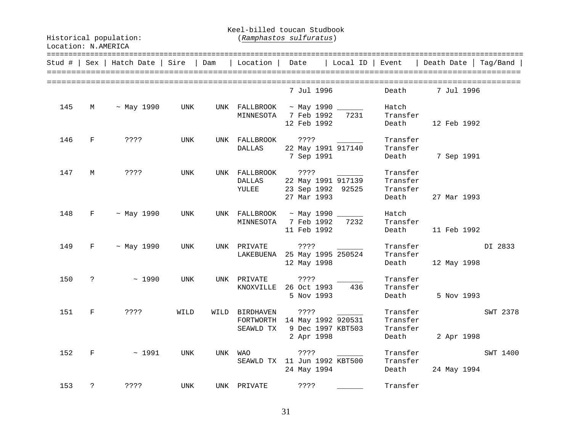Keel-billed toucan Studbook

| Stud # |            | $Sex  $ Hatch Date $ $ Sire |            | Dam | Location                                                    | Date                      | Local ID                                | Event                                     | Death Date  | Taq/Band |
|--------|------------|-----------------------------|------------|-----|-------------------------------------------------------------|---------------------------|-----------------------------------------|-------------------------------------------|-------------|----------|
|        |            |                             |            |     |                                                             | 7 Jul 1996                |                                         | Death                                     | 7 Jul 1996  |          |
| 145    | M          | $~\sim$ May 1990            | UNK        |     | UNK FALLBROOK<br>MINNESOTA 7 Feb 1992 7231                  | 12 Feb 1992               |                                         | Hatch<br>Transfer<br>Death                | 12 Feb 1992 |          |
| 146    | F          | ? ? ? ?                     | UNK        |     | UNK FALLBROOK<br>DALLAS                                     | ? ? ? ?<br>7 Sep 1991     | 22 May 1991 917140                      | Transfer<br>Transfer<br>Death             | 7 Sep 1991  |          |
| 147    | М          | 3333                        | UNK        |     | UNK FALLBROOK<br>DALLAS<br>YULEE                            | ????<br>27 Mar 1993       | 22 May 1991 917139<br>23 Sep 1992 92525 | Transfer<br>Transfer<br>Transfer<br>Death | 27 Mar 1993 |          |
| 148    | $F \sim 1$ | ~ May 1990                  | UNK        |     | UNK FALLBROOK ~ May 1990 _______<br>MINNESOTA               | 7 Feb 1992<br>11 Feb 1992 | 7232                                    | Hatch<br>Transfer<br>Death                | 11 Feb 1992 |          |
| 149    | $F \sim 1$ | $~\sim$ May 1990            | UNK        |     | UNK PRIVATE<br>LAKEBUENA 25 May 1995 250524                 | ? ? ? ?<br>12 May 1998    |                                         | Transfer<br>Transfer<br>Death             | 12 May 1998 | DI 2833  |
| 150    | $\ddot{ }$ | ~1990                       | <b>UNK</b> |     | UNK PRIVATE<br>KNOXVILLE 26 Oct 1993                        | ????<br>5 Nov 1993        | 436                                     | Transfer<br>Transfer<br>Death             | 5 Nov 1993  |          |
| 151    | F          | $??\; ?$                    | WILD       |     | WILD BIRDHAVEN<br>FORTWORTH 14 May 1992 920531<br>SEAWLD TX | ? ? ? ?<br>2 Apr 1998     | 9 Dec 1997 KBT503                       | Transfer<br>Transfer<br>Transfer<br>Death | 2 Apr 1998  | SWT 2378 |
| 152    | F          | ~1991                       | UNK        | UNK | WAO<br>SEAWLD TX 11 Jun 1992 KBT500                         | ????<br>24 May 1994       |                                         | Transfer<br>Transfer<br>Death             | 24 May 1994 | SWT 1400 |
| 153    | ?          | ????                        | UNK        |     | UNK PRIVATE                                                 | ????                      |                                         | Transfer                                  |             |          |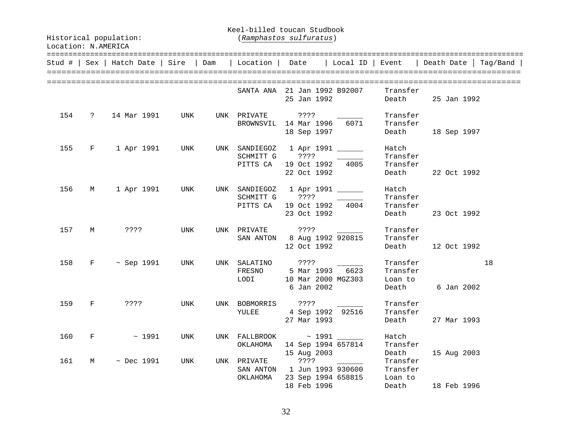Keel-billed toucan Studbook

|     |                               | Stud #   Sex   Hatch Date   Sire   Dam   Location   Date |     |                              |                                                                                                         |                                           |                               | Local ID   Event   Death Date   Tag/Band |
|-----|-------------------------------|----------------------------------------------------------|-----|------------------------------|---------------------------------------------------------------------------------------------------------|-------------------------------------------|-------------------------------|------------------------------------------|
|     |                               |                                                          |     |                              | SANTA ANA 21 Jan 1992 B92007 Transfer<br>25 Jan 1992                                                    |                                           |                               | Death 25 Jan 1992                        |
|     |                               | 154 ? 14 Mar 1991 UNK                                    |     |                              | UNK PRIVATE ????<br>BROWNSVIL 14 Mar 1996 6071<br>18 Sep 1997                                           |                                           | Transfer<br>Transfer          | Death 18 Sep 1997                        |
|     |                               | 155 F 1 Apr 1991 UNK                                     |     |                              | UNK SANDIEGOZ 1 Apr 1991 _______<br>SCHMITT G ???? ________<br>PITTS CA 19 Oct 1992 4005<br>22 Oct 1992 |                                           | Hatch<br>Transfer<br>Transfer | Death 22 Oct 1992                        |
| 156 |                               | M 1 Apr 1991 UNK                                         |     |                              | UNK SANDIEGOZ 1 Apr 1991 ______<br>SCHMITT G ???? 2000<br>PITTS CA 19 Oct 1992 4004                     | 23 Oct 1992                               | Hatch<br>Transfer<br>Transfer | Death 23 Oct 1992                        |
|     |                               | 157 M ????                                               | UNK |                              | SAN ANTON 8 Aug 1992 920815                                                                             | 12 Oct 1992                               | Transfer<br>Transfer          | Death 12 Oct 1992                        |
| 158 |                               | F ~ Sep 1991 UNK                                         |     |                              | UNK SALATINO ????<br>LODI 10 Mar 2000 MGZ303 Loan to<br>6 Jan 2002                                      |                                           | Transfer<br>Transfer          | 18<br>Death 6 Jan 2002                   |
| 159 | $\mathbf{F}$ and $\mathbf{F}$ | ? ? ? ?                                                  | UNK |                              | UNK BOBMORRIS ????<br>BOBMORRIS ????<br>YULEE 4 Sep 1992 92516<br>27 Mar 1993                           |                                           | Transfer<br>Transfer          | Death 27 Mar 1993                        |
|     |                               | $160$ F ~ 1991                                           | UNK |                              | UNK FALLBROOK ~ 1991 _______<br>OKLAHOMA 14 Sep 1994 657814<br>15 Aug 2003                              |                                           | Hatch<br>Transfer<br>Death    | 15 Aug 2003                              |
| 161 | M                             | $~\sim$ Dec 1991                                         | UNK | UNK PRIVATE ????<br>OKLAHOMA | PRIVATE ????<br>SAN ANTON 1 Jun 1993 930600 Transfer                                                    | 23 Sep 1994 658815 Loan to<br>18 Feb 1996 |                               | Death 18 Feb 1996                        |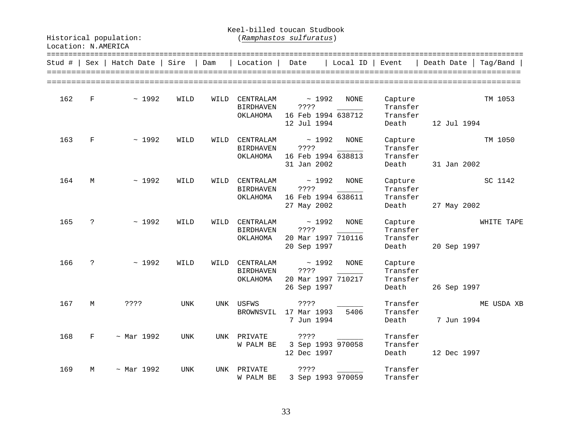Keel-billed toucan Studbook

| Location: N.AMERICA |  |
|---------------------|--|
|---------------------|--|

| Stud # | Sex            | Hatch Date       | Sire | Dam  | Location                                  | Date                                               | Local ID    | Event                                    | Death Date  | Tag/Band   |
|--------|----------------|------------------|------|------|-------------------------------------------|----------------------------------------------------|-------------|------------------------------------------|-------------|------------|
| 162    | $\mathbf F$    | ~1992            | WILD | WILD | CENTRALAM<br><b>BIRDHAVEN</b><br>OKLAHOMA | ~1992<br>????<br>16 Feb 1994 638712<br>12 Jul 1994 | NONE        | Capture<br>Transfer<br>Transfer<br>Death | 12 Jul 1994 | TM 1053    |
| 163    | F              | ~1992            | WILD | WILD | CENTRALAM<br><b>BIRDHAVEN</b><br>OKLAHOMA | ~1992<br>????<br>16 Feb 1994 638813<br>31 Jan 2002 | <b>NONE</b> | Capture<br>Transfer<br>Transfer<br>Death | 31 Jan 2002 | TM 1050    |
| 164    | М              | ~1992            | WILD | WILD | CENTRALAM<br><b>BIRDHAVEN</b><br>OKLAHOMA | ~1992<br>????<br>16 Feb 1994 638611<br>27 May 2002 | NONE        | Capture<br>Transfer<br>Transfer<br>Death | 27 May 2002 | SC 1142    |
| 165    | $\ddot{ }$     | ~1992            | WILD | WILD | CENTRALAM<br><b>BIRDHAVEN</b><br>OKLAHOMA | ~1992<br>????<br>20 Mar 1997 710116<br>20 Sep 1997 | NONE        | Capture<br>Transfer<br>Transfer<br>Death | 20 Sep 1997 | WHITE TAPE |
| 166    | $\ddot{\cdot}$ | ~1992            | WILD | WILD | CENTRALAM<br><b>BIRDHAVEN</b><br>OKLAHOMA | ~1992<br>????<br>20 Mar 1997 710217<br>26 Sep 1997 | <b>NONE</b> | Capture<br>Transfer<br>Transfer<br>Death | 26 Sep 1997 |            |
| 167    | М              | ????             | UNK  | UNK  | USFWS<br>BROWNSVIL                        | ????<br>17 Mar 1993<br>7 Jun 1994                  | 5406        | Transfer<br>Transfer<br>Death            | 7 Jun 1994  | ME USDA XB |
| 168    | F              | ~ Mar 1992       | UNK  |      | UNK PRIVATE<br>W PALM BE                  | ????<br>3 Sep 1993 970058<br>12 Dec 1997           |             | Transfer<br>Transfer<br>Death            | 12 Dec 1997 |            |
| 169    | М              | $~\sim$ Mar 1992 | UNK  | UNK  | PRIVATE<br>W PALM BE                      | ? ? ? ?<br>3 Sep 1993 970059                       |             | Transfer<br>Transfer                     |             |            |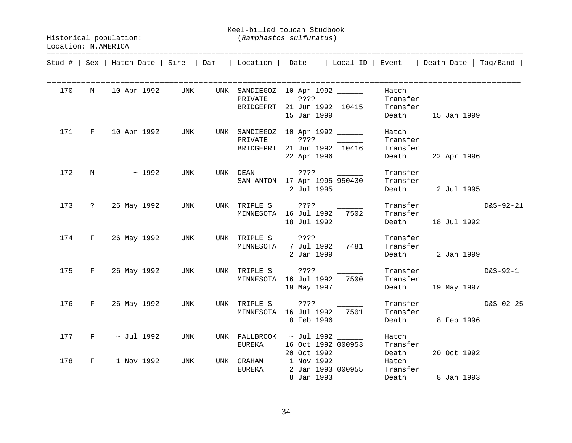Keel-billed toucan Studbook

|     |             | Stud #   Sex   Hatch Date   Sire   Dam   Location   Date |     |     |                                   |                                                                         |                                        |                                        | Local ID   Event   Death Date | Tag/Band    |
|-----|-------------|----------------------------------------------------------|-----|-----|-----------------------------------|-------------------------------------------------------------------------|----------------------------------------|----------------------------------------|-------------------------------|-------------|
| 170 | М           | 10 Apr 1992                                              | UNK | UNK | SANDIEGOZ<br>PRIVATE<br>BRIDGEPRT | 10 Apr 1992<br>????<br>21 Jun 1992 10415<br>15 Jan 1999                 |                                        | Hatch<br>Transfer<br>Transfer<br>Death | 15 Jan 1999                   |             |
| 171 | $F \sim$    | 10 Apr 1992 UNK                                          |     |     | PRIVATE                           | UNK SANDIEGOZ 10 Apr 1992<br>BRIDGEPRT 21 Jun 1992 10416<br>22 Apr 1996 |                                        | Hatch<br>Transfer<br>Transfer<br>Death | 22 Apr 1996                   |             |
| 172 | $M$ and $M$ | ~1992                                                    | UNK |     | UNK DEAN                          | ? ? ? ?<br>SAN ANTON 17 Apr 1995 950430<br>2 Jul 1995                   |                                        | Transfer<br>Transfer<br>Death          | 2 Jul 1995                    |             |
| 173 |             | ? 26 May 1992                                            | UNK |     | UNK TRIPLE S                      | ? ? ? ?<br>MINNESOTA 16 Jul 1992 7502<br>18 Jul 1992                    |                                        | Transfer<br>Transfer<br>Death          | 18 Jul 1992                   | $D&S-92-21$ |
| 174 | $F \sim$    | 26 May 1992                                              | UNK |     | UNK TRIPLE S ????<br>MINNESOTA    | 7 Jul 1992<br>2 Jan 1999                                                | 7481                                   | Transfer<br>Transfer<br>Death          | 2 Jan 1999                    |             |
| 175 |             | F 26 May 1992                                            | UNK |     | UNK TRIPLE S ????                 | MINNESOTA 16 Jul 1992<br>19 May 1997                                    | 7500                                   | Transfer<br>Death                      | Transfer<br>19 May 1997       | D&S-92-1    |
| 176 | $F \sim$    | 26 May 1992                                              | UNK |     | UNK TRIPLE S                      | ? ? ? ?<br>MINNESOTA 16 Jul 1992<br>8 Feb 1996                          | 7501                                   | Transfer<br>Transfer                   | Death 8 Feb 1996              | $D&S-02-25$ |
| 177 |             | $F \sim$ Jul 1992                                        | UNK |     | EUREKA                            | UNK FALLBROOK ~ Jul 1992 ______<br>16 Oct 1992 000953<br>20 Oct 1992    |                                        | Hatch<br>Transfer<br>Death             | 20 Oct 1992                   |             |
| 178 | F           | 1 Nov 1992                                               | UNK |     | UNK GRAHAM<br>EUREKA              | 8 Jan 1993                                                              | 1 Nov 1992 ______<br>2 Jan 1993 000955 | Hatch<br>Transfer                      | Death 8 Jan 1993              |             |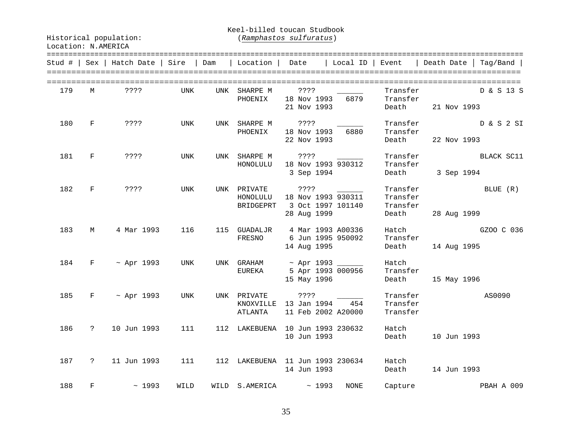Keel-billed toucan Studbook

| Stud # | Sex           | Hatch Date        | Sire | Dam | ============<br>Location | Date                                                                                | Local ID | Event                            | =======================<br>Death Date | Taq/Band   |
|--------|---------------|-------------------|------|-----|--------------------------|-------------------------------------------------------------------------------------|----------|----------------------------------|---------------------------------------|------------|
| 179    | M             | $??\,?\,?$        | UNK  | UNK | SHARPE M<br>PHOENIX      | ? ? ? ?<br>18 Nov 1993<br>21 Nov 1993                                               | 6879     | Transfer<br>Transfer<br>Death    | 21 Nov 1993                           | D & S 13 S |
| 180    | $\mathbf{F}$  | ? ? ? ?           | UNK  |     | UNK SHARPE M<br>PHOENIX  | ????<br>18 Nov 1993<br>22 Nov 1993                                                  | 6880     | Transfer<br>Transfer<br>Death    | 22 Nov 1993                           | D & S 2 SI |
| 181    | $-$ F $-$     | ? ? ? ?           | UNK  |     | UNK SHARPE M<br>HONOLULU | ????<br>18 Nov 1993 930312<br>3 Sep 1994                                            |          | Transfer<br>Transfer<br>Death    | 3 Sep 1994                            | BLACK SC11 |
| 182    | F             | ? ? ? ?           | UNK  |     | BRIDGEPRT                | UNK PRIVATE ????<br>HONOLULU 18 Nov 1993 930311<br>3 Oct 1997 101140<br>28 Aug 1999 |          | Transfer<br>Transfer<br>Death    | Transfer<br>28 Aug 1999               | BLUE (R)   |
| 183    | M             | 4 Mar 1993        | 116  | 115 | GUADALJR<br>FRESNO       | 4 Mar 1993 A00336<br>6 Jun 1995 950092<br>14 Aug 1995                               |          | Hatch<br>Transfer<br>Death       | 14 Aug 1995                           | GZOO C 036 |
| 184    |               | $F \sim$ Apr 1993 | UNK  |     | EUREKA                   | UNK GRAHAM ~ Apr 1993<br>5 Apr 1993 000956<br>15 May 1996                           |          | Hatch<br>Transfer<br>Death       | 15 May 1996                           |            |
| 185    |               | $F \sim$ Apr 1993 | UNK  |     | UNK PRIVATE<br>ATLANTA   | ????<br>KNOXVILLE 13 Jan 1994<br>11 Feb 2002 A20000                                 | 454      | Transfer<br>Transfer<br>Transfer |                                       | AS0090     |
| 186    | $\ddot{?}$    | 10 Jun 1993       | 111  |     |                          | 112 LAKEBUENA 10 Jun 1993 230632<br>10 Jun 1993                                     |          | Hatch<br>Death                   | 10 Jun 1993                           |            |
| 187    | $\mathcal{E}$ | 11 Jun 1993       | 111  |     |                          | 112 LAKEBUENA 11 Jun 1993 230634<br>14 Jun 1993                                     |          | Hatch<br>Death                   | 14 Jun 1993                           |            |
| 188    | F             | ~1993             | WILD |     | WILD S.AMERICA           | $\sim 1993$                                                                         | NONE     |                                  | Capture                               | PBAH A 009 |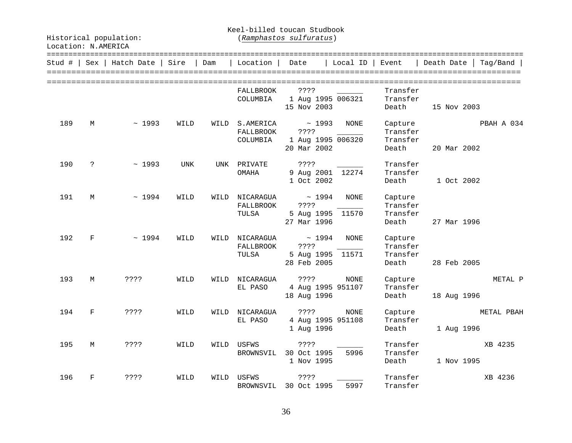Keel-billed toucan Studbook

Historical population: (*Ramphastos sulfuratus*)

| Stud # | Sex                | Hatch Date   Sire |      | Dam  | Location                               | Date                                                       | Local ID    | Event                                    | Death Date  <br>Tag/Band  |
|--------|--------------------|-------------------|------|------|----------------------------------------|------------------------------------------------------------|-------------|------------------------------------------|---------------------------|
|        |                    |                   |      |      | <b>FALLBROOK</b><br>COLUMBIA           | ????<br>1 Aug 1995 006321<br>15 Nov 2003                   |             | Transfer<br>Transfer<br>Death            | 15 Nov 2003               |
| 189    | М                  | ~1993             | WILD | WILD | S.AMERICA<br>FALLBROOK<br>COLUMBIA     | $\sim 1993$<br>? ? ? ?<br>1 Aug 1995 006320<br>20 Mar 2002 | NONE        | Capture<br>Transfer<br>Transfer<br>Death | PBAH A 034<br>20 Mar 2002 |
| 190    | $\mathbf{P}$       | ~1993             | UNK  |      | UNK PRIVATE<br>OMAHA                   | ? ? ? ?<br>9 Aug 2001 12274<br>1 Oct 2002                  |             | Transfer<br>Transfer<br>Death            | 1 Oct 2002                |
| 191    | М                  | ~1994             | WILD | WILD | NICARAGUA<br><b>FALLBROOK</b><br>TULSA | $\sim 1994$<br>? ? ? ?<br>5 Aug 1995 11570<br>27 Mar 1996  | <b>NONE</b> | Capture<br>Transfer<br>Transfer<br>Death | 27 Mar 1996               |
| 192    | $\mathbf{F}$       | ~1994             | WILD | WILD | NICARAGUA<br><b>FALLBROOK</b><br>TULSA | $\sim 1994$<br>? ? ? ?<br>5 Aug 1995 11571<br>28 Feb 2005  | <b>NONE</b> | Capture<br>Transfer<br>Transfer<br>Death | 28 Feb 2005               |
| 193    | М                  | ? ? ? ?           | WILD | WILD | NICARAGUA<br>EL PASO                   | ? ? ? ?<br>4 Aug 1995 951107<br>18 Aug 1996                | NONE        | Capture<br>Transfer<br>Death             | METAL P<br>18 Aug 1996    |
| 194    | $\mathbf{F}% _{0}$ | ? ? ? ?           | WILD | WILD | NICARAGUA<br>EL PASO                   | ? ? ? ?<br>4 Aug 1995 951108<br>1 Aug 1996                 | NONE        | Capture<br>Transfer<br>Death             | METAL PBAH<br>1 Aug 1996  |
| 195    | М                  | ? ? ? ?           | WILD |      | WILD USFWS<br>BROWNSVIL                | ? ? ? ?<br>30 Oct 1995<br>1 Nov 1995                       | 5996        | Transfer<br>Transfer<br>Death            | XB 4235<br>1 Nov 1995     |
| 196    | F                  | ????              | WILD | WILD | USFWS<br>BROWNSVIL                     | ????<br>30 Oct 1995                                        | 5997        | Transfer<br>Transfer                     | XB 4236                   |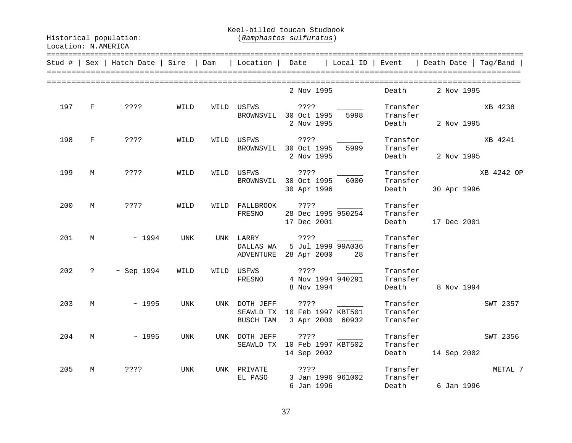Keel-billed toucan Studbook

|     |              | Stud #   Sex   Hatch Date   Sire |            | Dam | Location                   | Date                                                            | Local ID | Event                            | =======================<br>Death Date    | Tag/Band |
|-----|--------------|----------------------------------|------------|-----|----------------------------|-----------------------------------------------------------------|----------|----------------------------------|------------------------------------------|----------|
|     |              |                                  |            |     |                            | 2 Nov 1995                                                      |          | Death                            | 2 Nov 1995                               |          |
| 197 | $\mathbf{F}$ | ????                             | WILD       |     |                            | WILD USFWS ????<br>BROWNSVIL 30 Oct 1995<br>2 Nov 1995          | 5998     | Transfer<br>Death                | Transfer<br>2 Nov 1995                   | XB 4238  |
| 198 | $\mathbf{F}$ | ? ? ? ?                          | WILD       |     | WILD USFWS                 | ? ? ? ?<br>BROWNSVIL 30 Oct 1995<br>2 Nov 1995                  | 5999     | Transfer<br>Transfer             | Death 2 Nov 1995                         | XB 4241  |
| 199 | M            | ????                             | WILD       |     | BROWNSVIL                  | WILD USFWS ????<br>30 Oct 1995<br>30 Apr 1996                   | 6000     | Transfer                         | Transfer XB 4242 OP<br>Death 30 Apr 1996 |          |
| 200 | M            | ? ? ? ?                          | WILD       |     |                            | WILD FALLBROOK ????<br>FRESNO 28 Dec 1995 950254<br>17 Dec 2001 |          | Transfer<br>Transfer             | Death 17 Dec 2001                        |          |
| 201 |              | $M \sim 1994$                    | UNK        |     | UNK LARRY                  | 222<br>DALLAS WA 5 Jul 1999 99A036<br>ADVENTURE 28 Apr 2000 28  |          | Transfer<br>Transfer<br>Transfer |                                          |          |
| 202 |              | $? \sim$ Sep 1994                | WILD       |     | WILD USFWS ????<br>FRESNO  | 4 Nov 1994 940291<br>8 Nov 1994                                 |          | Transfer<br>Transfer             | Death 8 Nov 1994                         |          |
| 203 | M            | $\sim 1995$                      | UNK        |     | UNK DOTH JEFF<br>BUSCH TAM | ? ? ? ?<br>SEAWLD TX 10 Feb 1997 KBT501<br>3 Apr 2000 60932     |          | Transfer<br>Transfer<br>Transfer |                                          | SWT 2357 |
| 204 | M            | $\sim 1995$                      | UNK        |     | UNK DOTH JEFF              | ? ? ? ?<br>SEAWLD TX 10 Feb 1997 KBT502<br>14 Sep 2002          |          | Transfer<br>Transfer<br>Death    | 14 Sep 2002                              | SWT 2356 |
| 205 | М            | ? ? ? ?                          | <b>UNK</b> |     | EL PASO                    | UNK PRIVATE ????<br>3 Jan 1996 961002<br>6 Jan 1996             |          | Transfer                         | Transfer<br>Death 6 Jan 1996             | METAL 7  |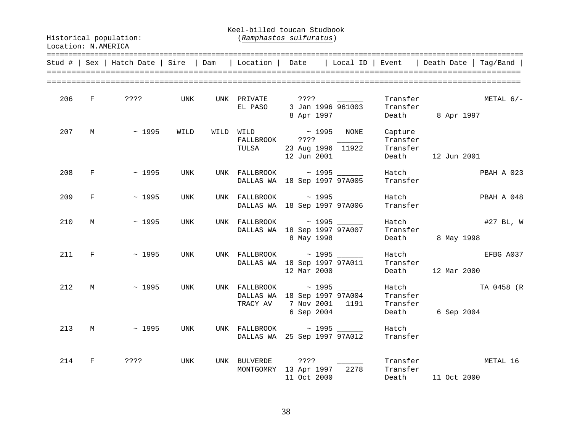Keel-billed toucan Studbook

|     |                               |                         |      |                        |                                                                                                                                                                                                                                                                                                                                                                                                                                                                                                                                                                                      |                                 | Stud #   Sex   Hatch Date   Sire   Dam   Location   Date   Local ID   Event   Death Date   Tag/Band |
|-----|-------------------------------|-------------------------|------|------------------------|--------------------------------------------------------------------------------------------------------------------------------------------------------------------------------------------------------------------------------------------------------------------------------------------------------------------------------------------------------------------------------------------------------------------------------------------------------------------------------------------------------------------------------------------------------------------------------------|---------------------------------|-----------------------------------------------------------------------------------------------------|
|     |                               | 206 F ????              | UNK  | UNK PRIVATE<br>EL PASO | $\begin{array}{ccc} \text{????} & \text{\quad} & \text{\quad} \end{array}$<br>3 Jan 1996 961003<br>8 Apr 1997                                                                                                                                                                                                                                                                                                                                                                                                                                                                        | Transfer                        | Transfer<br>METAL $6/-$<br>Death 8 Apr 1997                                                         |
|     |                               | $207 \t M \t \sim 1995$ | WILD | TULSA                  | $\begin{minipage}{.4\linewidth} \begin{tabular}{l} \hline \texttt{WILD} \end{tabular} \end{minipage} \begin{minipage}{.4\linewidth} \begin{tabular}{l} \texttt{WILD} \end{tabular} \end{minipage} \begin{minipage}{.4\linewidth} \begin{tabular}{l} \texttt{WILD} \end{tabular} \end{minipage} \begin{minipage}{.4\linewidth} \begin{tabular}{l} \hline \texttt{WILD} \end{tabular} \end{minipage} \end{minipage} \begin{minipage}{.4\linewidth} \begin{tabular}{l} \hline \texttt{WILD} \end{tabular} \end{minipage} \begin{$<br>FALLBROOK ????<br>23 Aug 1996 11922<br>12 Jun 2001 | Capture<br>Transfer<br>Transfer | Death 12 Jun 2001                                                                                   |
| 208 | $\mathbf{F}$ and $\mathbf{F}$ | $\sim 1995$             | UNK  |                        | UNK FALLBROOK ~ 1995 _______<br>DALLAS WA 18 Sep 1997 97A005                                                                                                                                                                                                                                                                                                                                                                                                                                                                                                                         | Hatch<br>Transfer               | PBAH A 023                                                                                          |
| 209 | $\mathbf{F}$                  | ~1995                   | UNK  |                        | UNK FALLBROOK ~ 1995 ______<br>DALLAS WA 18 Sep 1997 97A006                                                                                                                                                                                                                                                                                                                                                                                                                                                                                                                          | Hatch<br>Transfer               | PBAH A 048                                                                                          |
| 210 | M                             | ~1995                   | UNK  |                        | UNK FALLBROOK ~ 1995 _______<br>DALLAS WA 18 Sep 1997 97A007<br>8 May 1998                                                                                                                                                                                                                                                                                                                                                                                                                                                                                                           | Hatch<br>Transfer               | #27 BL, W<br>Death 8 May 1998                                                                       |
|     | 211 F                         | $\sim 1995$             | UNK  |                        | UNK FALLBROOK ~ 1995 _______<br>DALLAS WA 18 Sep 1997 97A011<br>12 Mar 2000                                                                                                                                                                                                                                                                                                                                                                                                                                                                                                          | Transfer                        | Hatch<br>EFBG A037<br>Death 12 Mar 2000                                                             |
| 212 |                               | M ~ 1995                | UNK  |                        | UNK FALLBROOK ~ 1995 _______<br>DALLAS WA 18 Sep 1997 97A004<br>TRACY AV 7 Nov 2001 1191<br>6 Sep 2004                                                                                                                                                                                                                                                                                                                                                                                                                                                                               | Transfer<br>Transfer            | Hatch<br>TA 0458 (R<br>Death 6 Sep 2004                                                             |
|     |                               | $213$ M ~ 1995          | UNK  |                        | UNK FALLBROOK ~ 1995 _______<br>DALLAS WA 25 Sep 1997 97A012                                                                                                                                                                                                                                                                                                                                                                                                                                                                                                                         | Hatch<br>Transfer               |                                                                                                     |
| 214 | $_{\rm F}$                    | ? ? ? ?                 | UNK  |                        | UNK BULVERDE ????<br>MONTGOMRY 13 Apr 1997 2278<br>$11 \text{ Oct } 2000$                                                                                                                                                                                                                                                                                                                                                                                                                                                                                                            | Transfer                        | Transfer Fundacional METAL 16<br>Death 11 Oct 2000                                                  |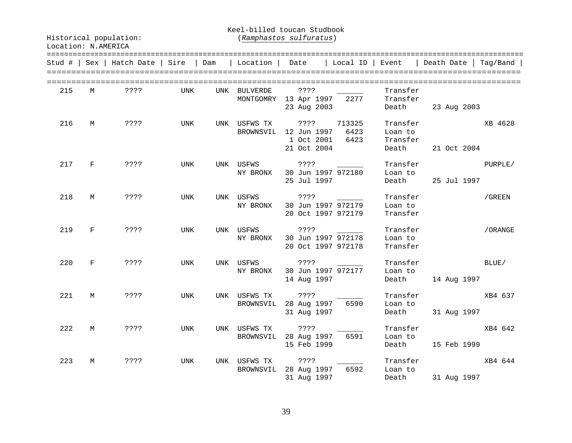Keel-billed toucan Studbook

|     |              | Stud #   Sex   Hatch Date   Sire   Dam |     | Location   Date           |                                                                                          | Local ID   Event         |                                 | Death Date              | Taq/Band |
|-----|--------------|----------------------------------------|-----|---------------------------|------------------------------------------------------------------------------------------|--------------------------|---------------------------------|-------------------------|----------|
| 215 | M            | $??\,?\,?$                             | UNK | UNK BULVERDE              | ? ? ? ?<br>MONTGOMRY 13 Apr 1997<br>23 Aug 2003                                          | 2277                     | Transfer<br>Transfer<br>Death   | 23 Aug 2003             |          |
| 216 | M            | ????                                   | UNK |                           | UNK USFWS TX ???? 713325<br>BROWNSVIL 12 Jun 1997 6423<br>1 Oct 2001 6423<br>21 Oct 2004 |                          | Loan to<br>Transfer<br>Death    | Transfer<br>21 Oct 2004 | XB 4628  |
| 217 | $\mathbf{F}$ | ????                                   | UNK | UNK USFWS<br>NY BRONX     | ? ? ? ?<br>30 Jun 1997 972180<br>25 Jul 1997                                             |                          | Transfer<br>Loan to             | Death 25 Jul 1997       | PURPLE/  |
| 218 | M            | ????                                   | UNK | UNK USFWS<br>NY BRONX     | ? ? ? ?<br>30 Jun 1997 972179<br>20 Oct 1997 972179                                      | $\overline{\phantom{a}}$ | Transfer<br>Loan to<br>Transfer |                         | /GREEN   |
| 219 | $\mathbf{F}$ | ????                                   | UNK | UNK USFWS<br>NY BRONX     | 30 Jun 1997 972178<br>20 Oct 1997 972178                                                 |                          | Transfer<br>Loan to<br>Transfer |                         | /ORANGE  |
| 220 | $\mathbf{F}$ | ????                                   | UNK | NY BRONX                  | UNK USFWS ????<br>30 Jun 1997 972177<br>14 Aug 1997                                      |                          | Transfer<br>Loan to<br>Death    | 14 Aug 1997             | BLUE/    |
| 221 | M            | ????                                   | UNK | UNK USFWS TX<br>BROWNSVIL | $7.7.7$ $7.7.7$<br>28 Aug 1997 6590<br>31 Aug 1997                                       |                          | Transfer<br>Loan to<br>Death    | 31 Aug 1997             | XB4 637  |
| 222 | M            | ????                                   | UNK | UNK USFWS TX              | ????<br>BROWNSVIL 28 Aug 1997 6591<br>15 Feb 1999                                        |                          | Transfer<br>Loan to<br>Death    | 15 Feb 1999             | XB4 642  |
| 223 | M            | ? ? ? ?                                | UNK | UNK USFWS TX<br>BROWNSVIL | ????<br>28 Aug 1997 6592<br>31 Aug 1997                                                  |                          | Transfer<br>Loan to             | Death 31 Aug 1997       | XB4 644  |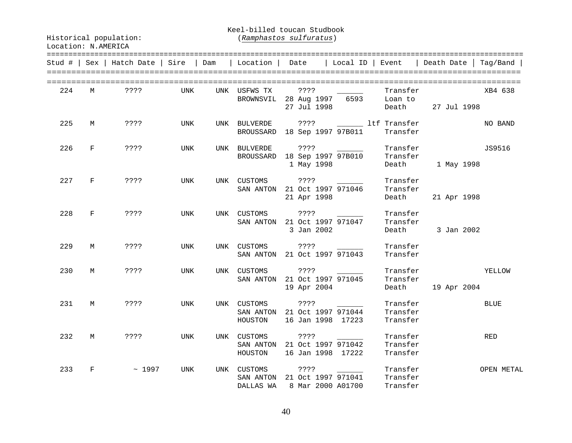Keel-billed toucan Studbook

Location: N.AMERICA

Historical population: (*Ramphastos sulfuratus*)

|     |              | Stud #   Sex   Hatch Date   Sire   Dam |     | Location   Date        |                                                                         | Local ID   Event         |                                  | Death Date                  | Tag/Band    |
|-----|--------------|----------------------------------------|-----|------------------------|-------------------------------------------------------------------------|--------------------------|----------------------------------|-----------------------------|-------------|
| 224 | M            | ????                                   | UNK | UNK USFWS TX           | ????<br>BROWNSVIL 28 Aug 1997<br>27 Jul 1998                            | $\overline{\phantom{a}}$ | Transfer<br>6593 Loan to         | Death 27 Jul 1998           | XB4 638     |
| 225 | M            | ? ? ? ?                                | UNK |                        | UNK BULVERDE ???? ________ ltf Transfer<br>BROUSSARD 18 Sep 1997 97B011 |                          | Transfer                         |                             | NO BAND     |
| 226 | $\mathbf{F}$ | ????                                   | UNK |                        | UNK BULVERDE ???? ________<br>BROUSSARD 18 Sep 1997 97B010              | 1 May 1998               | Transfer<br>Transfer             | Death 1 May 1998            | JS9516      |
| 227 | $\mathbf{F}$ | ????                                   | UNK | UNK CUSTOMS            | ? ? ? ?<br>SAN ANTON 21 Oct 1997 971046<br>21 Apr 1998                  |                          | Transfer<br>Transfer<br>Death    | 21 Apr 1998                 |             |
| 228 | $\mathbf{F}$ | ????                                   | UNK |                        | UNK CUSTOMS ????<br>SAN ANTON 21 Oct 1997 971047<br>3 Jan 2002          |                          | Transfer<br>Transfer             | Death 3 Jan 2002            |             |
| 229 | M            | ????                                   | UNK |                        | UNK CUSTOMS ???? ________<br>SAN ANTON 21 Oct 1997 971043               |                          | Transfer<br>Transfer             |                             |             |
| 230 | М            | ????                                   | UNK | UNK CUSTOMS            | ? ? ? ?<br>SAN ANTON 21 Oct 1997 971045<br>19 Apr 2004                  |                          | Transfer<br>Transfer             | YELLOW<br>Death 19 Apr 2004 |             |
| 231 | М            | ? ? ? ?                                | UNK |                        | SAN ANTON 21 Oct 1997 971044<br>HOUSTON 16 Jan 1998 17223               |                          | Transfer<br>Transfer<br>Transfer |                             | <b>BLUE</b> |
| 232 | M            | ? ? ? ?                                | UNK | UNK CUSTOMS<br>HOUSTON | $? ? ? ?$ _______<br>SAN ANTON 21 Oct 1997 971042<br>16 Jan 1998 17222  |                          | Transfer<br>Transfer<br>Transfer |                             | RED         |
| 233 | F            | ~1997                                  | UNK | UNK CUSTOMS            | ????<br>SAN ANTON 21 Oct 1997 971041<br>DALLAS WA 8 Mar 2000 A01700     |                          | Transfer<br>Transfer<br>Transfer |                             | OPEN METAL  |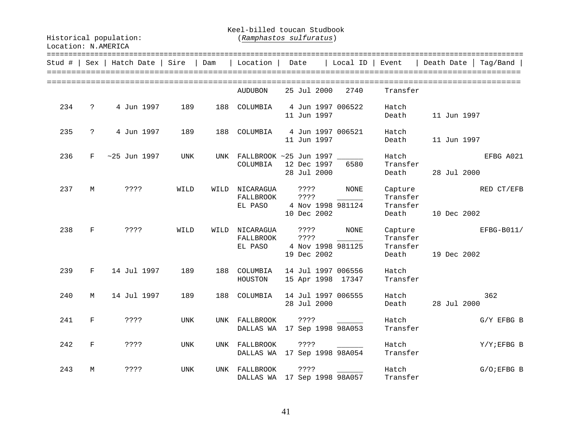Keel-billed toucan Studbook

| Stud # | Sex                | Hatch Date     | Sire       | Dam  | ============<br>Location                  | Date |                                   | Local ID                                | Event                                    | Death Date  | =====================<br>Taq/Band |
|--------|--------------------|----------------|------------|------|-------------------------------------------|------|-----------------------------------|-----------------------------------------|------------------------------------------|-------------|-----------------------------------|
|        |                    |                |            |      | AUDUBON                                   |      | 25 Jul 2000                       | 2740                                    | Transfer                                 |             |                                   |
| 234    | $\mathsf{P}$       | 4 Jun 1997     | 189        | 188  | COLUMBIA                                  |      | 11 Jun 1997                       | 4 Jun 1997 006522                       | Hatch<br>Death                           | 11 Jun 1997 |                                   |
| 235    | $\ddot{ }$         | 4 Jun 1997     | 189        | 188  | COLUMBIA                                  |      | 11 Jun 1997                       | 4 Jun 1997 006521                       | Hatch<br>Death                           | 11 Jun 1997 |                                   |
| 236    | F.                 | $~25$ Jun 1997 | UNK        | UNK  | FALLBROOK ~25 Jun 1997<br>COLUMBIA        |      | 12 Dec 1997<br>28 Jul 2000        | 6580                                    | Hatch<br>Transfer<br>Death               | 28 Jul 2000 | EFBG A021                         |
| 237    | М                  | ????           | WILD       | WILD | NICARAGUA<br>FALLBROOK<br>EL PASO         |      | ? ? ? ?<br>? ? ? ?<br>10 Dec 2002 | NONE<br>4 Nov 1998 981124               | Capture<br>Transfer<br>Transfer<br>Death | 10 Dec 2002 | RED CT/EFB                        |
| 238    | $_{\rm F}$         | ????           | WILD       | WILD | NICARAGUA<br>FALLBROOK<br>EL PASO         |      | ????<br>????<br>19 Dec 2002       | NONE<br>4 Nov 1998 981125               | Capture<br>Transfer<br>Transfer<br>Death | 19 Dec 2002 | EFBG-B011/                        |
| 239    | $\mathbf{F}$       | 14 Jul 1997    | 189        | 188  | COLUMBIA<br>HOUSTON                       |      |                                   | 14 Jul 1997 006556<br>15 Apr 1998 17347 | Hatch<br>Transfer                        |             |                                   |
| 240    | M                  | 14 Jul 1997    | 189        | 188  | COLUMBIA                                  |      | 28 Jul 2000                       | 14 Jul 1997 006555                      | Hatch<br>Death                           | 28 Jul 2000 | 362                               |
| 241    | $_{\rm F}$         | ????           | UNK        |      | UNK FALLBROOK<br>DALLAS WA                |      | $??\,?\,?$                        | 17 Sep 1998 98A053                      | Hatch<br>Transfer                        |             | $G/Y$ EFBG B                      |
| 242    | $\mathbf{F}% _{0}$ | ????           | UNK        | UNK  | FALLBROOK<br>DALLAS WA 17 Sep 1998 98A054 |      | ????                              |                                         | Hatch<br>Transfer                        |             | Y/Y;EFBG B                        |
| 243    | M                  | ? ? ? ?        | <b>UNK</b> | UNK  | FALLBROOK<br>DALLAS WA                    |      | ????                              | 17 Sep 1998 98A057                      | Hatch<br>Transfer                        |             | $G/O$ ; EFBG B                    |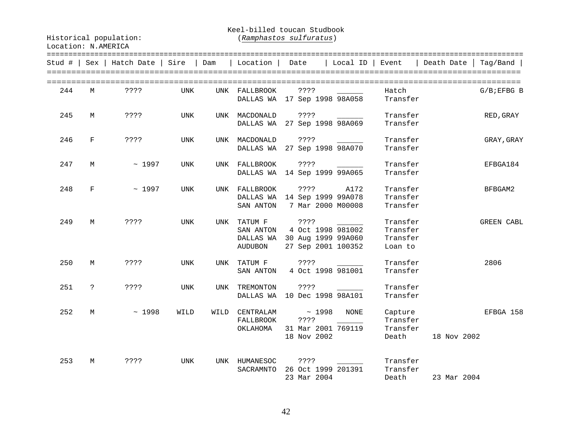Keel-billed toucan Studbook

| Stud # |              | Sex   Hatch Date   Sire |            | Dam  | Location                             | Date                                                                     | Local ID | Event                                       | Death Date  <br>$Taq/Band$ |
|--------|--------------|-------------------------|------------|------|--------------------------------------|--------------------------------------------------------------------------|----------|---------------------------------------------|----------------------------|
| 244    | М            | ? ? ? ?                 | UNK        |      | UNK FALLBROOK                        | ? ? ? ?<br>DALLAS WA 17 Sep 1998 98A058                                  |          | Hatch<br>Transfer                           | $G/B$ ; EFBG B             |
| 245    | М            | ????                    | UNK        | UNK  | MACDONALD                            | ? ? ? ?                                                                  |          | Transfer                                    | RED, GRAY                  |
| 246    | F            | ????                    | UNK        |      |                                      | DALLAS WA 27 Sep 1998 98A069<br>UNK MACDONALD ????                       |          | Transfer<br>Transfer                        | GRAY, GRAY                 |
|        |              |                         |            |      |                                      | DALLAS WA 27 Sep 1998 98A070                                             |          | Transfer                                    |                            |
| 247    | М            | ~1997                   | UNK        |      | UNK FALLBROOK                        | ????<br>DALLAS WA 14 Sep 1999 99A065                                     |          | Transfer<br>Transfer                        | EFBGA184                   |
| 248    | F            | ~1997                   | UNK        |      | UNK FALLBROOK                        | ???? A172<br>DALLAS WA 14 Sep 1999 99A078<br>SAN ANTON 7 Mar 2000 M00008 |          | Transfer<br>Transfer<br>Transfer            | BFBGAM2                    |
| 249    | М            | ????                    | UNK        | UNK  | TATUM F ????<br>SAN ANTON<br>AUDUBON | 4 Oct 1998 981002<br>DALLAS WA 30 Aug 1999 99A060<br>27 Sep 2001 100352  |          | Transfer<br>Transfer<br>Transfer<br>Loan to | GREEN CABL                 |
| 250    | М            | ????                    | UNK        |      | SAN ANTON                            | UNK TATUM F ????<br>4 Oct 1998 981001                                    |          | Transfer<br>Transfer                        | 2806                       |
| 251    | $\mathsf{P}$ | ????                    | UNK        | UNK  | TREMONTON                            | ????<br>DALLAS WA 10 Dec 1998 98A101                                     |          | Transfer<br>Transfer                        |                            |
| 252    | M            | ~1998                   | WILD       | WILD | CENTRALAM<br>FALLBROOK<br>OKLAHOMA   | $\sim 1998$<br>? ? ? ?<br>31 Mar 2001 769119<br>18 Nov 2002              | NONE     | Capture<br>Transfer<br>Transfer<br>Death    | EFBGA 158<br>18 Nov 2002   |
| 253    | M            | ????                    | <b>UNK</b> | UNK  | HUMANESOC<br>SACRAMNTO               | ? ? ? ?<br>26 Oct 1999 201391<br>23 Mar 2004                             |          | Transfer<br>Transfer<br>Death               | 23 Mar 2004                |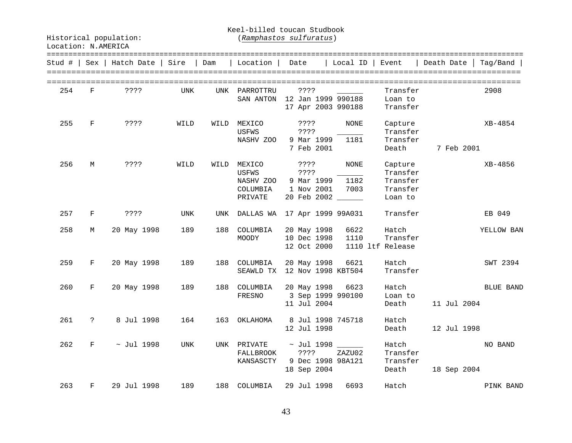Keel-billed toucan Studbook

Historical population: (*Ramphastos sulfuratus*)

| Stud # | Sex           | Hatch Date      | Sire | Dam  | Location                                            | Date                                                               | Local ID             | Event                                                  | =======================<br>Death Date | Taq/Band         |
|--------|---------------|-----------------|------|------|-----------------------------------------------------|--------------------------------------------------------------------|----------------------|--------------------------------------------------------|---------------------------------------|------------------|
| 254    | F             | ????            | UNK  | UNK  | PARROTTRU<br>SAN ANTON                              | ????<br>12 Jan 1999 990188<br>17 Apr 2003 990188                   |                      | Transfer<br>Loan to<br>Transfer                        |                                       | 2908             |
| 255    | F             | ? ? ? ?         | WILD | WILD | MEXICO<br>USFWS<br>NASHV ZOO                        | ? ? ? ?<br>????<br>9 Mar 1999<br>7 Feb 2001                        | NONE<br>1181         | Capture<br>Transfer<br>Transfer<br>Death               | 7 Feb 2001                            | XB-4854          |
| 256    | М             | 3333            | WILD | WILD | MEXICO<br>USFWS<br>NASHV ZOO<br>COLUMBIA<br>PRIVATE | ????<br>????<br>9 Mar 1999<br>1 Nov 2001<br>20 Feb 2002 ______     | NONE<br>1182<br>7003 | Capture<br>Transfer<br>Transfer<br>Transfer<br>Loan to |                                       | XB-4856          |
| 257    | F             | ????            | UNK  | UNK  |                                                     | DALLAS WA 17 Apr 1999 99A031                                       |                      | Transfer                                               |                                       | EB 049           |
| 258    | М             | 20 May 1998     | 189  | 188  | COLUMBIA<br>MOODY                                   | 20 May 1998<br>10 Dec 1998<br>12 Oct 2000                          | 6622<br>1110         | Hatch<br>Transfer<br>1110 ltf Release                  |                                       | YELLOW BAN       |
| 259    | F             | 20 May 1998     | 189  | 188  | COLUMBIA<br>SEAWLD TX                               | 20 May 1998<br>12 Nov 1998 KBT504                                  | 6621                 | Hatch<br>Transfer                                      |                                       | SWT 2394         |
| 260    | F             | 20 May 1998     | 189  | 188  | COLUMBIA<br>FRESNO                                  | 20 May 1998<br>3 Sep 1999 990100<br>11 Jul 2004                    | 6623                 | Hatch<br>Loan to<br>Death                              | 11 Jul 2004                           | <b>BLUE BAND</b> |
| 261    | $\mathcal{E}$ | 8 Jul 1998      | 164  | 163  | OKLAHOMA                                            | 8 Jul 1998 745718<br>12 Jul 1998                                   |                      | Hatch<br>Death                                         | 12 Jul 1998                           |                  |
| 262    | F             | $\sim$ Jul 1998 | UNK  | UNK  | PRIVATE<br>FALLBROOK<br>KANSASCTY                   | $\sim$ Jul 1998 ______<br>????<br>9 Dec 1998 98A121<br>18 Sep 2004 | ZAZU02               | Hatch<br>Transfer<br>Transfer<br>Death                 | 18 Sep 2004                           | NO BAND          |
| 263    | F             | 29 Jul 1998     | 189  | 188  | COLUMBIA                                            | 29 Jul 1998                                                        | 6693                 | Hatch                                                  |                                       | PINK BAND        |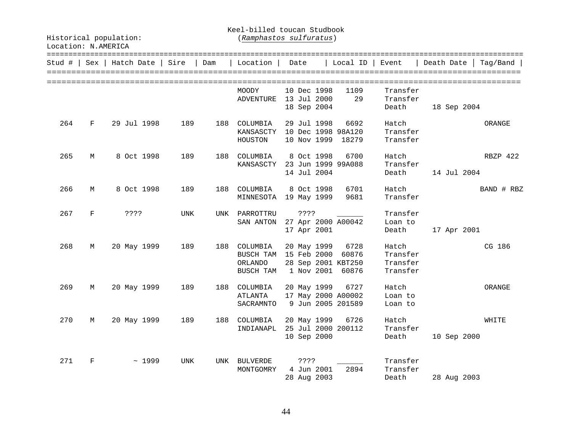Keel-billed toucan Studbook

|     |            | Stud #   Sex   Hatch Date   Sire |            | Dam | Location                     | Date        | Local ID           | Event    | Death Date  | Taq/Band   |
|-----|------------|----------------------------------|------------|-----|------------------------------|-------------|--------------------|----------|-------------|------------|
|     |            |                                  |            |     | MOODY                        | 10 Dec 1998 | 1109               | Transfer |             |            |
|     |            |                                  |            |     | ADVENTURE                    | 13 Jul 2000 | 29                 | Transfer |             |            |
|     |            |                                  |            |     |                              | 18 Sep 2004 |                    | Death    | 18 Sep 2004 |            |
| 264 | $_{\rm F}$ | 29 Jul 1998                      | 189        | 188 | COLUMBIA                     | 29 Jul 1998 | 6692               | Hatch    |             | ORANGE     |
|     |            |                                  |            |     | KANSASCTY 10 Dec 1998 98A120 |             |                    | Transfer |             |            |
|     |            |                                  |            |     | HOUSTON                      | 10 Nov 1999 | 18279              | Transfer |             |            |
| 265 | М          | 8 Oct 1998                       | 189        | 188 | COLUMBIA                     | 8 Oct 1998  | 6700               | Hatch    |             | RBZP 422   |
|     |            |                                  |            |     | KANSASCTY                    |             | 23 Jun 1999 99A088 | Transfer |             |            |
|     |            |                                  |            |     |                              | 14 Jul 2004 |                    | Death    | 14 Jul 2004 |            |
| 266 | M          | 8 Oct 1998                       | 189        | 188 | COLUMBIA                     | 8 Oct 1998  | 6701               | Hatch    |             | BAND # RBZ |
|     |            |                                  |            |     | MINNESOTA 19 May 1999        |             | 9681               | Transfer |             |            |
| 267 | $_{\rm F}$ | ? ? ? ?                          | UNK        |     | UNK PARROTTRU                | ? ? ? ?     |                    | Transfer |             |            |
|     |            |                                  |            |     | SAN ANTON                    |             | 27 Apr 2000 A00042 | Loan to  |             |            |
|     |            |                                  |            |     |                              | 17 Apr 2001 |                    | Death    | 17 Apr 2001 |            |
| 268 | M          | 20 May 1999                      | 189        | 188 | COLUMBIA                     | 20 May 1999 | 6728               | Hatch    |             | CG 186     |
|     |            |                                  |            |     | BUSCH TAM 15 Feb 2000        |             | 60876              | Transfer |             |            |
|     |            |                                  |            |     | ORLANDO                      |             | 28 Sep 2001 KBT250 | Transfer |             |            |
|     |            |                                  |            |     | BUSCH TAM                    |             | 1 Nov 2001 60876   | Transfer |             |            |
| 269 | М          | 20 May 1999                      | 189        | 188 | COLUMBIA                     | 20 May 1999 | 6727               | Hatch    |             | ORANGE     |
|     |            |                                  |            |     | ATLANTA                      |             | 17 May 2000 A00002 | Loan to  |             |            |
|     |            |                                  |            |     | SACRAMNTO                    |             | 9 Jun 2005 201589  | Loan to  |             |            |
| 270 | M          | 20 May 1999                      | 189        | 188 | COLUMBIA                     | 20 May 1999 | 6726               | Hatch    |             | WHITE      |
|     |            |                                  |            |     | INDIANAPL                    |             | 25 Jul 2000 200112 | Transfer |             |            |
|     |            |                                  |            |     |                              | 10 Sep 2000 |                    | Death    | 10 Sep 2000 |            |
| 271 | F          | ~1999                            | <b>UNK</b> | UNK | <b>BULVERDE</b>              | ? ? ? ?     |                    | Transfer |             |            |
|     |            |                                  |            |     | MONTGOMRY                    | 4 Jun 2001  | 2894               | Transfer |             |            |
|     |            |                                  |            |     |                              | 28 Aug 2003 |                    | Death    | 28 Aug 2003 |            |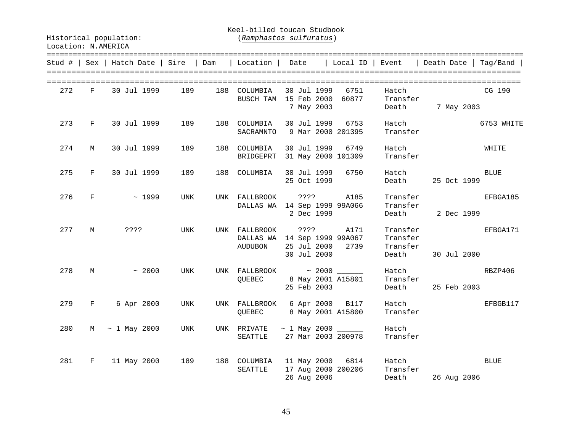Keel-billed toucan Studbook

Location: N.AMERICA

Historical population: (*Ramphastos sulfuratus*)

|     |       | Stud #   Sex   Hatch Date   Sire   Dam              |            |                                                                                     |             |                           |                               | Location   Date   Local ID   Event   Death Date   Tag/Band |             |
|-----|-------|-----------------------------------------------------|------------|-------------------------------------------------------------------------------------|-------------|---------------------------|-------------------------------|------------------------------------------------------------|-------------|
| 272 | $F =$ | 30 Jul 1999                                         | 189        | 188 COLUMBIA<br>BUSCH TAM 15 Feb 2000                                               | 7 May 2003  | 30 Jul 1999 6751<br>60877 | Hatch<br>Transfer             | Death 7 May 2003                                           | CG 190      |
|     |       | 273 F 30 Jul 1999 189 188 COLUMBIA                  |            | SACRAMNTO 9 Mar 2000 201395                                                         |             | 30 Jul 1999 6753          | Transfer                      | Hatch                                                      | 6753 WHITE  |
| 274 | M     | 30 Jul 1999                                         | 189        | 188 COLUMBIA<br>BRIDGEPRT 31 May 2000 101309                                        |             | 30 Jul 1999 6749          | Hatch<br>Transfer             |                                                            | WHITE       |
|     | 275 F | 30 Jul 1999                                         | 189        | 188 COLUMBIA 30 Jul 1999 6750                                                       |             | 25 Oct 1999               | Hatch                         | Death 25 Oct 1999                                          | <b>BLUE</b> |
| 276 |       | $F \sim 1999$                                       | UNK        | UNK FALLBROOK ???? A185<br>DALLAS WA 14 Sep 1999 99A066                             | 2 Dec 1999  |                           | Transfer<br>Transfer          | EFBGA185<br>Death 2 Dec 1999                               |             |
|     |       | 277 M ????                                          | UNK        | UNK FALLBROOK ???? A171<br>DALLAS WA 14 Sep 1999 99A067<br>AUDUBON 25 Jul 2000 2739 |             | 30 Jul 2000               | Transfer<br>Transfer<br>Death | Transfer EFBGA171<br>30 Jul 2000                           |             |
| 278 |       | $M \sim 2000$                                       | UNK        | UNK FALLBROOK $\sim 2000$ $\sim$<br>QUEBEC 8 May 2001 A15801                        | 25 Feb 2003 |                           | Hatch<br>Transfer             | RBZP406<br>Death 25 Feb 2003                               |             |
|     |       | 279 F 6 Apr 2000                                    | <b>UNK</b> | UNK FALLBROOK 6 Apr 2000 B117<br>QUEBEC 8 May 2001 A15800                           |             |                           | Hatch<br>Transfer             |                                                            | EFBGB117    |
| 280 |       | M ~ 1 May 2000                                      | UNK        | UNK PRIVATE $\sim$ 1 May 2000 ______<br>SEATTLE                                     |             | 27 Mar 2003 200978        | Hatch<br>Transfer             |                                                            |             |
| 281 | F     | 11 May 2000 189 188 COLUMBIA 11 May 2000 6814 Hatch |            | SEATTLE                                                                             | 26 Aug 2006 |                           | 17 Aug 2000 200206 Transfer   | Death 26 Aug 2006                                          | <b>BLUE</b> |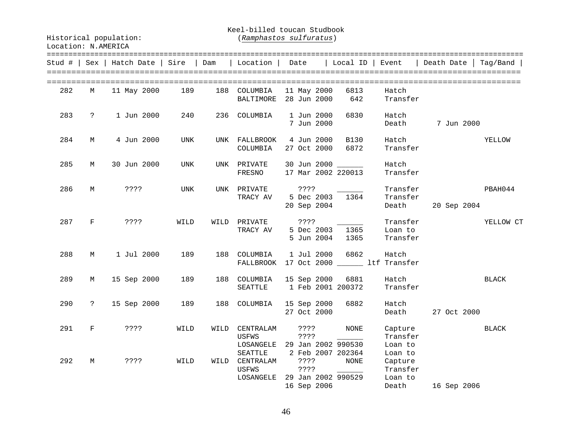Keel-billed toucan Studbook

|     |              | Stud #   Sex   Hatch Date   Sire   Dam |            |      | Location                                                 | Date                                                          | Local ID            | Event                                     | Death Date  | Tag/Band     |
|-----|--------------|----------------------------------------|------------|------|----------------------------------------------------------|---------------------------------------------------------------|---------------------|-------------------------------------------|-------------|--------------|
| 282 | M            | 11 May 2000                            | 189        |      | 188 COLUMBIA<br>BALTIMORE                                | 11 May 2000<br>28 Jun 2000                                    | 6813<br>642         | Hatch<br>Transfer                         |             |              |
| 283 | $\mathsf{P}$ | 1 Jun 2000                             | 240        | 236  | COLUMBIA                                                 | 1 Jun 2000<br>7 Jun 2000                                      | 6830                | Hatch<br>Death                            | 7 Jun 2000  |              |
| 284 | М            | 4 Jun 2000                             | UNK        |      | UNK FALLBROOK<br>COLUMBIA                                | 4 Jun 2000<br>27 Oct 2000                                     | <b>B130</b><br>6872 | Hatch<br>Transfer                         |             | YELLOW       |
| 285 | M            | 30 Jun 2000                            | UNK        |      | UNK PRIVATE<br>FRESNO                                    | 30 Jun 2000 _____<br>17 Mar 2002 220013                       |                     | Hatch<br>Transfer                         |             |              |
| 286 | М            | ? ? ? ?                                | <b>UNK</b> |      | UNK PRIVATE<br>TRACY AV                                  | ? ? ? ?<br>5 Dec 2003<br>20 Sep 2004                          | 1364                | Transfer<br>Transfer<br>Death             | 20 Sep 2004 | PBAH044      |
| 287 | $\mathbf F$  | ????                                   | WILD       |      | WILD PRIVATE<br>TRACY AV                                 | ? ? ? ?<br>5 Dec 2003<br>5 Jun 2004                           | 1365<br>1365        | Transfer<br>Loan to<br>Transfer           |             | YELLOW CT    |
| 288 | M            | 1 Jul 2000                             | 189        | 188  | COLUMBIA<br>FALLBROOK                                    | 1 Jul 2000<br>17 Oct 2000 _______ ltf Transfer                | 6862                | Hatch                                     |             |              |
| 289 | M            | 15 Sep 2000                            | 189        | 188  | COLUMBIA<br>SEATTLE                                      | 15 Sep 2000<br>1 Feb 2001 200372                              | 6881                | Hatch<br>Transfer                         |             | <b>BLACK</b> |
| 290 | $\ddot{ }$   | 15 Sep 2000                            | 189        | 188  | COLUMBIA                                                 | 15 Sep 2000<br>27 Oct 2000                                    | 6882                | Hatch<br>Death                            | 27 Oct 2000 |              |
| 291 | F            | ? ? ? ?                                | WILD       | WILD | CENTRALAM<br><b>USFWS</b><br>LOSANGELE<br><b>SEATTLE</b> | ? ? ? ?<br>? ? ? ?<br>29 Jan 2002 990530<br>2 Feb 2007 202364 | NONE                | Capture<br>Transfer<br>Loan to<br>Loan to |             | BLACK        |
| 292 | М            | ????                                   | WILD       | WILD | CENTRALAM<br>USFWS<br>LOSANGELE                          | ? ? ? ?<br>? ? ? ?<br>29 Jan 2002 990529<br>16 Sep 2006       | NONE                | Capture<br>Transfer<br>Loan to<br>Death   | 16 Sep 2006 |              |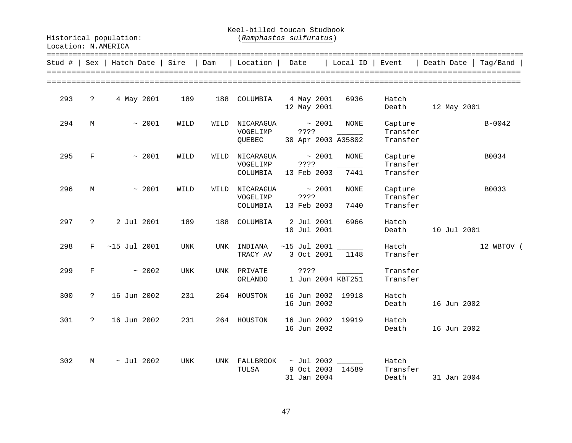Keel-billed toucan Studbook

| Location: N.AMERICA |  |
|---------------------|--|
|                     |  |

|     |              | Stud #   Sex   Hatch Date   Sire   Dam |      |      | Location               | Date                                                                    | Local ID            | Event                           | Death Date  <br>Tag/Band |
|-----|--------------|----------------------------------------|------|------|------------------------|-------------------------------------------------------------------------|---------------------|---------------------------------|--------------------------|
| 293 | $\ddot{?}$   | 4 May 2001                             | 189  | 188  |                        | COLUMBIA 4 May 2001<br>12 May 2001                                      | 6936                | Hatch                           | Death 12 May 2001        |
| 294 | М            | ~1001                                  | WILD |      | VOGELIMP<br>QUEBEC     | WILD NICARAGUA $\sim 2001$<br>????<br>30 Apr 2003 A35802                | NONE                | Capture<br>Transfer<br>Transfer | $B - 0042$               |
| 295 | F            | ~1001                                  | WILD | WILD | VOGELIMP               | $NICARAGUA$ ~ 2001<br>? ? ? ?<br>COLUMBIA 13 Feb 2003                   | <b>NONE</b><br>7441 | Capture<br>Transfer<br>Transfer | B0034                    |
| 296 | М            | ~1001                                  | WILD | WILD | VOGELIMP<br>COLUMBIA   | $NICARAGUA \sim 2001$<br>? ? ? ?<br>13 Feb 2003                         | NONE<br>7440        | Capture<br>Transfer<br>Transfer | B0033                    |
| 297 |              | ? 2 Jul 2001                           | 189  | 188  |                        | COLUMBIA 2 Jul 2001<br>10 Jul 2001                                      | 6966                | Hatch<br>Death                  | 10 Jul 2001              |
| 298 | $\mathbf{F}$ | $~15$ Jul 2001                         | UNK  | UNK  | INDIANA<br>TRACY AV    | $~15$ Jul 2001 ______<br>3 Oct 2001 1148                                |                     | Hatch<br>Transfer               | 12 WBTOV (               |
| 299 | F            | ~2002                                  | UNK  |      | UNK PRIVATE<br>ORLANDO | ? ? ? ?<br>1 Jun 2004 KBT251                                            |                     | Transfer<br>Transfer            |                          |
| 300 | $\ddot{ }$   | 16 Jun 2002                            | 231  |      | 264 HOUSTON            | 16 Jun 2002 19918<br>16 Jun 2002                                        |                     | Hatch<br>Death                  | 16 Jun 2002              |
| 301 | $\ddot{?}$   | 16 Jun 2002                            | 231  |      | 264 HOUSTON            | 16 Jun 2002 19919<br>16 Jun 2002                                        |                     | Hatch<br>Death                  | 16 Jun 2002              |
| 302 | М            | $\sim$ Jul 2002                        | UNK  |      | TULSA                  | UNK FALLBROOK $\sim$ Jul 2002 ______<br>9 Oct 2003 14589<br>31 Jan 2004 |                     | Hatch<br>Transfer<br>Death      | 31 Jan 2004              |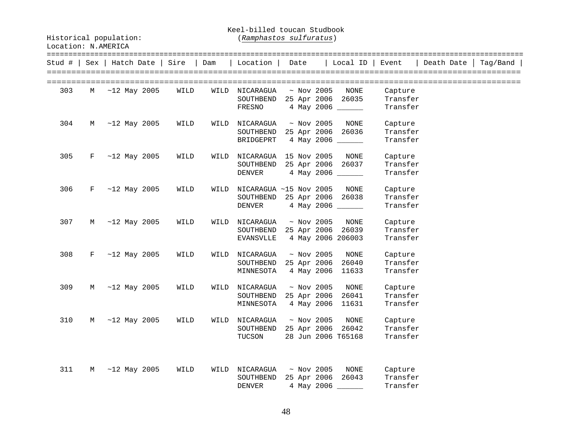Keel-billed toucan Studbook

|     |   | Stud #   Sex   Hatch Date   Sire   Dam |      |      | Location   Date             |                  | Local ID   Event   |          | Death Date | Taq/Band |
|-----|---|----------------------------------------|------|------|-----------------------------|------------------|--------------------|----------|------------|----------|
| 303 | M | $~12$ May 2005                         | WILD | WILD | NICARAGUA                   | $~\sim$ Nov 2005 | NONE               | Capture  |            |          |
|     |   |                                        |      |      | SOUTHBEND                   |                  | 25 Apr 2006 26035  | Transfer |            |          |
|     |   |                                        |      |      | FRESNO                      |                  | 4 May 2006         | Transfer |            |          |
| 304 | M | $~12$ May 2005                         | WILD | WILD | NICARAGUA                   | $~\sim$ Nov 2005 | NONE               | Capture  |            |          |
|     |   |                                        |      |      | SOUTHBEND 25 Apr 2006 26036 |                  |                    | Transfer |            |          |
|     |   |                                        |      |      | BRIDGEPRT                   |                  | 4 May 2006 ______  | Transfer |            |          |
| 305 | F | $~12$ May 2005                         | WILD | WILD | NICARAGUA 15 Nov 2005       |                  | NONE               | Capture  |            |          |
|     |   |                                        |      |      | SOUTHBEND                   | 25 Apr 2006      | 26037              | Transfer |            |          |
|     |   |                                        |      |      | DENVER                      |                  | 4 May 2006 ______  | Transfer |            |          |
| 306 | F | $~12$ May 2005                         | WILD | WILD | NICARAGUA ~15 Nov 2005      |                  | NONE               | Capture  |            |          |
|     |   |                                        |      |      | SOUTHBEND 25 Apr 2006       |                  | 26038              | Transfer |            |          |
|     |   |                                        |      |      | DENVER                      |                  | 4 May 2006 _______ | Transfer |            |          |
| 307 | M | $~12$ May 2005                         | WILD | WILD | NICARAGUA                   | $~\sim$ Nov 2005 | NONE               | Capture  |            |          |
|     |   |                                        |      |      | SOUTHBEND 25 Apr 2006 26039 |                  |                    | Transfer |            |          |
|     |   |                                        |      |      | EVANSVLLE                   |                  | 4 May 2006 206003  | Transfer |            |          |
| 308 | F | $~12$ May 2005                         | WILD | WILD | NICARAGUA                   | $~\sim$ Nov 2005 | NONE               | Capture  |            |          |
|     |   |                                        |      |      | SOUTHBEND                   | 25 Apr 2006      | 26040              | Transfer |            |          |
|     |   |                                        |      |      | MINNESOTA                   | 4 May 2006       | 11633              | Transfer |            |          |
| 309 | M | $~12$ May 2005                         | WILD | WILD | NICARAGUA                   | $~\sim$ Nov 2005 | NONE               | Capture  |            |          |
|     |   |                                        |      |      | SOUTHBEND                   | 25 Apr 2006      | 26041              | Transfer |            |          |
|     |   |                                        |      |      | MINNESOTA                   | 4 May 2006       | 11631              | Transfer |            |          |
| 310 | M | $~12$ May 2005                         | WILD | WILD | NICARAGUA                   | $~\sim$ Nov 2005 | NONE               | Capture  |            |          |
|     |   |                                        |      |      | SOUTHBEND                   |                  | 25 Apr 2006 26042  | Transfer |            |          |
|     |   |                                        |      |      | TUCSON                      |                  | 28 Jun 2006 T65168 | Transfer |            |          |
|     |   |                                        |      |      |                             |                  |                    |          |            |          |
| 311 | М | $~12$ May 2005                         | WILD | WILD | NICARAGUA                   | $~\sim$ Nov 2005 | NONE               | Capture  |            |          |
|     |   |                                        |      |      | SOUTHBEND                   |                  | 25 Apr 2006 26043  | Transfer |            |          |
|     |   |                                        |      |      | <b>DENVER</b>               |                  | 4 May 2006         | Transfer |            |          |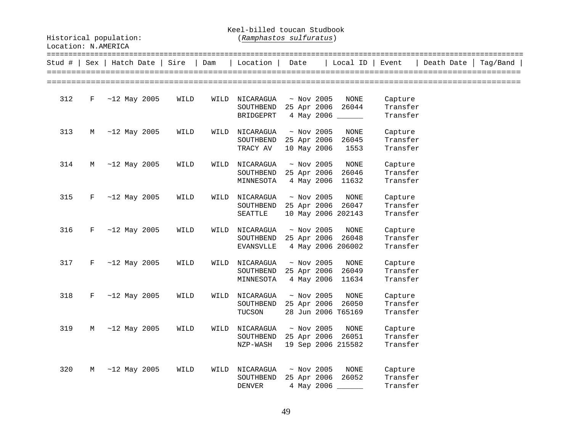Keel-billed toucan Studbook

| Location: | N.AMERICA |  |
|-----------|-----------|--|
|           |           |  |

| Stud # | Sex | Hatch Date Sire |      | Dam  | Location                                             | Date                                          | Local ID                                        | Event                           | Death Date   Tag/Band |  |
|--------|-----|-----------------|------|------|------------------------------------------------------|-----------------------------------------------|-------------------------------------------------|---------------------------------|-----------------------|--|
| 312    | F   | $~12$ May 2005  | WILD | WILD | NICARAGUA<br>SOUTHBEND<br>BRIDGEPRT                  | $~\sim$ Nov 2005<br>25 Apr 2006               | NONE<br>26044<br>4 May 2006 ______              | Capture<br>Transfer<br>Transfer |                       |  |
| 313    | М   | $~12$ May 2005  | WILD | WILD | NICARAGUA<br>SOUTHBEND 25 Apr 2006<br>TRACY AV       | $~\sim$ Nov 2005<br>10 May 2006               | NONE<br>26045<br>1553                           | Capture<br>Transfer<br>Transfer |                       |  |
| 314    | М   | $~12$ May 2005  | WILD | WILD | NICARAGUA<br>SOUTHBEND<br>MINNESOTA                  | $~\sim$ Nov 2005<br>25 Apr 2006<br>4 May 2006 | NONE<br>26046<br>11632                          | Capture<br>Transfer<br>Transfer |                       |  |
| 315    | F   | $~12$ May 2005  | WILD | WILD | NICARAGUA<br>SOUTHBEND 25 Apr 2006<br>SEATTLE        | $~\sim$ Nov 2005                              | NONE<br>26047<br>10 May 2006 202143             | Capture<br>Transfer<br>Transfer |                       |  |
| 316    | F   | $~12$ May 2005  | WILD | WILD | NICARAGUA<br>SOUTHBEND<br>EVANSVLLE                  | $~\sim$ Nov 2005<br>25 Apr 2006               | NONE<br>26048<br>4 May 2006 206002              | Capture<br>Transfer<br>Transfer |                       |  |
| 317    | F   | $~12$ May 2005  | WILD | WILD | NICARAGUA<br>SOUTHBEND<br>MINNESOTA                  | $~\sim$ Nov 2005<br>25 Apr 2006<br>4 May 2006 | NONE<br>26049<br>11634                          | Capture<br>Transfer<br>Transfer |                       |  |
| 318    | F   | $~12$ May 2005  | WILD | WILD | NICARAGUA<br>SOUTHBEND<br>TUCSON                     | $~\sim$ Nov 2005                              | NONE<br>25 Apr 2006 26050<br>28 Jun 2006 T65169 | Capture<br>Transfer<br>Transfer |                       |  |
| 319    | М   | $~12$ May 2005  | WILD | WILD | NICARAGUA<br>SOUTHBEND 25 Apr 2006 26051<br>NZP-WASH | $~\sim$ Nov 2005                              | NONE<br>19 Sep 2006 215582                      | Capture<br>Transfer<br>Transfer |                       |  |
| 320    | М   | $~12$ May 2005  | WILD | WILD | NICARAGUA<br>SOUTHBEND<br><b>DENVER</b>              | $~\sim$ Nov 2005<br>25 Apr 2006               | NONE<br>26052<br>4 May 2006 ______              | Capture<br>Transfer<br>Transfer |                       |  |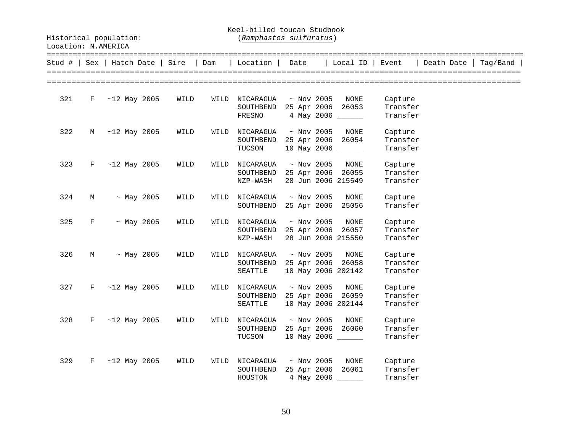Keel-billed toucan Studbook

| Location: N.AMERICA |
|---------------------|
|                     |

|     |              | Stud # $ $ Sex $ $ Hatch Date $ $ Sire |      | Dam  | Location                                            | Date                            | Local ID                                        | Event                           | Death Date | $Taq/Band$ |
|-----|--------------|----------------------------------------|------|------|-----------------------------------------------------|---------------------------------|-------------------------------------------------|---------------------------------|------------|------------|
| 321 | $\mathbf{F}$ | $~12$ May 2005                         | WILD | WILD | NICARAGUA<br>SOUTHBEND<br>FRESNO                    | $~\sim$ Nov 2005                | NONE<br>25 Apr 2006 26053<br>4 May 2006 ______  | Capture<br>Transfer<br>Transfer |            |            |
| 322 | M            | $~12$ May 2005                         | WILD | WILD | NICARAGUA<br>SOUTHBEND<br>TUCSON                    | $\sim$ Nov 2005<br>25 Apr 2006  | NONE<br>26054<br>10 May 2006 ______             | Capture<br>Transfer<br>Transfer |            |            |
| 323 | F            | $~12$ May 2005                         | WILD | WILD | NICARAGUA<br>SOUTHBEND<br>NZP-WASH                  | $~\sim$ Nov 2005                | NONE<br>25 Apr 2006 26055<br>28 Jun 2006 215549 | Capture<br>Transfer<br>Transfer |            |            |
| 324 | M            | $~\sim$ May 2005                       | WILD | WILD | NICARAGUA<br>SOUTHBEND                              | $~\sim$ Nov 2005<br>25 Apr 2006 | NONE<br>25056                                   | Capture<br>Transfer             |            |            |
| 325 | F            | $~\sim$ May 2005                       | WILD | WILD | NICARAGUA<br>SOUTHBEND<br>NZP-WASH                  | $~\sim$ Nov 2005                | NONE<br>25 Apr 2006 26057<br>28 Jun 2006 215550 | Capture<br>Transfer<br>Transfer |            |            |
| 326 | M            | $~\sim$ May 2005                       | WILD | WILD | NICARAGUA<br>SOUTHBEND 25 Apr 2006 26058<br>SEATTLE | $~\sim$ Nov 2005                | NONE<br>10 May 2006 202142                      | Capture<br>Transfer<br>Transfer |            |            |
| 327 | $\mathbf{F}$ | $~12$ May 2005                         | WILD | WILD | NICARAGUA<br>SOUTHBEND<br>SEATTLE                   | $~\sim$ Nov 2005<br>25 Apr 2006 | NONE<br>26059<br>10 May 2006 202144             | Capture<br>Transfer<br>Transfer |            |            |
| 328 | F            | $~12$ May 2005                         | WILD | WILD | NICARAGUA<br>SOUTHBEND<br>TUCSON                    | $~\sim$ Nov 2005                | NONE<br>25 Apr 2006 26060<br>10 May 2006 ______ | Capture<br>Transfer<br>Transfer |            |            |
| 329 | F            | $~12$ May 2005                         | WILD | WILD | NICARAGUA<br>SOUTHBEND<br>HOUSTON                   | $\sim$ Nov 2005                 | NONE<br>25 Apr 2006 26061<br>4 May 2006 ______  | Capture<br>Transfer<br>Transfer |            |            |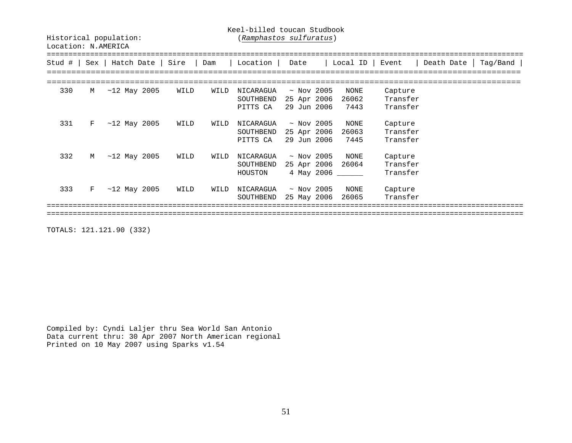Keel-billed toucan Studbook

Historical population: (*Ramphastos sulfuratus*)

| Stud # | Sex        | Hatch Date     | Sire | Dam  | Location                           | Date                                          | Local ID              | Event                           | Death Date | Taq/Band |
|--------|------------|----------------|------|------|------------------------------------|-----------------------------------------------|-----------------------|---------------------------------|------------|----------|
| 330    | М          | $~12$ May 2005 | WILD | WILD | NICARAGUA                          | $~\sim$ Nov 2005                              | NONE                  | Capture                         |            |          |
|        |            |                |      |      | SOUTHBEND<br>PITTS CA              | 25 Apr 2006<br>29 Jun 2006                    | 26062<br>7443         | Transfer<br>Transfer            |            |          |
| 331    | $_{\rm F}$ | $~12$ May 2005 | WILD | WILD | NICARAGUA<br>SOUTHBEND<br>PITTS CA | $\sim$ Nov 2005<br>25 Apr 2006<br>29 Jun 2006 | NONE<br>26063<br>7445 | Capture<br>Transfer<br>Transfer |            |          |
| 332    | М          | $~12$ May 2005 | WILD | WILD | NICARAGUA<br>SOUTHBEND<br>HOUSTON  | $\sim$ Nov 2005<br>25 Apr 2006<br>4 May 2006  | NONE<br>26064         | Capture<br>Transfer<br>Transfer |            |          |
| 333    | F          | $~12$ May 2005 | WILD | WILD | NICARAGUA<br>SOUTHBEND             | $~\sim$ Nov 2005<br>25 May 2006               | NONE<br>26065         | Capture<br>Transfer             |            |          |
|        |            |                |      |      |                                    |                                               |                       |                                 |            |          |

TOTALS: 121.121.90 (332)

Compiled by: Cyndi Laljer thru Sea World San Antonio Data current thru: 30 Apr 2007 North American regional Printed on 10 May 2007 using Sparks v1.54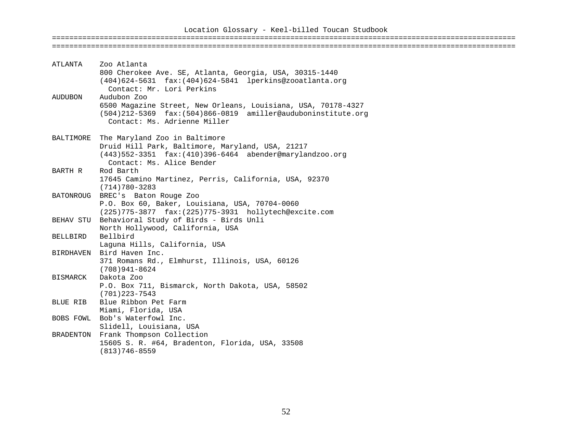### Location Glossary - Keel-billed Toucan Studbook ===========================================================================================================

| ATLANTA   | Zoo Atlanta<br>800 Cherokee Ave. SE, Atlanta, Georgia, USA, 30315-1440<br>(404)624-5631 fax: (404)624-5841 lperkins@zooatlanta.org<br>Contact: Mr. Lori Perkins                     |
|-----------|-------------------------------------------------------------------------------------------------------------------------------------------------------------------------------------|
| AUDUBON   | Audubon Zoo<br>6500 Magazine Street, New Orleans, Louisiana, USA, 70178-4327<br>$(504)$ 212-5369 fax: $(504)$ 866-0819 amiller@auduboninstitute.org<br>Contact: Ms. Adrienne Miller |
| BALTIMORE | The Maryland Zoo in Baltimore<br>Druid Hill Park, Baltimore, Maryland, USA, 21217<br>$(443)$ 552-3351 fax: $(410)$ 396-6464 abender@marylandzoo.org<br>Contact: Ms. Alice Bender    |
| BARTH R   | Rod Barth<br>17645 Camino Martinez, Perris, California, USA, 92370<br>$(714)780 - 3283$                                                                                             |
|           | BATONROUG BREC's Baton Rouge Zoo<br>P.O. Box 60, Baker, Louisiana, USA, 70704-0060<br>$(225)$ 775-3877 $\text{fax:}(225)$ 775-3931 hollytech@excite.com                             |
|           | BEHAV STU Behavioral Study of Birds - Birds Unli<br>North Hollywood, California, USA                                                                                                |
| BELLBIRD  | Bellbird<br>Laguna Hills, California, USA                                                                                                                                           |
|           | BIRDHAVEN Bird Haven Inc.<br>371 Romans Rd., Elmhurst, Illinois, USA, 60126<br>(708)941-8624                                                                                        |
| BISMARCK  | Dakota Zoo<br>P.O. Box 711, Bismarck, North Dakota, USA, 58502<br>$(701)$ 223-7543                                                                                                  |
| BLUE RIB  | Blue Ribbon Pet Farm<br>Miami, Florida, USA                                                                                                                                         |
|           | BOBS FOWL Bob's Waterfowl Inc.<br>Slidell, Louisiana, USA                                                                                                                           |
| BRADENTON | Frank Thompson Collection<br>15605 S. R. #64, Bradenton, Florida, USA, 33508<br>$(813)746 - 8559$                                                                                   |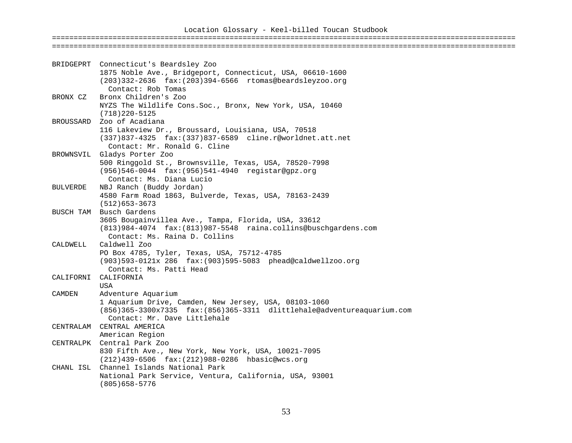|                 | BRIDGEPRT Connecticut's Beardsley Zoo                                                                                            |
|-----------------|----------------------------------------------------------------------------------------------------------------------------------|
|                 | 1875 Noble Ave., Bridgeport, Connecticut, USA, 06610-1600                                                                        |
|                 | (203)332-2636 fax: (203)394-6566 rtomas@beardsleyzoo.org                                                                         |
|                 | Contact: Rob Tomas                                                                                                               |
| BRONX CZ        | Bronx Children's Zoo                                                                                                             |
|                 | NYZS The Wildlife Cons. Soc., Bronx, New York, USA, 10460                                                                        |
|                 | $(718)220 - 5125$                                                                                                                |
|                 | BROUSSARD Zoo of Acadiana                                                                                                        |
|                 | 116 Lakeview Dr., Broussard, Louisiana, USA, 70518                                                                               |
|                 | (337)837-4325 fax: (337)837-6589 cline.r@worldnet.att.net                                                                        |
|                 | Contact: Mr. Ronald G. Cline                                                                                                     |
|                 | BROWNSVIL Gladys Porter Zoo                                                                                                      |
|                 | 500 Ringgold St., Brownsville, Texas, USA, 78520-7998                                                                            |
|                 | (956)546-0044 fax: (956)541-4940 registar@gpz.org                                                                                |
|                 | Contact: Ms. Diana Lucio                                                                                                         |
| <b>BULVERDE</b> | NBJ Ranch (Buddy Jordan)                                                                                                         |
|                 | 4580 Farm Road 1863, Bulverde, Texas, USA, 78163-2439                                                                            |
|                 | $(512)653 - 3673$                                                                                                                |
|                 | BUSCH TAM Busch Gardens                                                                                                          |
|                 | 3605 Bougainvillea Ave., Tampa, Florida, USA, 33612                                                                              |
|                 | (813)984-4074 fax: (813)987-5548 raina.collins@buschgardens.com                                                                  |
|                 | Contact: Ms. Raina D. Collins                                                                                                    |
| CALDWELL        | Caldwell Zoo                                                                                                                     |
|                 | PO Box 4785, Tyler, Texas, USA, 75712-4785                                                                                       |
|                 | (903)593-0121x 286 fax: (903)595-5083 phead@caldwellzoo.org                                                                      |
|                 | Contact: Ms. Patti Head                                                                                                          |
| CALIFORNI       | CALIFORNIA                                                                                                                       |
|                 | <b>USA</b>                                                                                                                       |
| CAMDEN          | Adventure Aquarium                                                                                                               |
|                 | 1 Aquarium Drive, Camden, New Jersey, USA, 08103-1060<br>(856)365-3300x7335 fax: (856)365-3311 dlittlehale@adventureaquarium.com |
|                 | Contact: Mr. Dave Littlehale                                                                                                     |
|                 | CENTRALAM CENTRAL AMERICA                                                                                                        |
|                 | American Region                                                                                                                  |
|                 | CENTRALPK Central Park Zoo                                                                                                       |
|                 | 830 Fifth Ave., New York, New York, USA, 10021-7095                                                                              |
|                 | (212)439-6506 fax: (212)988-0286 hbasic@wcs.org                                                                                  |
| CHANL ISL       | Channel Islands National Park                                                                                                    |
|                 | National Park Service, Ventura, California, USA, 93001                                                                           |
|                 | $(805)658 - 5776$                                                                                                                |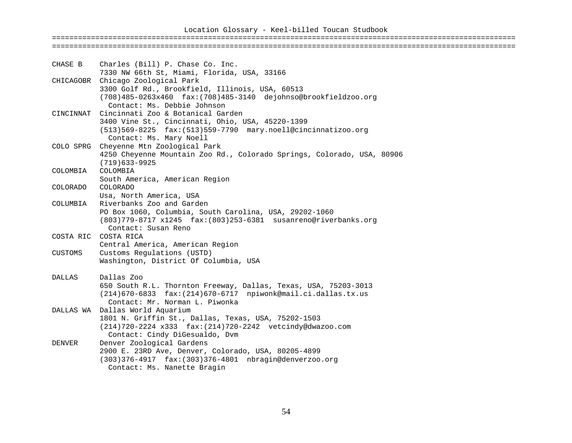### Location Glossary - Keel-billed Toucan Studbook ===========================================================================================================

| CHASE B  | Charles (Bill) P. Chase Co. Inc.<br>7330 NW 66th St, Miami, Florida, USA, 33166                                                               |
|----------|-----------------------------------------------------------------------------------------------------------------------------------------------|
|          | CHICAGOBR Chicago Zoological Park                                                                                                             |
|          | 3300 Golf Rd., Brookfield, Illinois, USA, 60513                                                                                               |
|          | (708)485-0263x460 fax: (708)485-3140 dejohnso@brookfieldzoo.org<br>Contact: Ms. Debbie Johnson<br>CINCINNAT Cincinnati Zoo & Botanical Garden |
|          | 3400 Vine St., Cincinnati, Ohio, USA, 45220-1399                                                                                              |
|          | $(513)$ 569-8225 $fast$ : (513)559-7790 mary.noell@cincinnatizoo.org                                                                          |
|          | Contact: Ms. Mary Noell                                                                                                                       |
|          | COLO SPRG Cheyenne Mtn Zoological Park                                                                                                        |
|          | 4250 Cheyenne Mountain Zoo Rd., Colorado Springs, Colorado, USA, 80906                                                                        |
|          | $(719)633 - 9925$                                                                                                                             |
| COLOMBIA | COLOMBIA                                                                                                                                      |
|          | South America, American Region                                                                                                                |
| COLORADO | COLORADO<br>Usa, North America, USA                                                                                                           |
| COLUMBIA | Riverbanks Zoo and Garden                                                                                                                     |
|          | PO Box 1060, Columbia, South Carolina, USA, 29202-1060                                                                                        |
|          | (803)779-8717 x1245 fax: (803)253-6381 susanreno@riverbanks.org                                                                               |
|          | Contact: Susan Reno                                                                                                                           |
|          | COSTA RIC COSTA RICA                                                                                                                          |
|          | Central America, American Region                                                                                                              |
| CUSTOMS  | Customs Regulations (USTD)                                                                                                                    |
|          | Washington, District Of Columbia, USA                                                                                                         |
| DALLAS   | Dallas Zoo                                                                                                                                    |
|          | 650 South R.L. Thornton Freeway, Dallas, Texas, USA, 75203-3013                                                                               |
|          | (214)670-6833 fax: (214)670-6717 npiwonk@mail.ci.dallas.tx.us                                                                                 |
|          | Contact: Mr. Norman L. Piwonka                                                                                                                |
|          | DALLAS WA Dallas World Aquarium                                                                                                               |
|          | 1801 N. Griffin St., Dallas, Texas, USA, 75202-1503<br>(214)720-2224 x333 fax: (214)720-2242 vetcindy@dwazoo.com                              |
|          | Contact: Cindy DiGesualdo, Dvm                                                                                                                |
| DENVER   | Denver Zoological Gardens                                                                                                                     |
|          | 2900 E. 23RD Ave, Denver, Colorado, USA, 80205-4899                                                                                           |
|          | (303)376-4917 fax: (303)376-4801 nbragin@denverzoo.org                                                                                        |
|          | Contact: Ms. Nanette Bragin                                                                                                                   |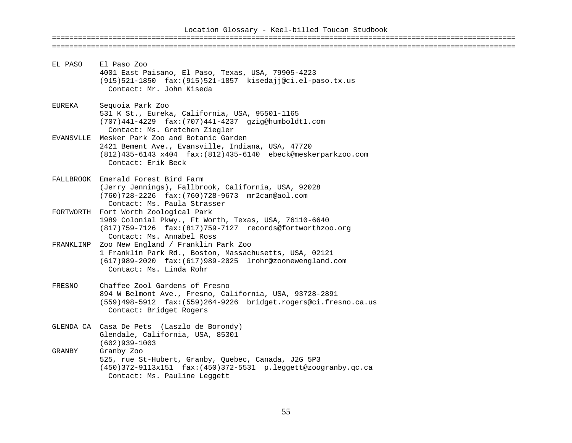| EL PASO   | El Paso Zoo<br>4001 East Paisano, El Paso, Texas, USA, 79905-4223<br>(915)521-1850 fax: (915)521-1857 kisedajj@ci.el-paso.tx.us<br>Contact: Mr. John Kiseda                                |
|-----------|--------------------------------------------------------------------------------------------------------------------------------------------------------------------------------------------|
|           |                                                                                                                                                                                            |
| EUREKA    | Sequoia Park Zoo<br>531 K St., Eureka, California, USA, 95501-1165<br>$(707)441 - 4229$ $fax:(707)441 - 4237$ $qzig@humboldt.com$<br>Contact: Ms. Gretchen Ziegler                         |
| EVANSVLLE | Mesker Park Zoo and Botanic Garden<br>2421 Bement Ave., Evansville, Indiana, USA, 47720<br>(812)435-6143 x404 fax: (812)435-6140 ebeck@meskerparkzoo.com<br>Contact: Erik Beck             |
|           | FALLBROOK Emerald Forest Bird Farm<br>(Jerry Jennings), Fallbrook, California, USA, 92028<br>(760)728-2226 fax: (760)728-9673 mr2can@aol.com<br>Contact: Ms. Paula Strasser                |
|           | FORTWORTH Fort Worth Zoological Park<br>1989 Colonial Pkwy., Ft Worth, Texas, USA, 76110-6640<br>(817)759-7126 fax: (817)759-7127 records@fortworthzoo.org<br>Contact: Ms. Annabel Ross    |
| FRANKLINP | Zoo New England / Franklin Park Zoo<br>1 Franklin Park Rd., Boston, Massachusetts, USA, 02121<br>(617)989-2020 fax: (617)989-2025 lrohr@zoonewengland.com<br>Contact: Ms. Linda Rohr       |
| FRESNO    | Chaffee Zool Gardens of Fresno<br>894 W Belmont Ave., Fresno, California, USA, 93728-2891<br>$(559)498-5912$ $fax:(559)264-9226$ bridget.rogers@ci.fresno.ca.us<br>Contact: Bridget Rogers |
|           | GLENDA CA Casa De Pets (Laszlo de Borondy)<br>Glendale, California, USA, 85301<br>$(602)939 - 1003$                                                                                        |
| GRANBY    | Granby Zoo<br>525, rue St-Hubert, Granby, Quebec, Canada, J2G 5P3<br>$(450)372 - 9113x151$ $fax:(450)372 - 5531$ $p.leggett@zoography.qc.ca$<br>Contact: Ms. Pauline Leggett               |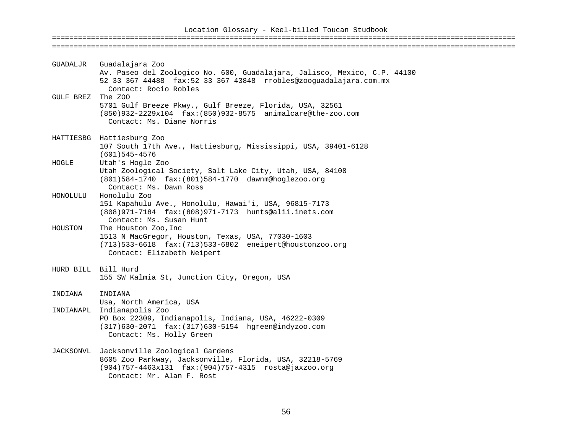| GUADALJR  | Guadalajara Zoo<br>Av. Paseo del Zoologico No. 600, Guadalajara, Jalisco, Mexico, C.P. 44100                                                                                      |
|-----------|-----------------------------------------------------------------------------------------------------------------------------------------------------------------------------------|
| GULF BREZ | 52 33 367 44488 fax:52 33 367 43848 rrobles@zooguadalajara.com.mx<br>Contact: Rocio Robles<br>The ZOO                                                                             |
|           | 5701 Gulf Breeze Pkwy., Gulf Breeze, Florida, USA, 32561<br>(850)932-2229x104 fax: (850)932-8575 animalcare@the-zoo.com<br>Contact: Ms. Diane Norris                              |
|           | HATTIESBG Hattiesburg Zoo<br>107 South 17th Ave., Hattiesburg, Mississippi, USA, 39401-6128<br>$(601)545 - 4576$                                                                  |
| HOGLE     | Utah's Hogle Zoo<br>Utah Zoological Society, Salt Lake City, Utah, USA, 84108<br>(801)584-1740 fax: (801)584-1770 dawnm@hoglezoo.org<br>Contact: Ms. Dawn Ross                    |
| HONOLULU  | Honolulu Zoo<br>151 Kapahulu Ave., Honolulu, Hawai'i, USA, 96815-7173<br>(808) 971-7184 fax: (808) 971-7173 hunts@alii.inets.com<br>Contact: Ms. Susan Hunt                       |
| HOUSTON   | The Houston Zoo, Inc<br>1513 N MacGregor, Houston, Texas, USA, 77030-1603<br>(713)533-6618 fax: (713)533-6802 eneipert@houstonzoo.org<br>Contact: Elizabeth Neipert               |
|           | HURD BILL Bill Hurd<br>155 SW Kalmia St, Junction City, Oregon, USA                                                                                                               |
| INDIANA   | INDIANA<br>Usa, North America, USA                                                                                                                                                |
| INDIANAPL | Indianapolis Zoo<br>PO Box 22309, Indianapolis, Indiana, USA, 46222-0309<br>(317)630-2071 fax: (317)630-5154 hgreen@indyzoo.com<br>Contact: Ms. Holly Green                       |
| JACKSONVL | Jacksonville Zoological Gardens<br>8605 Zoo Parkway, Jacksonville, Florida, USA, 32218-5769<br>(904)757-4463x131 fax: (904)757-4315 rosta@jaxzoo.org<br>Contact: Mr. Alan F. Rost |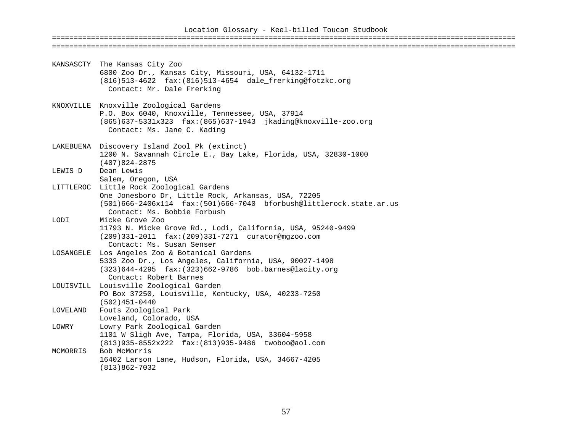|           | KANSASCTY The Kansas City Zoo<br>6800 Zoo Dr., Kansas City, Missouri, USA, 64132-1711<br>$(816)$ 513-4622 fax: $(816)$ 513-4654 dale frerking@fotzkc.org<br>Contact: Mr. Dale Frerking              |
|-----------|-----------------------------------------------------------------------------------------------------------------------------------------------------------------------------------------------------|
|           | KNOXVILLE Knoxville Zoological Gardens<br>P.O. Box 6040, Knoxville, Tennessee, USA, 37914<br>(865)637-5331x323 fax:(865)637-1943 jkading@knoxville-zoo.org<br>Contact: Ms. Jane C. Kading           |
|           | LAKEBUENA Discovery Island Zool Pk (extinct)<br>1200 N. Savannah Circle E., Bay Lake, Florida, USA, 32830-1000<br>$(407)824 - 2875$                                                                 |
| LEWIS D   | Dean Lewis<br>Salem, Oregon, USA                                                                                                                                                                    |
| LITTLEROC | Little Rock Zoological Gardens<br>One Jonesboro Dr, Little Rock, Arkansas, USA, 72205<br>$(501)666 - 2406x114$ $fax:(501)666 - 7040$ bforbush@littlerock.state.ar.us<br>Contact: Ms. Bobbie Forbush |
| LODI      | Micke Grove Zoo<br>11793 N. Micke Grove Rd., Lodi, California, USA, 95240-9499<br>(209)331-2011 fax: (209)331-7271 curator@mgzoo.com<br>Contact: Ms. Susan Senser                                   |
|           | LOSANGELE Los Angeles Zoo & Botanical Gardens<br>5333 Zoo Dr., Los Angeles, California, USA, 90027-1498<br>$(323)644 - 4295$ $fax:(323)662 - 9786$ bob.barnes@lacity.org<br>Contact: Robert Barnes  |
|           | LOUISVILL Louisville Zoological Garden<br>PO Box 37250, Louisville, Kentucky, USA, 40233-7250<br>$(502)451-0440$                                                                                    |
| LOVELAND  | Fouts Zoological Park<br>Loveland, Colorado, USA                                                                                                                                                    |
| LOWRY     | Lowry Park Zoological Garden<br>1101 W Sligh Ave, Tampa, Florida, USA, 33604-5958<br>(813)935-8552x222 fax: (813)935-9486 twoboo@aol.com                                                            |
| MCMORRIS  | Bob McMorris<br>16402 Larson Lane, Hudson, Florida, USA, 34667-4205<br>$(813)862 - 7032$                                                                                                            |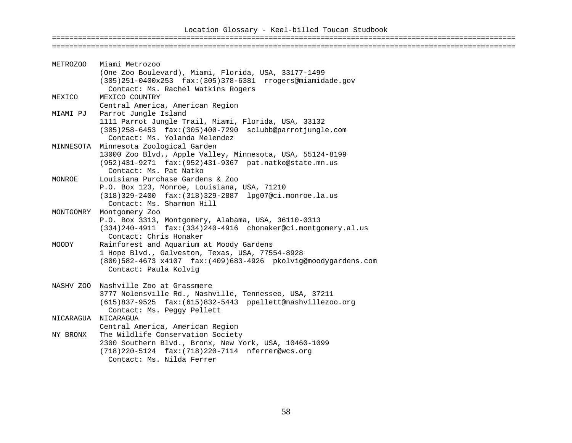### Location Glossary - Keel-billed Toucan Studbook ===========================================================================================================

| METROZOO  | Miami Metrozoo                                                            |
|-----------|---------------------------------------------------------------------------|
|           | (One Zoo Boulevard), Miami, Florida, USA, 33177-1499                      |
|           | (305)251-0400x253 fax: (305)378-6381 rrogers@miamidade.gov                |
|           | Contact: Ms. Rachel Watkins Rogers                                        |
| MEXICO    | MEXICO COUNTRY                                                            |
|           | Central America, American Region                                          |
| MIAMI PJ  | Parrot Jungle Island                                                      |
|           | 1111 Parrot Jungle Trail, Miami, Florida, USA, 33132                      |
|           | $(305)$ 258-6453 fax: $(305)$ 400-7290 sclubb@parrotjungle.com            |
|           | Contact: Ms. Yolanda Melendez                                             |
|           | MINNESOTA Minnesota Zoological Garden                                     |
|           | 13000 Zoo Blvd., Apple Valley, Minnesota, USA, 55124-8199                 |
|           | (952)431-9271 fax: (952)431-9367 pat.natko@state.mn.us                    |
|           | Contact: Ms. Pat Natko                                                    |
| MONROE    | Louisiana Purchase Gardens & Zoo                                          |
|           | P.O. Box 123, Monroe, Louisiana, USA, 71210                               |
|           | (318) 329-2400 fax: (318) 329-2887 lpg07@ci.monroe.la.us                  |
|           | Contact: Ms. Sharmon Hill                                                 |
| MONTGOMRY | Montgomery Zoo                                                            |
|           | P.O. Box 3313, Montgomery, Alabama, USA, 36110-0313                       |
|           | $(334)$ 240-4911 $\text{fax:}(334)$ 240-4916 chonaker@ci.montgomery.al.us |
|           | Contact: Chris Honaker                                                    |
| MOODY     | Rainforest and Aquarium at Moody Gardens                                  |
|           | 1 Hope Blvd., Galveston, Texas, USA, 77554-8928                           |
|           | (800)582-4673 x4107 fax: (409)683-4926 pkolvig@moodygardens.com           |
|           | Contact: Paula Kolvig                                                     |
|           | NASHV ZOO Nashville Zoo at Grassmere                                      |
|           | 3777 Nolensville Rd., Nashville, Tennessee, USA, 37211                    |
|           | (615)837-9525 fax:(615)832-5443 ppellett@nashvillezoo.org                 |
|           | Contact: Ms. Peggy Pellett                                                |
| NICARAGUA | NICARAGUA                                                                 |
|           | Central America, American Region                                          |
| NY BRONX  | The Wildlife Conservation Society                                         |
|           | 2300 Southern Blvd., Bronx, New York, USA, 10460-1099                     |
|           | (718) 220-5124 fax: (718) 220-7114 nferrer@wcs.org                        |
|           | Contact: Ms. Nilda Ferrer                                                 |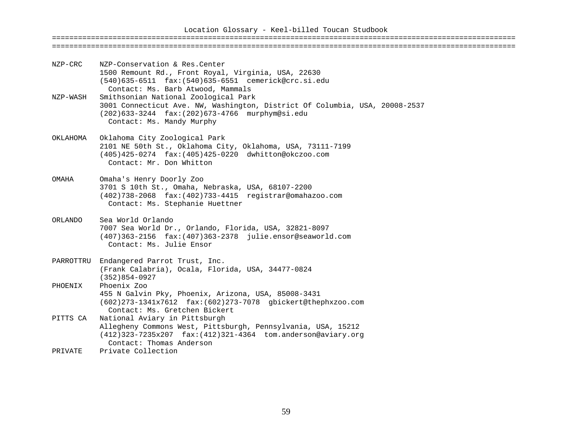| NZP-CRC   | NZP-Conservation & Res. Center<br>1500 Remount Rd., Front Royal, Virginia, USA, 22630<br>(540)635-6511 fax: (540)635-6551 cemerick@crc.si.edu<br>Contact: Ms. Barb Atwood, Mammals                  |
|-----------|-----------------------------------------------------------------------------------------------------------------------------------------------------------------------------------------------------|
| NZP-WASH  | Smithsonian National Zoological Park<br>3001 Connecticut Ave. NW, Washington, District Of Columbia, USA, 20008-2537<br>(202)633-3244 fax: (202)673-4766 murphym@si.edu<br>Contact: Ms. Mandy Murphy |
| OKLAHOMA  | Oklahoma City Zoological Park<br>2101 NE 50th St., Oklahoma City, Oklahoma, USA, 73111-7199<br>(405)425-0274 fax: (405)425-0220 dwhitton@okczoo.com<br>Contact: Mr. Don Whitton                     |
| OMAHA     | Omaha's Henry Doorly Zoo<br>3701 S 10th St., Omaha, Nebraska, USA, 68107-2200<br>$(402)738 - 2068$ $fax:(402)733 - 4415$ registrar@omahazoo.com<br>Contact: Ms. Stephanie Huettner                  |
| ORLANDO   | Sea World Orlando<br>7007 Sea World Dr., Orlando, Florida, USA, 32821-8097<br>$(407)363 - 2156$ $fax:(407)363 - 2378$ julie.ensor@seaworld.com<br>Contact: Ms. Julie Ensor                          |
| PARROTTRU | Endangered Parrot Trust, Inc.<br>(Frank Calabria), Ocala, Florida, USA, 34477-0824<br>$(352)854 - 0927$                                                                                             |
| PHOENIX   | Phoenix Zoo<br>455 N Galvin Pky, Phoenix, Arizona, USA, 85008-3431<br>(602)273-1341x7612 fax: (602)273-7078 gbickert@thephxzoo.com<br>Contact: Ms. Gretchen Bickert                                 |
| PITTS CA  | National Aviary in Pittsburgh<br>Allegheny Commons West, Pittsburgh, Pennsylvania, USA, 15212<br>(412)323-7235x207 fax: (412)321-4364 tom.anderson@aviary.org<br>Contact: Thomas Anderson           |
| PRIVATE   | Private Collection                                                                                                                                                                                  |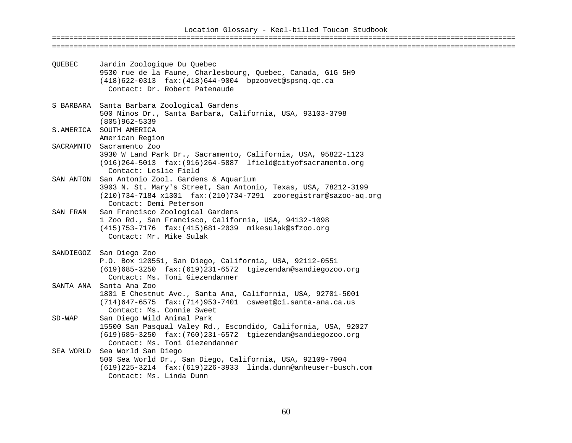| OUEBEC    | Jardin Zoologique Du Quebec<br>9530 rue de la Faune, Charlesbourg, Quebec, Canada, G1G 5H9<br>$(418)622-0313$ $fax:(418)644-9004$ bpzoovet@spsnq.qc.ca<br>Contact: Dr. Robert Patenaude              |
|-----------|------------------------------------------------------------------------------------------------------------------------------------------------------------------------------------------------------|
|           | S BARBARA Santa Barbara Zoological Gardens<br>500 Ninos Dr., Santa Barbara, California, USA, 93103-3798<br>$(805)962 - 5339$                                                                         |
|           | S.AMERICA SOUTH AMERICA<br>American Region                                                                                                                                                           |
| SACRAMNTO | Sacramento Zoo<br>3930 W Land Park Dr., Sacramento, California, USA, 95822-1123<br>$(916)$ 264-5013 $\text{fax:}(916)$ 264-5887 lfield@cityofsacramento.org<br>Contact: Leslie Field                 |
| SAN ANTON | San Antonio Zool. Gardens & Aquarium<br>3903 N. St. Mary's Street, San Antonio, Texas, USA, 78212-3199<br>(210)734-7184 x1301 fax: (210)734-7291 zooregistrar@sazoo-aq.org<br>Contact: Demi Peterson |
| SAN FRAN  | San Francisco Zoological Gardens<br>1 Zoo Rd., San Francisco, California, USA, 94132-1098<br>(415)753-7176 fax: (415)681-2039 mikesulak@sfzoo.org<br>Contact: Mr. Mike Sulak                         |
|           | SANDIEGOZ San Diego Zoo<br>P.O. Box 120551, San Diego, California, USA, 92112-0551<br>(619)685-3250 fax: (619)231-6572 tgiezendan@sandiegozoo.org<br>Contact: Ms. Toni Giezendanner                  |
| SANTA ANA | Santa Ana Zoo<br>1801 E Chestnut Ave., Santa Ana, California, USA, 92701-5001<br>$(714)647 - 6575$ $fax:(714)953 - 7401$ csweet@ci.santa-ana.ca.us<br>Contact: Ms. Connie Sweet                      |
| $SD-WAP$  | San Diego Wild Animal Park<br>15500 San Pasqual Valey Rd., Escondido, California, USA, 92027<br>(619)685-3250 fax: (760)231-6572 tgiezendan@sandiegozoo.org<br>Contact: Ms. Toni Giezendanner        |
| SEA WORLD | Sea World San Diego<br>500 Sea World Dr., San Diego, California, USA, 92109-7904<br>$(619)$ 225-3214 $\,$ fax: $(619)$ 226-3933 $\,$ linda.dunn@anheuser-busch.com<br>Contact: Ms. Linda Dunn        |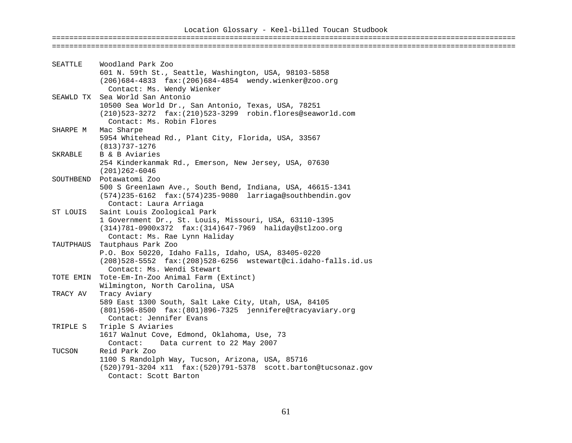### Location Glossary - Keel-billed Toucan Studbook ===========================================================================================================

| Woodland Park Zoo<br>SEATTLE                                       |  |
|--------------------------------------------------------------------|--|
| 601 N. 59th St., Seattle, Washington, USA, 98103-5858              |  |
| (206)684-4833 fax: (206)684-4854 wendy.wienker@zoo.org             |  |
| Contact: Ms. Wendy Wienker                                         |  |
| SEAWLD TX Sea World San Antonio                                    |  |
| 10500 Sea World Dr., San Antonio, Texas, USA, 78251                |  |
| (210)523-3272 fax: (210)523-3299 robin.flores@seaworld.com         |  |
| Contact: Ms. Robin Flores                                          |  |
| Mac Sharpe<br>SHARPE M                                             |  |
| 5954 Whitehead Rd., Plant City, Florida, USA, 33567                |  |
| (813)737-1276                                                      |  |
| B & B Aviaries<br>SKRABLE                                          |  |
| 254 Kinderkanmak Rd., Emerson, New Jersey, USA, 07630              |  |
| $(201)262 - 6046$                                                  |  |
| SOUTHBEND Potawatomi Zoo                                           |  |
| 500 S Greenlawn Ave., South Bend, Indiana, USA, 46615-1341         |  |
| (574)235-6162 fax: (574)235-9080 larriaga@southbendin.gov          |  |
| Contact: Laura Arriaga                                             |  |
| Saint Louis Zoological Park<br>ST LOUIS                            |  |
| 1 Government Dr., St. Louis, Missouri, USA, 63110-1395             |  |
| (314)781-0900x372 fax: (314)647-7969 haliday@stlzoo.org            |  |
| Contact: Ms. Rae Lynn Haliday                                      |  |
| Tautphaus Park Zoo<br>TAUTPHAUS                                    |  |
| P.O. Box 50220, Idaho Falls, Idaho, USA, 83405-0220                |  |
| (208)528-5552 fax: (208)528-6256 wstewart@ci.idaho-falls.id.us     |  |
| Contact: Ms. Wendi Stewart                                         |  |
| Tote-Em-In-Zoo Animal Farm (Extinct)<br>TOTE EMIN                  |  |
| Wilmington, North Carolina, USA                                    |  |
| Tracy Aviary<br>TRACY AV                                           |  |
| 589 East 1300 South, Salt Lake City, Utah, USA, 84105              |  |
| (801)596-8500 fax: (801)896-7325 jennifere@tracyaviary.org         |  |
| Contact: Jennifer Evans                                            |  |
| Triple S Aviaries<br>TRIPLE S                                      |  |
| 1617 Walnut Cove, Edmond, Oklahoma, Use, 73                        |  |
| Data current to 22 May 2007<br>Contact:<br>TUCSON<br>Reid Park Zoo |  |
| 1100 S Randolph Way, Tucson, Arizona, USA, 85716                   |  |
| (520) 791-3204 x11 fax: (520) 791-5378 scott.barton@tucsonaz.gov   |  |
| Contact: Scott Barton                                              |  |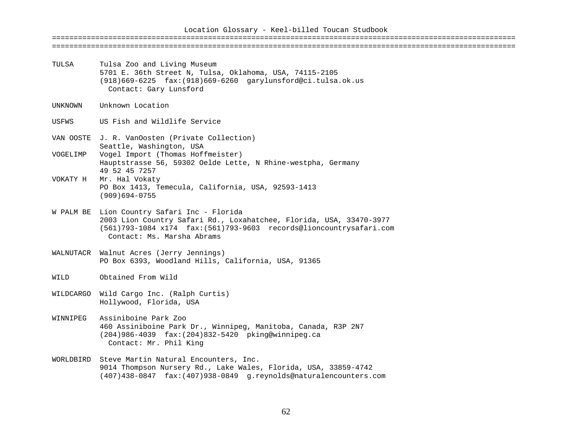| TULSA                | Tulsa Zoo and Living Museum<br>5701 E. 36th Street N, Tulsa, Oklahoma, USA, 74115-2105<br>(918)669-6225 fax: (918)669-6260 garylunsford@ci.tulsa.ok.us<br>Contact: Gary Lunsford                                        |
|----------------------|-------------------------------------------------------------------------------------------------------------------------------------------------------------------------------------------------------------------------|
| UNKNOWN              | Unknown Location                                                                                                                                                                                                        |
| USFWS                | US Fish and Wildlife Service                                                                                                                                                                                            |
| VOGELIMP<br>VOKATY H | VAN OOSTE J. R. VanOosten (Private Collection)<br>Seattle, Washington, USA<br>Vogel Import (Thomas Hoffmeister)<br>Hauptstrasse 56, 59302 Oelde Lette, N Rhine-westpha, Germany<br>49 52 45 7257<br>Mr. Hal Vokaty      |
|                      | PO Box 1413, Temecula, California, USA, 92593-1413<br>$(909)694 - 0755$                                                                                                                                                 |
|                      | W PALM BE Lion Country Safari Inc - Florida<br>2003 Lion Country Safari Rd., Loxahatchee, Florida, USA, 33470-3977<br>(561)793-1084 x174 fax: (561)793-9603 records@lioncountrysafari.com<br>Contact: Ms. Marsha Abrams |
|                      | WALNUTACR Walnut Acres (Jerry Jennings)<br>PO Box 6393, Woodland Hills, California, USA, 91365                                                                                                                          |
| WILD                 | Obtained From Wild                                                                                                                                                                                                      |
| WILDCARGO            | Wild Cargo Inc. (Ralph Curtis)<br>Hollywood, Florida, USA                                                                                                                                                               |
| WINNIPEG             | Assiniboine Park Zoo<br>460 Assiniboine Park Dr., Winnipeg, Manitoba, Canada, R3P 2N7<br>(204)986-4039 fax: (204)832-5420 pking@winnipeg.ca<br>Contact: Mr. Phil King                                                   |
|                      | WORLDBIRD Steve Martin Natural Encounters, Inc.<br>9014 Thompson Nursery Rd., Lake Wales, Florida, USA, 33859-4742                                                                                                      |

(407)438-0847 fax:(407)938-0849 g.reynolds@naturalencounters.com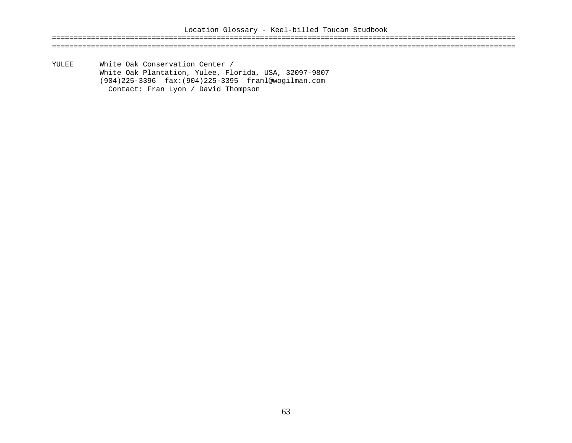======================================================================================================================================================================================================================

YULEE White Oak Conservation Center / White Oak Plantation, Yulee, Florida, USA, 32097-9807 (904)225-3396 fax:(904)225-3395 franl@wogilman.com Contact: Fran Lyon / David Thompson